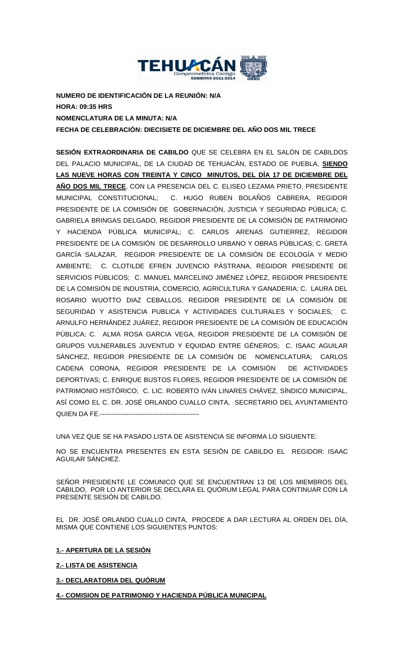

**NUMERO DE IDENTIFICACIÓN DE LA REUNIÓN: N/A HORA: 09:35 HRS NOMENCLATURA DE LA MINUTA: N/A FECHA DE CELEBRACIÓN: DIECISIETE DE DICIEMBRE DEL AÑO DOS MIL TRECE**

**SESIÓN EXTRAORDINARIA DE CABILDO** QUE SE CELEBRA EN EL SALÓN DE CABILDOS DEL PALACIO MUNICIPAL, DE LA CIUDAD DE TEHUACÁN, ESTADO DE PUEBLA, **SIENDO LAS NUEVE HORAS CON TREINTA Y CINCO MINUTOS, DEL DÍA 17 DE DICIEMBRE DEL AÑO DOS MIL TRECE**, CON LA PRESENCIA DEL C. ELISEO LEZAMA PRIETO, PRESIDENTE MUNICIPAL CONSTITUCIONAL; C. HUGO RUBEN BOLAÑOS CABRERA, REGIDOR PRESIDENTE DE LA COMISIÓN DE GOBERNACIÓN, JUSTICIA Y SEGURIDAD PÚBLICA; C. GABRIELA BRINGAS DELGADO, REGIDOR PRESIDENTE DE LA COMISIÓN DE PATRIMONIO Y HACIENDA PÚBLICA MUNICIPAL; C. CARLOS ARENAS GUTIERREZ, REGIDOR PRESIDENTE DE LA COMISIÓN DE DESARROLLO URBANO Y OBRAS PÚBLICAS; C. GRETA GARCÍA SALAZAR, REGIDOR PRESIDENTE DE LA COMISIÓN DE ECOLOGÍA Y MEDIO AMBIENTE; C. CLOTILDE EFREN JUVENCIO PÁSTRANA, REGIDOR PRESIDENTE DE SERVICIOS PÚBLICOS; C. MANUEL MARCELINO JIMÉNEZ LÓPEZ, REGIDOR PRESIDENTE DE LA COMISIÓN DE INDUSTRIA, COMERCIO, AGRICULTURA Y GANADERIA; C. LAURA DEL ROSARIO WUOTTO DIAZ CEBALLOS, REGIDOR PRESIDENTE DE LA COMISIÓN DE SEGURIDAD Y ASISTENCIA PUBLICA Y ACTIVIDADES CULTURALES Y SOCIALES; C. ARNULFO HERNÁNDEZ JUÁREZ, REGIDOR PRESIDENTE DE LA COMISIÓN DE EDUCACIÓN PÚBLICA; C. ALMA ROSA GARCIA VEGA, REGIDOR PRESIDENTE DE LA COMISIÓN DE GRUPOS VULNERABLES JUVENTUD Y EQUIDAD ENTRE GÉNEROS; C. ISAAC AGUILAR SÁNCHEZ, REGIDOR PRESIDENTE DE LA COMISIÓN DE NOMENCLATURA; CARLOS CADENA CORONA, REGIDOR PRESIDENTE DE LA COMISIÓN DE ACTIVIDADES DEPORTIVAS; C. ENRIQUE BUSTOS FLORES, REGIDOR PRESIDENTE DE LA COMISIÓN DE PATRIMONIO HISTÓRICO; C. LIC. ROBERTO IVÁN LINARES CHÁVEZ, SÍNDICO MUNICIPAL, ASÍ COMO EL C. DR. JOSÉ ORLANDO CUALLO CINTA, SECRETARIO DEL AYUNTAMIENTO QUIEN DA FE.---------------------------------------------

UNA VEZ QUE SE HA PASADO LISTA DE ASISTENCIA SE INFORMA LO SIGUIENTE:

NO SE ENCUENTRA PRESENTES EN ESTA SESIÓN DE CABILDO EL REGIDOR: ISAAC AGUILAR SÁNCHEZ.

SEÑOR PRESIDENTE LE COMUNICO QUE SE ENCUENTRAN 13 DE LOS MIEMBROS DEL CABILDO, POR LO ANTERIOR SE DECLARA EL QUÓRUM LEGAL PARA CONTINUAR CON LA PRESENTE SESIÓN DE CABILDO.

EL DR. JOSÉ ORLANDO CUALLO CINTA, PROCEDE A DAR LECTURA AL ORDEN DEL DÍA, MISMA QUE CONTIENE LOS SIGUIENTES PUNTOS:

**1.- APERTURA DE LA SESIÓN**

**2.- LISTA DE ASISTENCIA**

**3.- DECLARATORIA DEL QUÓRUM**

**4.- COMISION DE PATRIMONIO Y HACIENDA PÚBLICA MUNICIPAL**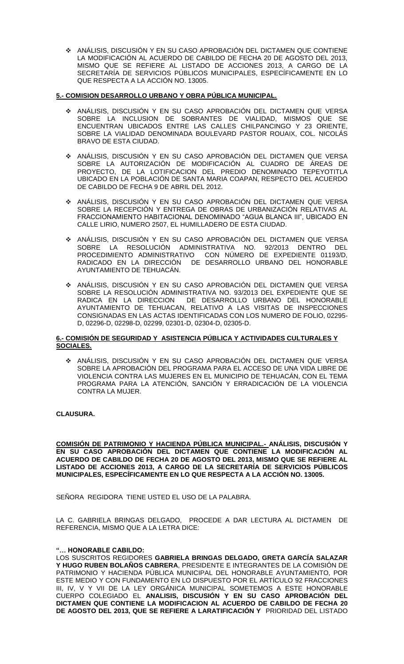ANÁLISIS, DISCUSIÓN Y EN SU CASO APROBACIÓN DEL DICTAMEN QUE CONTIENE LA MODIFICACIÓN AL ACUERDO DE CABILDO DE FECHA 20 DE AGOSTO DEL 2013, MISMO QUE SE REFIERE AL LISTADO DE ACCIONES 2013, A CARGO DE LA SECRETARÍA DE SERVICIOS PÚBLICOS MUNICIPALES, ESPECÍFICAMENTE EN LO QUE RESPECTA A LA ACCIÓN NO. 13005.

# **5.- COMISION DESARROLLO URBANO Y OBRA PÚBLICA MUNICIPAL.**

- ❖ ANALISIS, DISCUSION Y EN SU CASO APROBACION DEL DICTAMEN QUE VERSA SOBRE LA INCLUSION DE SOBRANTES DE VIALIDAD, MISMOS QUE SE ENCUENTRAN UBICADOS ENTRE LAS CALLES CHILPANCINGO Y 23 ORIENTE, SOBRE LA VIALIDAD DENOMINADA BOULEVARD PASTOR ROUAIX, COL. NICOLÁS BRAVO DE ESTA CIUDAD.
- ANÁLISIS, DISCUSIÓN Y EN SU CASO APROBACIÓN DEL DICTAMEN QUE VERSA SOBRE LA AUTORIZACIÓN DE MODIFICACIÓN AL CUADRO DE ÁREAS DE PROYECTO, DE LA LOTIFICACION DEL PREDIO DENOMINADO TEPEYOTITLA UBICADO EN LA POBLACIÓN DE SANTA MARIA COAPAN, RESPECTO DEL ACUERDO DE CABILDO DE FECHA 9 DE ABRIL DEL 2012.
- ANÁLISIS, DISCUSIÓN Y EN SU CASO APROBACIÓN DEL DICTAMEN QUE VERSA SOBRE LA RECEPCIÓN Y ENTREGA DE OBRAS DE URBANIZACIÓN RELATIVAS AL FRACCIONAMIENTO HABITACIONAL DENOMINADO "AGUA BLANCA III", UBICADO EN CALLE LIRIO, NUMERO 2507, EL HUMILLADERO DE ESTA CIUDAD.
- ANÁLISIS, DISCUSIÓN Y EN SU CASO APROBACIÓN DEL DICTAMEN QUE VERSA SOBRE LA RESOLUCIÓN ADMINISTRATIVA NO. 92/2013 DENTRO DEL PROCEDIMIENTO ADMINISTRATIVO CON NÚMERO DE EXPEDIENTE 01193/D, RADICADO EN LA DIRECCIÓN DE DESARROLLO URBANO DEL HONORABLE AYUNTAMIENTO DE TEHUACÁN.
- ANÁLISIS, DISCUSIÓN Y EN SU CASO APROBACIÓN DEL DICTAMEN QUE VERSA SOBRE LA RESOLUCIÓN ADMINISTRATIVA NO. 93/2013 DEL EXPEDIENTE QUE SE RADICA EN LA DIRECCION DE DESARROLLO URBANO DEL HONORABLE AYUNTAMIENTO DE TEHUACAN, RELATIVO A LAS VISITAS DE INSPECCIONES CONSIGNADAS EN LAS ACTAS IDENTIFICADAS CON LOS NUMERO DE FOLIO, 02295- D, 02296-D, 02298-D, 02299, 02301-D, 02304-D, 02305-D.

## **6.- COMISIÓN DE SEGURIDAD Y ASISTENCIA PÚBLICA Y ACTIVIDADES CULTURALES Y SOCIALES.**

 ANÁLISIS, DISCUSIÓN Y EN SU CASO APROBACIÓN DEL DICTAMEN QUE VERSA SOBRE LA APROBACIÓN DEL PROGRAMA PARA EL ACCESO DE UNA VIDA LIBRE DE VIOLENCIA CONTRA LAS MUJERES EN EL MUNICIPIO DE TEHUACÁN, CON EL TEMA PROGRAMA PARA LA ATENCIÓN, SANCIÓN Y ERRADICACIÓN DE LA VIOLENCIA CONTRA LA MUJER.

**CLAUSURA.**

**COMISIÓN DE PATRIMONIO Y HACIENDA PÚBLICA MUNICIPAL.- ANÁLISIS, DISCUSIÓN Y EN SU CASO APROBACIÓN DEL DICTAMEN QUE CONTIENE LA MODIFICACIÓN AL ACUERDO DE CABILDO DE FECHA 20 DE AGOSTO DEL 2013, MISMO QUE SE REFIERE AL LISTADO DE ACCIONES 2013, A CARGO DE LA SECRETARÍA DE SERVICIOS PÚBLICOS MUNICIPALES, ESPECÍFICAMENTE EN LO QUE RESPECTA A LA ACCIÓN NO. 13005.** 

SEÑORA REGIDORA TIENE USTED EL USO DE LA PALABRA.

LA C. GABRIELA BRINGAS DELGADO, PROCEDE A DAR LECTURA AL DICTAMEN DE REFERENCIA, MISMO QUE A LA LETRA DICE:

# **"… HONORABLE CABILDO:**

LOS SUSCRITOS REGIDORES **GABRIELA BRINGAS DELGADO, GRETA GARCÍA SALAZAR Y HUGO RUBEN BOLAÑOS CABRERA**, PRESIDENTE E INTEGRANTES DE LA COMISIÓN DE PATRIMONIO Y HACIENDA PÚBLICA MUNICIPAL DEL HONORABLE AYUNTAMIENTO, POR ESTE MEDIO Y CON FUNDAMENTO EN LO DISPUESTO POR EL ARTÍCULO 92 FRACCIONES III, IV, V Y VII DE LA LEY ORGÁNICA MUNICIPAL SOMETEMOS A ESTE HONORABLE CUERPO COLEGIADO EL **ANALISIS, DISCUSIÓN Y EN SU CASO APROBACIÓN DEL DICTAMEN QUE CONTIENE LA MODIFICACION AL ACUERDO DE CABILDO DE FECHA 20 DE AGOSTO DEL 2013, QUE SE REFIERE A LARATIFICACIÓN Y** PRIORIDAD DEL LISTADO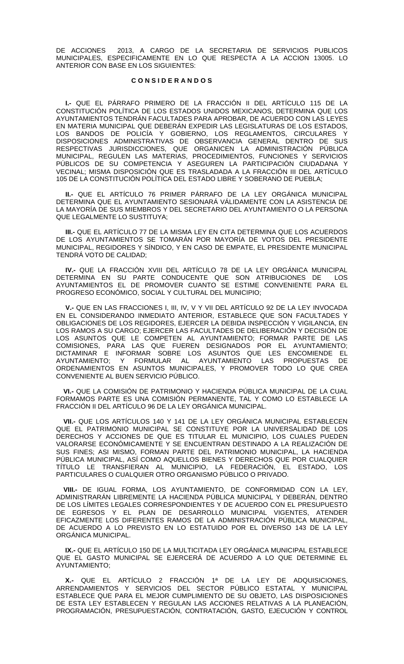DE ACCIONES 2013, A CARGO DE LA SECRETARIA DE SERVICIOS PUBLICOS MUNICIPALES, ESPECIFICAMENTE EN LO QUE RESPECTA A LA ACCION 13005. LO ANTERIOR CON BASE EN LOS SIGUIENTES:

## **C O N S I D E R A N D O S**

**I.-** QUE EL PÁRRAFO PRIMERO DE LA FRACCIÓN II DEL ARTÍCULO 115 DE LA CONSTITUCIÓN POLÍTICA DE LOS ESTADOS UNIDOS MEXICANOS, DETERMINA QUE LOS AYUNTAMIENTOS TENDRÁN FACULTADES PARA APROBAR, DE ACUERDO CON LAS LEYES EN MATERIA MUNICIPAL QUE DEBERÁN EXPEDIR LAS LEGISLATURAS DE LOS ESTADOS, LOS BANDOS DE POLICÍA Y GOBIERNO, LOS REGLAMENTOS, CIRCULARES Y DISPOSICIONES ADMINISTRATIVAS DE OBSERVANCIA GENERAL DENTRO DE SUS RESPECTIVAS JURISDICCIONES, QUE ORGANICEN LA ADMINISTRACIÓN PÚBLICA MUNICIPAL, REGULEN LAS MATERIAS, PROCEDIMIENTOS, FUNCIONES Y SERVICIOS PÚBLICOS DE SU COMPETENCIA Y ASEGUREN LA PARTICIPACIÓN CIUDADANA Y VECINAL; MISMA DISPOSICIÓN QUE ES TRASLADADA A LA FRACCIÓN III DEL ARTÍCULO 105 DE LA CONSTITUCIÓN POLÍTICA DEL ESTADO LIBRE Y SOBERANO DE PUEBLA;

**II.-** QUE EL ARTÍCULO 76 PRIMER PÁRRAFO DE LA LEY ORGÁNICA MUNICIPAL DETERMINA QUE EL AYUNTAMIENTO SESIONARÁ VÁLIDAMENTE CON LA ASISTENCIA DE LA MAYORÍA DE SUS MIEMBROS Y DEL SECRETARIO DEL AYUNTAMIENTO O LA PERSONA QUE LEGALMENTE LO SUSTITUYA;

**III.-** QUE EL ARTÍCULO 77 DE LA MISMA LEY EN CITA DETERMINA QUE LOS ACUERDOS DE LOS AYUNTAMIENTOS SE TOMARÁN POR MAYORÍA DE VOTOS DEL PRESIDENTE MUNICIPAL, REGIDORES Y SÍNDICO, Y EN CASO DE EMPATE, EL PRESIDENTE MUNICIPAL TENDRÁ VOTO DE CALIDAD;

**IV.-** QUE LA FRACCIÓN XVIII DEL ARTÍCULO 78 DE LA LEY ORGÁNICA MUNICIPAL DETERMINA EN SU PARTE CONDUCENTE QUE SON ATRIBUCIONES DE LOS AYUNTAMIENTOS EL DE PROMOVER CUANTO SE ESTIME CONVENIENTE PARA EL PROGRESO ECONÓMICO, SOCIAL Y CULTURAL DEL MUNICIPIO;

**V.-** QUE EN LAS FRACCIONES I, III, IV, V Y VII DEL ARTÍCULO 92 DE LA LEY INVOCADA EN EL CONSIDERANDO INMEDIATO ANTERIOR, ESTABLECE QUE SON FACULTADES Y OBLIGACIONES DE LOS REGIDORES, EJERCER LA DEBIDA INSPECCIÓN Y VIGILANCIA, EN LOS RAMOS A SU CARGO; EJERCER LAS FACULTADES DE DELIBERACIÓN Y DECISIÓN DE LOS ASUNTOS QUE LE COMPETEN AL AYUNTAMIENTO; FORMAR PARTE DE LAS COMISIONES, PARA LAS QUE FUEREN DESIGNADOS POR EL AYUNTAMIENTO; DICTAMINAR E INFORMAR SOBRE LOS ASUNTOS QUE LES ENCOMIENDE EL AYUNTAMIENTO; Y FORMULAR AL AYUNTAMIENTO LAS PROPUESTAS DE ORDENAMIENTOS EN ASUNTOS MUNICIPALES, Y PROMOVER TODO LO QUE CREA CONVENIENTE AL BUEN SERVICIO PÚBLICO.

 **VI.-** QUE LA COMISIÓN DE PATRIMONIO Y HACIENDA PÚBLICA MUNICIPAL DE LA CUAL FORMAMOS PARTE ES UNA COMISIÓN PERMANENTE, TAL Y COMO LO ESTABLECE LA FRACCIÓN II DEL ARTÍCULO 96 DE LA LEY ORGÁNICA MUNICIPAL.

 **VII.-** QUE LOS ARTÍCULOS 140 Y 141 DE LA LEY ORGÁNICA MUNICIPAL ESTABLECEN QUE EL PATRIMONIO MUNICIPAL SE CONSTITUYE POR LA UNIVERSALIDAD DE LOS DERECHOS Y ACCIONES DE QUE ES TITULAR EL MUNICIPIO, LOS CUALES PUEDEN VALORARSE ECONÓMICAMENTE Y SE ENCUENTRAN DESTINADO A LA REALIZACIÓN DE SUS FINES; ASI MISMO, FORMAN PARTE DEL PATRIMONIO MUNICIPAL, LA HACIENDA PÚBLICA MUNICIPAL, ASÍ COMO AQUELLOS BIENES Y DERECHOS QUE POR CUALQUIER TÍTULO LE TRANSFIERAN AL MUNICIPIO, LA FEDERACIÓN, EL ESTADO, LOS PARTICULARES O CUALQUIER OTRO ORGANISMO PÚBLICO O PRIVADO.

 **VIII.-** DE IGUAL FORMA, LOS AYUNTAMIENTO, DE CONFORMIDAD CON LA LEY, ADMINISTRARÁN LIBREMENTE LA HACIENDA PÚBLICA MUNICIPAL Y DEBERÁN, DENTRO DE LOS LÍMITES LEGALES CORRESPONDIENTES Y DE ACUERDO CON EL PRESUPUESTO DE EGRESOS Y EL PLAN DE DESARROLLO MUNICIPAL VIGENTES, ATENDER EFICAZMENTE LOS DIFERENTES RAMOS DE LA ADMINISTRACIÓN PÚBLICA MUNICIPAL, DE ACUERDO A LO PREVISTO EN LO ESTATUIDO POR EL DIVERSO 143 DE LA LEY ORGÁNICA MUNICIPAL.

 **IX.-** QUE EL ARTÍCULO 150 DE LA MULTICITADA LEY ORGÁNICA MUNICIPAL ESTABLECE QUE EL GASTO MUNICIPAL SE EJERCERÁ DE ACUERDO A LO QUE DETERMINE EL AYUNTAMIENTO;

 **X.-** QUE EL ARTÍCULO 2 FRACCIÓN 1ª DE LA LEY DE ADQUISICIONES, ARRENDAMIENTOS Y SERVICIOS DEL SECTOR PÚBLICO ESTATAL Y MUNICIPAL ESTABLECE QUE PARA EL MEJOR CUMPLIMIENTO DE SU OBJETO, LAS DISPOSICIONES DE ESTA LEY ESTABLECEN Y REGULAN LAS ACCIONES RELATIVAS A LA PLANEACIÓN, PROGRAMACIÓN, PRESUPUESTACIÓN, CONTRATACIÓN, GASTO, EJECUCIÓN Y CONTROL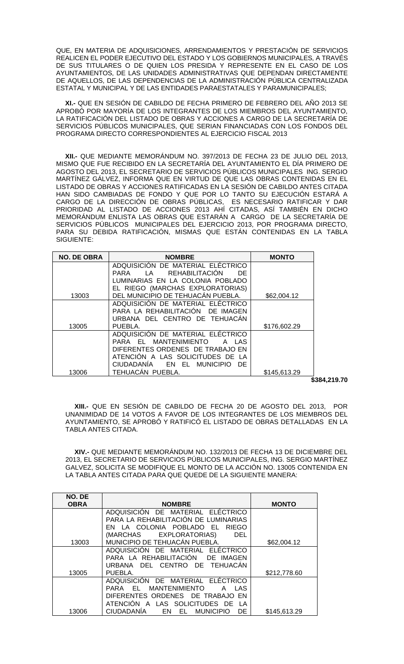QUE, EN MATERIA DE ADQUISICIONES, ARRENDAMIENTOS Y PRESTACIÓN DE SERVICIOS REALICEN EL PODER EJECUTIVO DEL ESTADO Y LOS GOBIERNOS MUNICIPALES, A TRAVÉS DE SUS TITULARES O DE QUIEN LOS PRESIDA Y REPRESENTE EN EL CASO DE LOS AYUNTAMIENTOS, DE LAS UNIDADES ADMINISTRATIVAS QUE DEPENDAN DIRECTAMENTE DE AQUELLOS, DE LAS DEPENDENCIAS DE LA ADMINISTRACIÓN PÚBLICA CENTRALIZADA ESTATAL Y MUNICIPAL Y DE LAS ENTIDADES PARAESTATALES Y PARAMUNICIPALES;

 **XI.-** QUE EN SESIÓN DE CABILDO DE FECHA PRIMERO DE FEBRERO DEL AÑO 2013 SE APROBÓ POR MAYORÍA DE LOS INTEGRANTES DE LOS MIEMBROS DEL AYUNTAMIENTO, LA RATIFICACIÓN DEL LISTADO DE OBRAS Y ACCIONES A CARGO DE LA SECRETARÍA DE SERVICIOS PÚBLICOS MUNICIPALES, QUE SERIAN FINANCIADAS CON LOS FONDOS DEL PROGRAMA DIRECTO CORRESPONDIENTES AL EJERCICIO FISCAL 2013

 **XII.-** QUE MEDIANTE MEMORÁNDUM NO. 397/2013 DE FECHA 23 DE JULIO DEL 2013, MISMO QUE FUE RECIBIDO EN LA SECRETARÍA DEL AYUNTAMIENTO EL DÍA PRIMERO DE AGOSTO DEL 2013, EL SECRETARIO DE SERVICIOS PÚBLICOS MUNICIPALES ING. SERGIO MARTÍNEZ GÁLVEZ, INFORMA QUE EN VIRTUD DE QUE LAS OBRAS CONTENIDAS EN EL LISTADO DE OBRAS Y ACCIONES RATIFICADAS EN LA SESIÓN DE CABILDO ANTES CITADA HAN SIDO CAMBIADAS DE FONDO Y QUE POR LO TANTO SU EJECUCIÓN ESTARÁ A CARGO DE LA DIRECCIÓN DE OBRAS PÚBLICAS, ES NECESARIO RATIFICAR Y DAR PRIORIDAD AL LISTADO DE ACCIONES 2013 AHÍ CITADAS, ASÍ TAMBIÉN EN DICHO MEMORÁNDUM ENLISTA LAS OBRAS QUE ESTARÁN A CARGO DE LA SECRETARÍA DE SERVICIOS PÚBLICOS MUNICIPALES DEL EJERCICIO 2013, POR PROGRAMA DIRECTO, PARA SU DEBIDA RATIFICACIÓN, MISMAS QUE ESTÁN CONTENIDAS EN LA TABLA SIGUIENTE:

| <b>NO. DE OBRA</b> | <b>NOMBRE</b>                                         | <b>MONTO</b> |
|--------------------|-------------------------------------------------------|--------------|
|                    | ADQUISICIÓN DE MATERIAL ELÉCTRICO                     |              |
|                    | REHABILITACIÓN<br>ΙA<br>PARA<br>DE                    |              |
|                    | LUMINARIAS EN LA COLONIA POBLADO                      |              |
|                    | EL RIEGO (MARCHAS EXPLORATORIAS)                      |              |
| 13003              | DEL MUNICIPIO DE TEHUACÁN PUEBLA.                     | \$62,004.12  |
|                    | ADQUISICIÓN DE MATERIAL ELÉCTRICO                     |              |
|                    | PARA LA REHABILITACIÓN DE IMAGEN                      |              |
|                    | URBANA DEL CENTRO DE TEHUACÁN                         |              |
| 13005              | PUEBLA.                                               | \$176,602.29 |
|                    | ADQUISICIÓN DE MATERIAL ELÉCTRICO                     |              |
|                    | MANTENIMIENTO<br>PARA EL<br>I AS                      |              |
|                    | DIFERENTES ORDENES DE TRABAJO EN                      |              |
|                    | ATENCIÓN A LAS SOLICITUDES DE LA                      |              |
|                    | <b>CIUDADANIA</b><br>EN EL<br><b>MUNICIPIO</b><br>DE. |              |
| 13006              | TEHUACAN PUEBLA.                                      | \$145,613.29 |

**\$384,219.70**

 **XIII.-** QUE EN SESIÓN DE CABILDO DE FECHA 20 DE AGOSTO DEL 2013, POR UNANIMIDAD DE 14 VOTOS A FAVOR DE LOS INTEGRANTES DE LOS MIEMBROS DEL AYUNTAMIENTO, SE APROBÓ Y RATIFICÓ EL LISTADO DE OBRAS DETALLADAS EN LA TABLA ANTES CITADA.

 **XIV.-** QUE MEDIANTE MEMORÁNDUM NO. 132/2013 DE FECHA 13 DE DICIEMBRE DEL 2013, EL SECRETARIO DE SERVICIOS PÚBLICOS MUNICIPALES, ING. SERGIO MARTÍNEZ GALVEZ, SOLICITA SE MODIFIQUE EL MONTO DE LA ACCIÓN NO. 13005 CONTENIDA EN LA TABLA ANTES CITADA PARA QUE QUEDE DE LA SIGUIENTE MANERA:

| NO. DE      |                                                      |              |
|-------------|------------------------------------------------------|--------------|
| <b>OBRA</b> | <b>NOMBRE</b>                                        | <b>MONTO</b> |
|             | ADQUISICION DE MATERIAL ELECTRICO                    |              |
|             | PARA LA REHABILITACIÓN DE LUMINARIAS                 |              |
|             | EN LA COLONIA POBLADO EL<br><b>RIEGO</b>             |              |
|             | (MARCHAS EXPLORATORIAS)<br><b>DEL</b>                |              |
| 13003       | MUNICIPIO DE TEHUACÁN PUEBLA.                        | \$62,004.12  |
|             | ELÉCTRICO<br>ADQUISICION DE MATERIAL                 |              |
|             | PARA LA REHABILITACIÓN<br>DE IMAGEN                  |              |
|             | URBANA DEL CENTRO DE TEHUACÁN                        |              |
| 13005       | PUEBLA.                                              | \$212,778.60 |
|             | ADQUISICIÓN DE MATERIAL ELÉCTRICO                    |              |
|             | <b>MANTENIMIENTO</b><br>PARA<br>EL.<br>LAS<br>А      |              |
|             | DIFERENTES ORDENES DE TRABAJO EN                     |              |
|             | <b>ATENCION</b><br>LAS SOLICITUDES DE<br>A<br>LA     |              |
| 13006       | <b>CIUDADANÍA</b><br><b>MUNICIPIO</b><br>DE<br>EN EL | \$145,613.29 |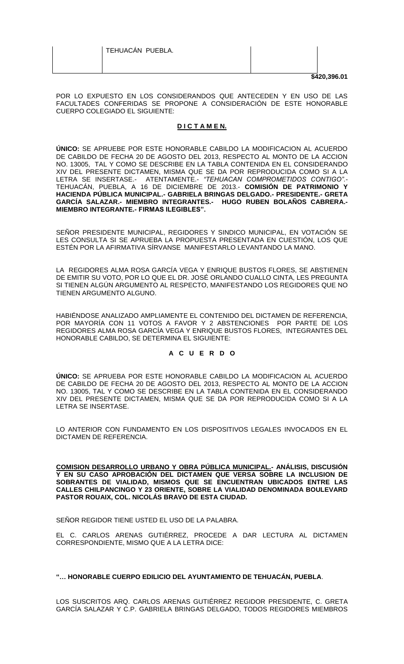|                  | \$420,396.01 |
|------------------|--------------|
|                  |              |
| TEHUACÁN PUEBLA. |              |

POR LO EXPUESTO EN LOS CONSIDERANDOS QUE ANTECEDEN Y EN USO DE LAS FACULTADES CONFERIDAS SE PROPONE A CONSIDERACIÓN DE ESTE HONORABLE CUERPO COLEGIADO EL SIGUIENTE:

# **D I C T A M E N.**

**ÚNICO:** SE APRUEBE POR ESTE HONORABLE CABILDO LA MODIFICACION AL ACUERDO DE CABILDO DE FECHA 20 DE AGOSTO DEL 2013, RESPECTO AL MONTO DE LA ACCION NO. 13005, TAL Y COMO SE DESCRIBE EN LA TABLA CONTENIDA EN EL CONSIDERANDO XIV DEL PRESENTE DICTAMEN, MISMA QUE SE DA POR REPRODUCIDA COMO SI A LA LETRA SE INSERTASE.- ATENTAMENTE.- *"TEHUACAN COMPROMETIDOS CONTIGO".-* TEHUACÁN, PUEBLA, A 16 DE DICIEMBRE DE 2013.- **COMISIÓN DE PATRIMONIO Y HACIENDA PÚBLICA MUNICIPAL.- GABRIELA BRINGAS DELGADO.- PRESIDENTE.- GRETA GARCÍA SALAZAR.- MIEMBRO INTEGRANTES.- HUGO RUBEN BOLAÑOS CABRERA.- MIEMBRO INTEGRANTE.- FIRMAS ILEGIBLES".**

SEÑOR PRESIDENTE MUNICIPAL, REGIDORES Y SINDICO MUNICIPAL, EN VOTACIÓN SE LES CONSULTA SI SE APRUEBA LA PROPUESTA PRESENTADA EN CUESTIÓN, LOS QUE ESTÉN POR LA AFIRMATIVA SÍRVANSE MANIFESTARLO LEVANTANDO LA MANO.

LA REGIDORES ALMA ROSA GARCÍA VEGA Y ENRIQUE BUSTOS FLORES, SE ABSTIENEN DE EMITIR SU VOTO, POR LO QUE EL DR. JOSÉ ORLANDO CUALLO CINTA, LES PREGUNTA SI TIENEN ALGÚN ARGUMENTO AL RESPECTO, MANIFESTANDO LOS REGIDORES QUE NO TIENEN ARGUMENTO ALGUNO.

HABIÉNDOSE ANALIZADO AMPLIAMENTE EL CONTENIDO DEL DICTAMEN DE REFERENCIA, POR MAYORÍA CON 11 VOTOS A FAVOR Y 2 ABSTENCIONES POR PARTE DE LOS REGIDORES ALMA ROSA GARCÍA VEGA Y ENRIQUE BUSTOS FLORES, INTEGRANTES DEL HONORABLE CABILDO, SE DETERMINA EL SIGUIENTE:

# **A C U E R D O**

**ÚNICO:** SE APRUEBA POR ESTE HONORABLE CABILDO LA MODIFICACION AL ACUERDO DE CABILDO DE FECHA 20 DE AGOSTO DEL 2013, RESPECTO AL MONTO DE LA ACCION NO. 13005, TAL Y COMO SE DESCRIBE EN LA TABLA CONTENIDA EN EL CONSIDERANDO XIV DEL PRESENTE DICTAMEN, MISMA QUE SE DA POR REPRODUCIDA COMO SI A LA LETRA SE INSERTASE.

LO ANTERIOR CON FUNDAMENTO EN LOS DISPOSITIVOS LEGALES INVOCADOS EN EL DICTAMEN DE REFERENCIA.

**COMISION DESARROLLO URBANO Y OBRA PÚBLICA MUNICIPAL.- ANÁLISIS, DISCUSIÓN Y EN SU CASO APROBACIÓN DEL DICTAMEN QUE VERSA SOBRE LA INCLUSION DE SOBRANTES DE VIALIDAD, MISMOS QUE SE ENCUENTRAN UBICADOS ENTRE LAS CALLES CHILPANCINGO Y 23 ORIENTE, SOBRE LA VIALIDAD DENOMINADA BOULEVARD PASTOR ROUAIX, COL. NICOLÁS BRAVO DE ESTA CIUDAD.** 

SEÑOR REGIDOR TIENE USTED EL USO DE LA PALABRA.

EL C. CARLOS ARENAS GUTIÉRREZ, PROCEDE A DAR LECTURA AL DICTAMEN CORRESPONDIENTE, MISMO QUE A LA LETRA DICE:

# **"… HONORABLE CUERPO EDILICIO DEL AYUNTAMIENTO DE TEHUACÁN, PUEBLA**.

LOS SUSCRITOS ARQ. CARLOS ARENAS GUTIÉRREZ REGIDOR PRESIDENTE, C. GRETA GARCÍA SALAZAR Y C.P. GABRIELA BRINGAS DELGADO, TODOS REGIDORES MIEMBROS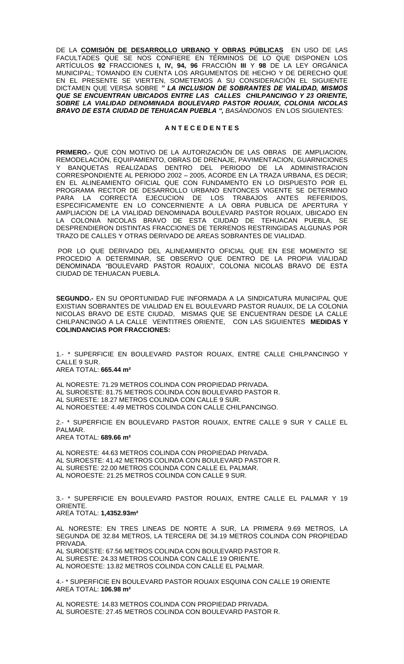DE LA **COMISIÓN DE DESARROLLO URBANO Y OBRAS PÚBLICAS** EN USO DE LAS FACULTADES QUE SE NOS CONFIERE EN TÉRMINOS DE LO QUE DISPONEN LOS ARTÍCULOS **92** FRACCIONES **I, IV, 94, 96** FRACCIÓN **III** Y **98** DE LA LEY ORGÁNICA MUNICIPAL; TOMANDO EN CUENTA LOS ARGUMENTOS DE HECHO Y DE DERECHO QUE EN EL PRESENTE SE VIERTEN, SOMETEMOS A SU CONSIDERACIÓN EL SIGUIENTE DICTAMEN QUE VERSA SOBRE *" LA INCLUSION DE SOBRANTES DE VIALIDAD, MISMOS QUE SE ENCUENTRAN UBICADOS ENTRE LAS CALLES CHILPANCINGO Y 23 ORIENTE, SOBRE LA VIALIDAD DENOMINADA BOULEVARD PASTOR ROUAIX, COLONIA NICOLAS BRAVO DE ESTA CIUDAD DE TEHUACAN PUEBLA ", BASÁNDONOS* EN LOS SIGUIENTES:

## **A N T E C E D E N T E S**

**PRIMERO.-** QUE CON MOTIVO DE LA AUTORIZACIÓN DE LAS OBRAS DE AMPLIACION, REMODELACIÓN, EQUIPAMIENTO, OBRAS DE DRENAJE, PAVIMENTACION, GUARNICIONES Y BANQUETAS REALIZADAS DENTRO DEL PERIODO DE LA ADMINISTRACION CORRESPONDIENTE AL PERIODO 2002 – 2005, ACORDE EN LA TRAZA URBANA, ES DECIR; EN EL ALINEAMIENTO OFICIAL QUE CON FUNDAMENTO EN LO DISPUESTO POR EL PROGRAMA RECTOR DE DESARROLLO URBANO ENTONCES VIGENTE SE DETERMINO PARA LA CORRECTA EJECUCION DE LOS TRABAJOS ANTES REFERIDOS, ESPECIFICAMENTE EN LO CONCERNIENTE A LA OBRA PUBLICA DE APERTURA Y AMPLIACION DE LA VIALIDAD DENOMINADA BOULEVARD PASTOR ROUAIX, UBICADO EN LA COLONIA NICOLAS BRAVO DE ESTA CIUDAD DE TEHUACAN PUEBLA, SE DESPRENDIERON DISTINTAS FRACCIONES DE TERRENOS RESTRINGIDAS ALGUNAS POR TRAZO DE CALLES Y OTRAS DERIVADO DE AREAS SOBRANTES DE VIALIDAD.

POR LO QUE DERIVADO DEL ALINEAMIENTO OFICIAL QUE EN ESE MOMENTO SE PROCEDIO A DETERMINAR, SE OBSERVO QUE DENTRO DE LA PROPIA VIALIDAD DENOMINADA "BOULEVARD PASTOR ROAUIX", COLONIA NICOLAS BRAVO DE ESTA CIUDAD DE TEHUACAN PUEBLA.

**SEGUNDO.-** EN SU OPORTUNIDAD FUE INFORMADA A LA SINDICATURA MUNICIPAL QUE EXISTIAN SOBRANTES DE VIALIDAD EN EL BOULEVARD PASTOR RUAUIX, DE LA COLONIA NICOLAS BRAVO DE ESTE CIUDAD, MISMAS QUE SE ENCUENTRAN DESDE LA CALLE CHILPANCINGO A LA CALLE VEINTITRES ORIENTE, CON LAS SIGUIENTES **MEDIDAS Y COLINDANCIAS POR FRACCIONES:**

1.- \* SUPERFICIE EN BOULEVARD PASTOR ROUAIX, ENTRE CALLE CHILPANCINGO Y CALLE 9 SUR. AREA TOTAL: **665.44 m²**

AL NORESTE: 71.29 METROS COLINDA CON PROPIEDAD PRIVADA. AL SUROESTE: 81.75 METROS COLINDA CON BOULEVARD PASTOR R. AL SURESTE: 18.27 METROS COLINDA CON CALLE 9 SUR. AL NOROESTEE: 4.49 METROS COLINDA CON CALLE CHILPANCINGO.

2.- \* SUPERFICIE EN BOULEVARD PASTOR ROUAIX, ENTRE CALLE 9 SUR Y CALLE EL PALMAR.

AREA TOTAL: **689.66 m²**

AL NORESTE: 44.63 METROS COLINDA CON PROPIEDAD PRIVADA. AL SUROESTE: 41.42 METROS COLINDA CON BOULEVARD PASTOR R. AL SURESTE: 22.00 METROS COLINDA CON CALLE EL PALMAR. AL NOROESTE: 21.25 METROS COLINDA CON CALLE 9 SUR.

3.- \* SUPERFICIE EN BOULEVARD PASTOR ROUAIX, ENTRE CALLE EL PALMAR Y 19 ORIENTE. AREA TOTAL: **1,4352.93m²**

AL NORESTE: EN TRES LINEAS DE NORTE A SUR, LA PRIMERA 9.69 METROS, LA SEGUNDA DE 32.84 METROS, LA TERCERA DE 34.19 METROS COLINDA CON PROPIEDAD **PRIVADA** 

AL SUROESTE: 67.56 METROS COLINDA CON BOULEVARD PASTOR R. AL SURESTE: 24.33 METROS COLINDA CON CALLE 19 ORIENTE. AL NOROESTE: 13.82 METROS COLINDA CON CALLE EL PALMAR.

4.- \* SUPERFICIE EN BOULEVARD PASTOR ROUAIX ESQUINA CON CALLE 19 ORIENTE AREA TOTAL: **106.98 m²**

AL NORESTE: 14.83 METROS COLINDA CON PROPIEDAD PRIVADA. AL SUROESTE: 27.45 METROS COLINDA CON BOULEVARD PASTOR R.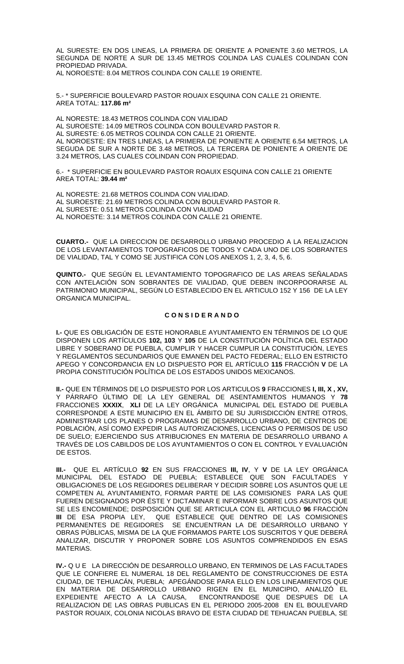AL SURESTE: EN DOS LINEAS, LA PRIMERA DE ORIENTE A PONIENTE 3.60 METROS, LA SEGUNDA DE NORTE A SUR DE 13.45 METROS COLINDA LAS CUALES COLINDAN CON PROPIEDAD PRIVADA. AL NOROESTE: 8.04 METROS COLINDA CON CALLE 19 ORIENTE.

5.- \* SUPERFICIE BOULEVARD PASTOR ROUAIX ESQUINA CON CALLE 21 ORIENTE. AREA TOTAL: **117.86 m²**

AL NORESTE: 18.43 METROS COLINDA CON VIALIDAD AL SUROESTE: 14.09 METROS COLINDA CON BOULEVARD PASTOR R. AL SURESTE: 6.05 METROS COLINDA CON CALLE 21 ORIENTE. AL NOROESTE: EN TRES LINEAS, LA PRIMERA DE PONIENTE A ORIENTE 6.54 METROS, LA SEGUDA DE SUR A NORTE DE 3.48 METROS, LA TERCERA DE PONIENTE A ORIENTE DE 3.24 METROS, LAS CUALES COLINDAN CON PROPIEDAD.

6.- \* SUPERFICIE EN BOULEVARD PASTOR ROAUIX ESQUINA CON CALLE 21 ORIENTE AREA TOTAL: **39.44 m²**

AL NORESTE: 21.68 METROS COLINDA CON VIALIDAD. AL SUROESTE: 21.69 METROS COLINDA CON BOULEVARD PASTOR R. AL SURESTE: 0.51 METROS COLINDA CON VIALIDAD AL NOROESTE: 3.14 METROS COLINDA CON CALLE 21 ORIENTE.

**CUARTO.-** QUE LA DIRECCION DE DESARROLLO URBANO PROCEDIO A LA REALIZACION DE LOS LEVANTAMIENTOS TOPOGRAFICOS DE TODOS Y CADA UNO DE LOS SOBRANTES DE VIALIDAD, TAL Y COMO SE JUSTIFICA CON LOS ANEXOS 1, 2, 3, 4, 5, 6.

**QUINTO.-** QUE SEGÚN EL LEVANTAMIENTO TOPOGRAFICO DE LAS AREAS SEÑALADAS CON ANTELACIÓN SON SOBRANTES DE VIALIDAD, QUE DEBEN INCORPOORARSE AL PATRIMONIO MUNICIPAL, SEGÚN LO ESTABLECIDO EN EL ARTICULO 152 Y 156 DE LA LEY ORGANICA MUNICIPAL.

# **C O N S I D E R A N D O**

**I.-** QUE ES OBLIGACIÓN DE ESTE HONORABLE AYUNTAMIENTO EN TÉRMINOS DE LO QUE DISPONEN LOS ARTÍCULOS **102, 103** Y **105** DE LA CONSTITUCIÓN POLÍTICA DEL ESTADO LIBRE Y SOBERANO DE PUEBLA, CUMPLIR Y HACER CUMPLIR LA CONSTITUCIÓN, LEYES Y REGLAMENTOS SECUNDARIOS QUE EMANEN DEL PACTO FEDERAL; ELLO EN ESTRICTO APEGO Y CONCORDANCIA EN LO DISPUESTO POR EL ARTÍCULO **115** FRACCIÓN **V** DE LA PROPIA CONSTITUCIÓN POLÍTICA DE LOS ESTADOS UNIDOS MEXICANOS.

**II.-** QUE EN TÉRMINOS DE LO DISPUESTO POR LOS ARTICULOS **9** FRACCIONES **I, III, X , XV,**  Y PÁRRAFO ÚLTIMO DE LA LEY GENERAL DE ASENTAMIENTOS HUMANOS Y **78** FRACCIONES **XXXIX**, **XLI** DE LA LEY ORGÁNICA MUNICIPAL DEL ESTADO DE PUEBLA CORRESPONDE A ESTE MUNICIPIO EN EL ÁMBITO DE SU JURISDICCIÓN ENTRE OTROS, ADMINISTRAR LOS PLANES O PROGRAMAS DE DESARROLLO URBANO, DE CENTROS DE POBLACIÓN, ASÍ COMO EXPEDIR LAS AUTORIZACIONES, LICENCIAS O PERMISOS DE USO DE SUELO; EJERCIENDO SUS ATRIBUCIONES EN MATERIA DE DESARROLLO URBANO A TRAVÉS DE LOS CABILDOS DE LOS AYUNTAMIENTOS O CON EL CONTROL Y EVALUACIÓN DE ESTOS.

**III.-** QUE EL ARTÍCULO **92** EN SUS FRACCIONES **III, IV**, Y **V** DE LA LEY ORGÁNICA MUNICIPAL DEL ESTADO DE PUEBLA; ESTABLECE QUE SON FACULTADES Y OBLIGACIONES DE LOS REGIDORES DELIBERAR Y DECIDIR SOBRE LOS ASUNTOS QUE LE COMPETEN AL AYUNTAMIENTO, FORMAR PARTE DE LAS COMISIONES PARA LAS QUE FUEREN DESIGNADOS POR ÉSTE Y DICTAMINAR E INFORMAR SOBRE LOS ASUNTOS QUE SE LES ENCOMIENDE; DISPOSICIÓN QUE SE ARTICULA CON EL ARTICULO **96** FRACCIÓN **III** DE ESA PROPIA LEY, QUE ESTABLECE QUE DENTRO DE LAS COMISIONES PERMANENTES DE REGIDORES SE ENCUENTRAN LA DE DESARROLLO URBANO Y OBRAS PÚBLICAS, MISMA DE LA QUE FORMAMOS PARTE LOS SUSCRITOS Y QUE DEBERÁ ANALIZAR, DISCUTIR Y PROPONER SOBRE LOS ASUNTOS COMPRENDIDOS EN ESAS MATERIAS.

**IV.-** Q U E LA DIRECCIÓN DE DESARROLLO URBANO, EN TERMINOS DE LAS FACULTADES QUE LE CONFIERE EL NUMERAL 18 DEL REGLAMENTO DE CONSTRUCCIONES DE ESTA CIUDAD, DE TEHUACÁN, PUEBLA; APEGÁNDOSE PARA ELLO EN LOS LINEAMIENTOS QUE EN MATERIA DE DESARROLLO URBANO RIGEN EN EL MUNICIPIO, ANALIZÓ EL EXPEDIENTE AFECTO A LA CAUSA, ENCONTRANDOSE QUE DESPUES DE LA REALIZACION DE LAS OBRAS PUBLICAS EN EL PERIODO 2005-2008 EN EL BOULEVARD PASTOR ROUAIX, COLONIA NICOLAS BRAVO DE ESTA CIUDAD DE TEHUACAN PUEBLA, SE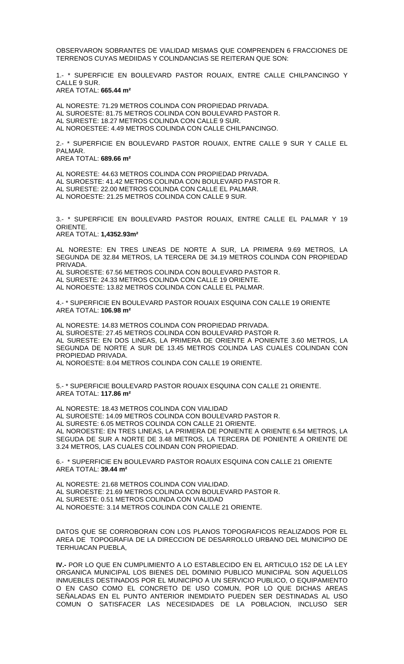OBSERVARON SOBRANTES DE VIALIDAD MISMAS QUE COMPRENDEN 6 FRACCIONES DE TERRENOS CUYAS MEDIIDAS Y COLINDANCIAS SE REITERAN QUE SON:

1.- \* SUPERFICIE EN BOULEVARD PASTOR ROUAIX, ENTRE CALLE CHILPANCINGO Y CALLE 9 SUR. AREA TOTAL: **665.44 m²**

AL NORESTE: 71.29 METROS COLINDA CON PROPIEDAD PRIVADA. AL SUROESTE: 81.75 METROS COLINDA CON BOULEVARD PASTOR R. AL SURESTE: 18.27 METROS COLINDA CON CALLE 9 SUR. AL NOROESTEE: 4.49 METROS COLINDA CON CALLE CHILPANCINGO.

2.- \* SUPERFICIE EN BOULEVARD PASTOR ROUAIX, ENTRE CALLE 9 SUR Y CALLE EL PALMAR.

AREA TOTAL: **689.66 m²**

AL NORESTE: 44.63 METROS COLINDA CON PROPIEDAD PRIVADA. AL SUROESTE: 41.42 METROS COLINDA CON BOULEVARD PASTOR R. AL SURESTE: 22.00 METROS COLINDA CON CALLE EL PALMAR. AL NOROESTE: 21.25 METROS COLINDA CON CALLE 9 SUR.

3.- \* SUPERFICIE EN BOULEVARD PASTOR ROUAIX, ENTRE CALLE EL PALMAR Y 19 ORIENTE. AREA TOTAL: **1,4352.93m²**

AL NORESTE: EN TRES LINEAS DE NORTE A SUR, LA PRIMERA 9.69 METROS, LA SEGUNDA DE 32.84 METROS, LA TERCERA DE 34.19 METROS COLINDA CON PROPIEDAD PRIVADA.

AL SUROESTE: 67.56 METROS COLINDA CON BOULEVARD PASTOR R. AL SURESTE: 24.33 METROS COLINDA CON CALLE 19 ORIENTE. AL NOROESTE: 13.82 METROS COLINDA CON CALLE EL PALMAR.

4.- \* SUPERFICIE EN BOULEVARD PASTOR ROUAIX ESQUINA CON CALLE 19 ORIENTE AREA TOTAL: **106.98 m²**

AL NORESTE: 14.83 METROS COLINDA CON PROPIEDAD PRIVADA. AL SUROESTE: 27.45 METROS COLINDA CON BOULEVARD PASTOR R. AL SURESTE: EN DOS LINEAS, LA PRIMERA DE ORIENTE A PONIENTE 3.60 METROS, LA SEGUNDA DE NORTE A SUR DE 13.45 METROS COLINDA LAS CUALES COLINDAN CON PROPIEDAD PRIVADA. AL NOROESTE: 8.04 METROS COLINDA CON CALLE 19 ORIENTE.

5.- \* SUPERFICIE BOULEVARD PASTOR ROUAIX ESQUINA CON CALLE 21 ORIENTE. AREA TOTAL: **117.86 m²**

AL NORESTE: 18.43 METROS COLINDA CON VIALIDAD AL SUROESTE: 14.09 METROS COLINDA CON BOULEVARD PASTOR R. AL SURESTE: 6.05 METROS COLINDA CON CALLE 21 ORIENTE. AL NOROESTE: EN TRES LINEAS, LA PRIMERA DE PONIENTE A ORIENTE 6.54 METROS, LA SEGUDA DE SUR A NORTE DE 3.48 METROS, LA TERCERA DE PONIENTE A ORIENTE DE 3.24 METROS, LAS CUALES COLINDAN CON PROPIEDAD.

6.- \* SUPERFICIE EN BOULEVARD PASTOR ROAUIX ESQUINA CON CALLE 21 ORIENTE AREA TOTAL: **39.44 m²**

AL NORESTE: 21.68 METROS COLINDA CON VIALIDAD. AL SUROESTE: 21.69 METROS COLINDA CON BOULEVARD PASTOR R. AL SURESTE: 0.51 METROS COLINDA CON VIALIDAD AL NOROESTE: 3.14 METROS COLINDA CON CALLE 21 ORIENTE.

DATOS QUE SE CORROBORAN CON LOS PLANOS TOPOGRAFICOS REALIZADOS POR EL AREA DE TOPOGRAFIA DE LA DIRECCION DE DESARROLLO URBANO DEL MUNICIPIO DE TERHUACAN PUEBLA,

**IV.-** POR LO QUE EN CUMPLIMIENTO A LO ESTABLECIDO EN EL ARTICULO 152 DE LA LEY ORGANICA MUNICIPAL LOS BIENES DEL DOMINIO PUBLICO MUNICIPAL SON AQUELLOS INMUEBLES DESTINADOS POR EL MUNICIPIO A UN SERVICIO PUBLICO, O EQUIPAMIENTO O EN CASO COMO EL CONCRETO DE USO COMUN, POR LO QUE DICHAS AREAS SEÑALADAS EN EL PUNTO ANTERIOR INEMDIATO PUEDEN SER DESTINADAS AL USO COMUN O SATISFACER LAS NECESIDADES DE LA POBLACION, INCLUSO SER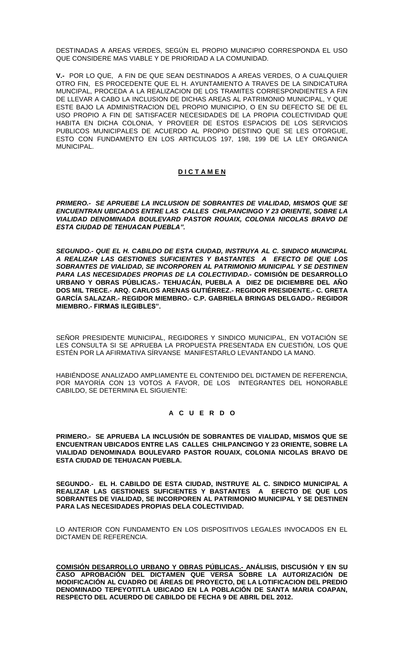DESTINADAS A AREAS VERDES, SEGÚN EL PROPIO MUNICIPIO CORRESPONDA EL USO QUE CONSIDERE MAS VIABLE Y DE PRIORIDAD A LA COMUNIDAD.

**V.-** POR LO QUE, A FIN DE QUE SEAN DESTINADOS A AREAS VERDES, O A CUALQUIER OTRO FIN, ES PROCEDENTE QUE EL H. AYUNTAMIENTO A TRAVES DE LA SINDICATURA MUNCIPAL, PROCEDA A LA REALIZACION DE LOS TRAMITES CORRESPONDIENTES A FIN DE LLEVAR A CABO LA INCLUSION DE DICHAS AREAS AL PATRIMONIO MUNICIPAL, Y QUE ESTE BAJO LA ADMINISTRACION DEL PROPIO MUNICIPIO, O EN SU DEFECTO SE DE EL USO PROPIO A FIN DE SATISFACER NECESIDADES DE LA PROPIA COLECTIVIDAD QUE HABITA EN DICHA COLONIA, Y PROVEER DE ESTOS ESPACIOS DE LOS SERVICIOS PUBLICOS MUNICIPALES DE ACUERDO AL PROPIO DESTINO QUE SE LES OTORGUE, ESTO CON FUNDAMENTO EN LOS ARTICULOS 197, 198, 199 DE LA LEY ORGANICA MUNICIPAL.

# **D I C T A M E N**

*PRIMERO.- SE APRUEBE LA INCLUSION DE SOBRANTES DE VIALIDAD, MISMOS QUE SE ENCUENTRAN UBICADOS ENTRE LAS CALLES CHILPANCINGO Y 23 ORIENTE, SOBRE LA VIALIDAD DENOMINADA BOULEVARD PASTOR ROUAIX, COLONIA NICOLAS BRAVO DE ESTA CIUDAD DE TEHUACAN PUEBLA".*

*SEGUNDO.- QUE EL H. CABILDO DE ESTA CIUDAD, INSTRUYA AL C. SINDICO MUNICIPAL A REALIZAR LAS GESTIONES SUFICIENTES Y BASTANTES A EFECTO DE QUE LOS SOBRANTES DE VIALIDAD, SE INCORPOREN AL PATRIMONIO MUNICIPAL Y SE DESTINEN PARA LAS NECESIDADES PROPIAS DE LA COLECTIVIDAD.-* **COMISIÓN DE DESARROLLO URBANO Y OBRAS PÚBLICAS.- TEHUACÁN, PUEBLA A DIEZ DE DICIEMBRE DEL AÑO DOS MIL TRECE.- ARQ. CARLOS ARENAS GUTIÉRREZ.- REGIDOR PRESIDENTE.- C. GRETA GARCÍA SALAZAR.- REGIDOR MIEMBRO.- C.P. GABRIELA BRINGAS DELGADO.- REGIDOR MIEMBRO.- FIRMAS ILEGIBLES".**

SEÑOR PRESIDENTE MUNICIPAL, REGIDORES Y SINDICO MUNICIPAL, EN VOTACIÓN SE LES CONSULTA SI SE APRUEBA LA PROPUESTA PRESENTADA EN CUESTIÓN, LOS QUE ESTÉN POR LA AFIRMATIVA SÍRVANSE MANIFESTARLO LEVANTANDO LA MANO.

HABIÉNDOSE ANALIZADO AMPLIAMENTE EL CONTENIDO DEL DICTAMEN DE REFERENCIA, POR MAYORÍA CON 13 VOTOS A FAVOR, DE LOS INTEGRANTES DEL HONORABLE CABILDO, SE DETERMINA EL SIGUIENTE:

# **A C U E R D O**

**PRIMERO.- SE APRUEBA LA INCLUSIÓN DE SOBRANTES DE VIALIDAD, MISMOS QUE SE ENCUENTRAN UBICADOS ENTRE LAS CALLES CHILPANCINGO Y 23 ORIENTE, SOBRE LA VIALIDAD DENOMINADA BOULEVARD PASTOR ROUAIX, COLONIA NICOLAS BRAVO DE ESTA CIUDAD DE TEHUACAN PUEBLA.**

**SEGUNDO.- EL H. CABILDO DE ESTA CIUDAD, INSTRUYE AL C. SINDICO MUNICIPAL A REALIZAR LAS GESTIONES SUFICIENTES Y BASTANTES A EFECTO DE QUE LOS SOBRANTES DE VIALIDAD, SE INCORPOREN AL PATRIMONIO MUNICIPAL Y SE DESTINEN PARA LAS NECESIDADES PROPIAS DELA COLECTIVIDAD.** 

LO ANTERIOR CON FUNDAMENTO EN LOS DISPOSITIVOS LEGALES INVOCADOS EN EL DICTAMEN DE REFERENCIA.

**COMISIÓN DESARROLLO URBANO Y OBRAS PÚBLICAS.- ANÁLISIS, DISCUSIÓN Y EN SU CASO APROBACIÓN DEL DICTAMEN QUE VERSA SOBRE LA AUTORIZACIÓN DE MODIFICACIÓN AL CUADRO DE ÁREAS DE PROYECTO, DE LA LOTIFICACION DEL PREDIO DENOMINADO TEPEYOTITLA UBICADO EN LA POBLACIÓN DE SANTA MARIA COAPAN, RESPECTO DEL ACUERDO DE CABILDO DE FECHA 9 DE ABRIL DEL 2012.**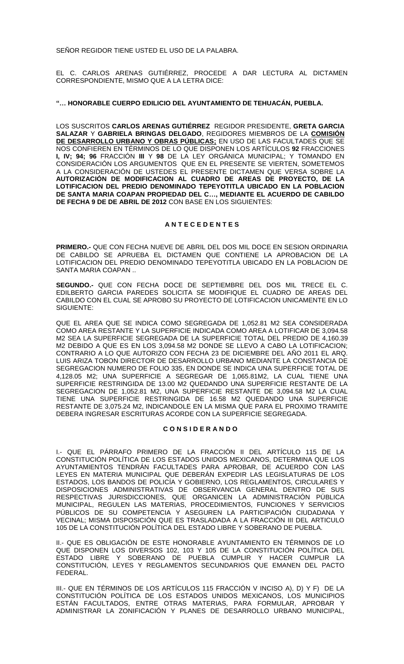SEÑOR REGIDOR TIENE USTED EL USO DE LA PALABRA.

EL C. CARLOS ARENAS GUTIÉRREZ, PROCEDE A DAR LECTURA AL DICTAMEN CORRESPONDIENTE, MISMO QUE A LA LETRA DICE:

# **"… HONORABLE CUERPO EDILICIO DEL AYUNTAMIENTO DE TEHUACÁN, PUEBLA.**

LOS SUSCRITOS **CARLOS ARENAS GUTIÉRREZ** REGIDOR PRESIDENTE, **GRETA GARCIA SALAZAR** Y **GABRIELA BRINGAS DELGADO**, REGIDORES MIEMBROS DE LA **COMISIÓN DE DESARROLLO URBANO Y OBRAS PÚBLICAS;** EN USO DE LAS FACULTADES QUE SE NOS CONFIEREN EN TÉRMINOS DE LO QUE DISPONEN LOS ARTÍCULOS **92** FRACCIONES **I, IV; 94; 96** FRACCIÓN **III** Y **98** DE LA LEY ORGÁNICA MUNICIPAL; Y TOMANDO EN CONSIDERACIÓN LOS ARGUMENTOS QUE EN EL PRESENTE SE VIERTEN, SOMETEMOS A LA CONSIDERACIÓN DE USTEDES EL PRESENTE DICTAMEN QUE VERSA SOBRE LA **AUTORIZACIÓN DE MODIFICACION AL CUADRO DE AREAS DE PROYECTO, DE LA LOTIFICACION DEL PREDIO DENOMINADO TEPEYOTITLA UBICADO EN LA POBLACION DE SANTA MARIA COAPAN PROPIEDAD DEL C…, MEDIANTE EL ACUERDO DE CABILDO DE FECHA 9 DE DE ABRIL DE 2012** CON BASE EN LOS SIGUIENTES:

# **A N T E C E D E N T E S**

**PRIMERO.-** QUE CON FECHA NUEVE DE ABRIL DEL DOS MIL DOCE EN SESION ORDINARIA DE CABILDO SE APRUEBA EL DICTAMEN QUE CONTIENE LA APROBACION DE LA LOTIFICACION DEL PREDIO DENOMINADO TEPEYOTITLA UBICADO EN LA POBLACION DE SANTA MARIA COAPAN ..

**SEGUNDO.-** QUE CON FECHA DOCE DE SEPTIEMBRE DEL DOS MIL TRECE EL C. EDILBERTO GARCIA PAREDES SOLICITA SE MODIFIQUE EL CUADRO DE AREAS DEL CABILDO CON EL CUAL SE APROBO SU PROYECTO DE LOTIFICACION UNICAMENTE EN LO SIGUIENTE:

QUE EL AREA QUE SE INDICA COMO SEGREGADA DE 1,052.81 M2 SEA CONSIDERADA COMO AREA RESTANTE Y LA SUPERFICIE INDICADA COMO AREA A LOTIFICAR DE 3,094.58 M2 SEA LA SUPERFICIE SEGREGADA DE LA SUPERFICIE TOTAL DEL PREDIO DE 4,160.39 M2 DEBIDO A QUE ES EN LOS 3,094.58 M2 DONDE SE LLEVO A CABO LA LOTIFICACION; CONTRARIO A LO QUE AUTORIZO CON FECHA 23 DE DICIEMBRE DEL AÑO 2011 EL ARQ. LUIS ARIZA TOBON DIRECTOR DE DESARROLLO URBANO MEDIANTE LA CONSTANCIA DE SEGREGACION NUMERO DE FOLIO 335, EN DONDE SE INDICA UNA SUPERFICIE TOTAL DE 4,128.05 M2; UNA SUPERFICIE A SEGREGAR DE 1,065.81M2, LA CUAL TIENE UNA SUPERFICIE RESTRINGIDA DE 13.00 M2 QUEDANDO UNA SUPERFICIE RESTANTE DE LA SEGREGACION DE 1,052.81 M2, UNA SUPERFICIE RESTANTE DE 3,094.58 M2 LA CUAL TIENE UNA SUPERFICIE RESTRINGIDA DE 16.58 M2 QUEDANDO UNA SUPERFICIE RESTANTE DE 3,075.24 M2, INDICANDOLE EN LA MISMA QUE PARA EL PROXIMO TRAMITE DEBERA INGRESAR ESCRITURAS ACORDE CON LA SUPERFICIE SEGREGADA.

# **C O N S I D E R A N D O**

I.- QUE EL PÁRRAFO PRIMERO DE LA FRACCIÓN II DEL ARTÍCULO 115 DE LA CONSTITUCIÓN POLÍTICA DE LOS ESTADOS UNIDOS MEXICANOS, DETERMINA QUE LOS AYUNTAMIENTOS TENDRÁN FACULTADES PARA APROBAR, DE ACUERDO CON LAS LEYES EN MATERIA MUNICIPAL QUE DEBERÁN EXPEDIR LAS LEGISLATURAS DE LOS ESTADOS, LOS BANDOS DE POLICÍA Y GOBIERNO, LOS REGLAMENTOS, CIRCULARES Y DISPOSICIONES ADMINISTRATIVAS DE OBSERVANCIA GENERAL DENTRO DE SUS RESPECTIVAS JURISDICCIONES, QUE ORGANICEN LA ADMINISTRACIÓN PÚBLICA MUNICIPAL, REGULEN LAS MATERIAS, PROCEDIMIENTOS, FUNCIONES Y SERVICIOS PÚBLICOS DE SU COMPETENCIA Y ASEGUREN LA PARTICIPACIÓN CIUDADANA Y VECINAL; MISMA DISPOSICIÓN QUE ES TRASLADADA A LA FRACCIÓN III DEL ARTICULO 105 DE LA CONSTITUCIÓN POLÍTICA DEL ESTADO LIBRE Y SOBERANO DE PUEBLA.

II.- QUE ES OBLIGACIÓN DE ESTE HONORABLE AYUNTAMIENTO EN TÉRMINOS DE LO QUE DISPONEN LOS DIVERSOS 102, 103 Y 105 DE LA CONSTITUCIÓN POLÍTICA DEL ESTADO LIBRE Y SOBERANO DE PUEBLA CUMPLIR Y HACER CUMPLIR LA CONSTITUCIÓN, LEYES Y REGLAMENTOS SECUNDARIOS QUE EMANEN DEL PACTO FEDERAL.

III.- QUE EN TÉRMINOS DE LOS ARTÍCULOS 115 FRACCIÓN V INCISO A), D) Y F) DE LA CONSTITUCIÓN POLÍTICA DE LOS ESTADOS UNIDOS MEXICANOS, LOS MUNICIPIOS ESTÁN FACULTADOS, ENTRE OTRAS MATERIAS, PARA FORMULAR, APROBAR Y ADMINISTRAR LA ZONIFICACIÓN Y PLANES DE DESARROLLO URBANO MUNICIPAL,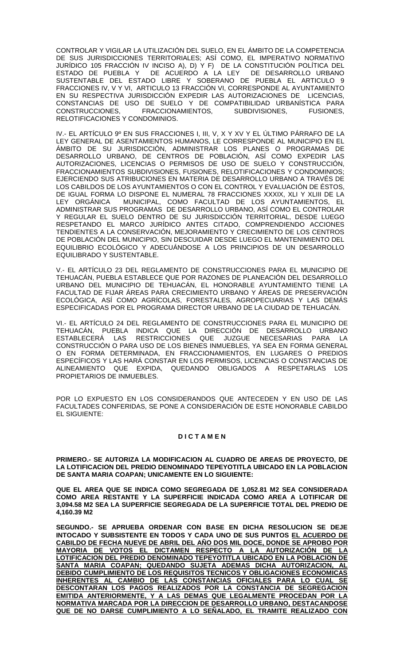CONTROLAR Y VIGILAR LA UTILIZACIÓN DEL SUELO, EN EL ÁMBITO DE LA COMPETENCIA DE SUS JURISDICCIONES TERRITORIALES; ASÍ COMO, EL IMPERATIVO NORMATIVO JURÍDICO 105 FRACCIÓN IV INCISO A), D) Y F) DE LA CONSTITUCIÓN POLÍTICA DEL ESTADO DE PUEBLA Y DE ACUERDO A LA LEY DE DESARROLLO URBANO SUSTENTABLE DEL ESTADO LIBRE Y SOBERANO DE PUEBLA EL ARTICULO 9 FRACCIONES IV, V Y VI, ARTICULO 13 FRACCIÓN VI, CORRESPONDE AL AYUNTAMIENTO EN SU RESPECTIVA JURISDICCIÓN EXPEDIR LAS AUTORIZACIONES DE LICENCIAS, CONSTANCIAS DE USO DE SUELO Y DE COMPATIBILIDAD URBANÍSTICA PARA CONSTRUCCIONES. FRACCIONAMIENTOS. SUBDIVISIONES. FUSIONES. FRACCIONAMIENTOS, RELOTIFICACIONES Y CONDOMINIOS.

IV.- EL ARTÍCULO 9º EN SUS FRACCIONES I, III, V, X Y XV Y EL ÚLTIMO PÁRRAFO DE LA LEY GENERAL DE ASENTAMIENTOS HUMANOS, LE CORRESPONDE AL MUNICIPIO EN EL ÁMBITO DE SU JURISDICCIÓN, ADMINISTRAR LOS PLANES O PROGRAMAS DE DESARROLLO URBANO, DE CENTROS DE POBLACIÓN, ASÍ COMO EXPEDIR LAS AUTORIZACIONES, LICENCIAS O PERMISOS DE USO DE SUELO Y CONSTRUCCIÓN, FRACCIONAMIENTOS SUBDIVISIONES, FUSIONES, RELOTIFICACIONES Y CONDOMINIOS; EJERCIENDO SUS ATRIBUCIONES EN MATERIA DE DESARROLLO URBANO A TRAVÉS DE LOS CABILDOS DE LOS AYUNTAMIENTOS O CON EL CONTROL Y EVALUACIÓN DE ÉSTOS, DE IGUAL FORMA LO DISPONE EL NUMERAL 78 FRACCIONES XXXIX, XLI Y XLIII DE LA LEY ORGÁNICA MUNICIPAL, COMO FACULTAD DE LOS AYUNTAMIENTOS, EL ADMINISTRAR SUS PROGRAMAS DE DESARROLLO URBANO, ASÍ COMO EL CONTROLAR Y REGULAR EL SUELO DENTRO DE SU JURISDICCIÓN TERRITORIAL, DESDE LUEGO RESPETANDO EL MARCO JURÍDICO ANTES CITADO, COMPRENDIENDO ACCIONES TENDIENTES A LA CONSERVACIÓN, MEJORAMIENTO Y CRECIMIENTO DE LOS CENTROS DE POBLACIÓN DEL MUNICIPIO, SIN DESCUIDAR DESDE LUEGO EL MANTENIMIENTO DEL EQUILIBRIO ECOLÓGICO Y ADECUÁNDOSE A LOS PRINCIPIOS DE UN DESARROLLO EQUILIBRADO Y SUSTENTABLE.

V.- EL ARTÍCULO 23 DEL REGLAMENTO DE CONSTRUCCIONES PARA EL MUNICIPIO DE TEHUACÁN, PUEBLA ESTABLECE QUE POR RAZONES DE PLANEACIÓN DEL DESARROLLO URBANO DEL MUNICIPIO DE TEHUACÁN, EL HONORABLE AYUNTAMIENTO TIENE LA FACULTAD DE FIJAR ÁREAS PARA CRECIMIENTO URBANO Y ÁREAS DE PRESERVACIÓN ECOLÓGICA, ASÍ COMO AGRÍCOLAS, FORESTALES, AGROPECUARIAS Y LAS DEMÁS ESPECIFICADAS POR EL PROGRAMA DIRECTOR URBANO DE LA CIUDAD DE TEHUACÁN.

VI.- EL ARTÍCULO 24 DEL REGLAMENTO DE CONSTRUCCIONES PARA EL MUNICIPIO DE TEHUACÁN, PUEBLA INDICA QUE LA DIRECCIÓN DE DESARROLLO URBANO ESTABLECERÁ LAS RESTRICCIONES QUE JUZGUE NECESARIAS PARA LA CONSTRUCCIÓN O PARA USO DE LOS BIENES INMUEBLES, YA SEA EN FORMA GENERAL O EN FORMA DETERMINADA, EN FRACCIONAMIENTOS, EN LUGARES O PREDIOS ESPECÍFICOS Y LAS HARÁ CONSTAR EN LOS PERMISOS, LICENCIAS O CONSTANCIAS DE ALINEAMIENTO QUE EXPIDA, QUEDANDO OBLIGADOS A RESPETARLAS LOS PROPIETARIOS DE INMUEBLES.

POR LO EXPUESTO EN LOS CONSIDERANDOS QUE ANTECEDEN Y EN USO DE LAS FACULTADES CONFERIDAS, SE PONE A CONSIDERACIÓN DE ESTE HONORABLE CABILDO EL SIGUIENTE:

## **D I C T A M E N**

**PRIMERO.- SE AUTORIZA LA MODIFICACION AL CUADRO DE AREAS DE PROYECTO, DE LA LOTIFICACION DEL PREDIO DENOMINADO TEPEYOTITLA UBICADO EN LA POBLACION DE SANTA MARIA COAPAN; UNICAMENTE EN LO SIGUIENTE:**

**QUE EL AREA QUE SE INDICA COMO SEGREGADA DE 1,052.81 M2 SEA CONSIDERADA COMO AREA RESTANTE Y LA SUPERFICIE INDICADA COMO AREA A LOTIFICAR DE 3,094.58 M2 SEA LA SUPERFICIE SEGREGADA DE LA SUPERFICIE TOTAL DEL PREDIO DE 4,160.39 M2**

**SEGUNDO.- SE APRUEBA ORDENAR CON BASE EN DICHA RESOLUCION SE DEJE INTOCADO Y SUBSISTENTE EN TODOS Y CADA UNO DE SUS PUNTOS EL ACUERDO DE CABILDO DE FECHA NUEVE DE ABRIL DEL AÑO DOS MIL DOCE, DONDE SE APROBO POR MAYORIA DE VOTOS EL DICTAMEN RESPECTO A LA AUTORIZACIÓN DE LA LOTIFICACION DEL PREDIO DENOMINADO TEPEYOTITLA UBICADO EN LA POBLACION DE SANTA MARIA COAPAN; QUEDANDO SUJETA ADEMAS DICHA AUTORIZACION, AL DEBIDO CUMPLIMIENTO DE LOS REQUISITOS TECNICOS Y OBLIGACIONES ECONOMICAS INHERENTES AL CAMBIO DE LAS CONSTANCIAS OFICIALES PARA LO CUAL SE DESCONTARAN LOS PAGOS REALIZADOS POR LA CONSTANCIA DE SEGREGACION EMITIDA ANTERIORMENTE, Y A LAS DEMAS QUE LEGALMENTE PROCEDAN POR LA NORMATIVA MARCADA POR LA DIRECCION DE DESARROLLO URBANO, DESTACANDOSE QUE DE NO DARSE CUMPLIMIENTO A LO SEÑALADO, EL TRAMITE REALIZADO CON**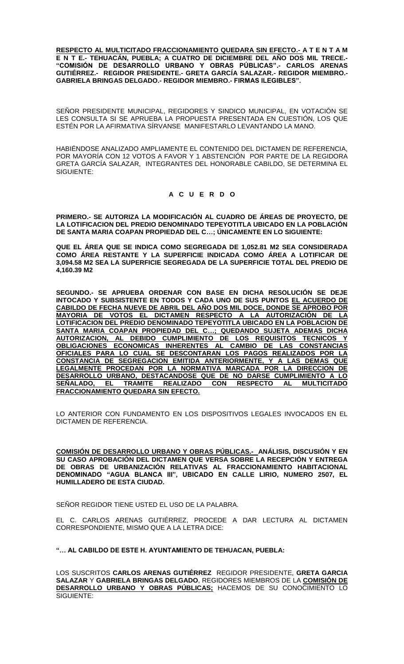**RESPECTO AL MULTICITADO FRACCIONAMIENTO QUEDARA SIN EFECTO.- A T E N T A M E N T E.- TEHUACÁN, PUEBLA; A CUATRO DE DICIEMBRE DEL AÑO DOS MIL TRECE.- "COMISIÓN DE DESARROLLO URBANO Y OBRAS PÚBLICAS".- CARLOS ARENAS GUTIÉRREZ.- REGIDOR PRESIDENTE.- GRETA GARCÍA SALAZAR.- REGIDOR MIEMBRO.- GABRIELA BRINGAS DELGADO.- REGIDOR MIEMBRO.- FIRMAS ILEGIBLES".**

SENOR PRESIDENTE MUNICIPAL, REGIDORES Y SINDICO MUNICIPAL, EN VOTACION SE LES CONSULTA SI SE APRUEBA LA PROPUESTA PRESENTADA EN CUESTIÓN, LOS QUE ESTÉN POR LA AFIRMATIVA SÍRVANSE MANIFESTARLO LEVANTANDO LA MANO.

HABIÉNDOSE ANALIZADO AMPLIAMENTE EL CONTENIDO DEL DICTAMEN DE REFERENCIA, POR MAYORÍA CON 12 VOTOS A FAVOR Y 1 ABSTENCIÓN POR PARTE DE LA REGIDORA GRETA GARCÍA SALAZAR, INTEGRANTES DEL HONORABLE CABILDO, SE DETERMINA EL SIGUIENTE:

# **A C U E R D O**

**PRIMERO.- SE AUTORIZA LA MODIFICACIÓN AL CUADRO DE ÁREAS DE PROYECTO, DE LA LOTIFICACION DEL PREDIO DENOMINADO TEPEYOTITLA UBICADO EN LA POBLACIÓN DE SANTA MARIA COAPAN PROPIEDAD DEL C…; ÚNICAMENTE EN LO SIGUIENTE:**

**QUE EL ÁREA QUE SE INDICA COMO SEGREGADA DE 1,052.81 M2 SEA CONSIDERADA COMO ÁREA RESTANTE Y LA SUPERFICIE INDICADA COMO ÁREA A LOTIFICAR DE 3,094.58 M2 SEA LA SUPERFICIE SEGREGADA DE LA SUPERFICIE TOTAL DEL PREDIO DE 4,160.39 M2**

**SEGUNDO.- SE APRUEBA ORDENAR CON BASE EN DICHA RESOLUCIÓN SE DEJE INTOCADO Y SUBSISTENTE EN TODOS Y CADA UNO DE SUS PUNTOS EL ACUERDO DE CABILDO DE FECHA NUEVE DE ABRIL DEL AÑO DOS MIL DOCE, DONDE SE APROBO POR MAYORIA DE VOTOS EL DICTAMEN RESPECTO A LA AUTORIZACIÓN DE LA LOTIFICACION DEL PREDIO DENOMINADO TEPEYOTITLA UBICADO EN LA POBLACION DE SANTA MARIA COAPAN PROPIEDAD DEL C…; QUEDANDO SUJETA ADEMAS DICHA AUTORIZACION, AL DEBIDO CUMPLIMIENTO DE LOS REQUISITOS TECNICOS Y OBLIGACIONES ECONOMICAS INHERENTES AL CAMBIO DE LAS CONSTANCIAS OFICIALES PARA LO CUAL SE DESCONTARAN LOS PAGOS REALIZADOS POR LA CONSTANCIA DE SEGREGACION EMITIDA ANTERIORMENTE, Y A LAS DEMAS QUE LEGALMENTE PROCEDAN POR LA NORMATIVA MARCADA POR LA DIRECCION DE DESARROLLO URBANO, DESTACANDOSE QUE DE NO DARSE CUMPLIMIENTO A LO**  SEÑALADO, EL TRAMITE REALIZADO CON RESPECTO AL **FRACCIONAMIENTO QUEDARA SIN EFECTO.**

LO ANTERIOR CON FUNDAMENTO EN LOS DISPOSITIVOS LEGALES INVOCADOS EN EL DICTAMEN DE REFERENCIA.

**COMISIÓN DE DESARROLLO URBANO Y OBRAS PÚBLICAS.- ANÁLISIS, DISCUSIÓN Y EN SU CASO APROBACIÓN DEL DICTAMEN QUE VERSA SOBRE LA RECEPCIÓN Y ENTREGA DE OBRAS DE URBANIZACIÓN RELATIVAS AL FRACCIONAMIENTO HABITACIONAL DENOMINADO "AGUA BLANCA III", UBICADO EN CALLE LIRIO, NUMERO 2507, EL HUMILLADERO DE ESTA CIUDAD.** 

SEÑOR REGIDOR TIENE USTED EL USO DE LA PALABRA.

EL C. CARLOS ARENAS GUTIÉRREZ, PROCEDE A DAR LECTURA AL DICTAMEN CORRESPONDIENTE, MISMO QUE A LA LETRA DICE:

**"… AL CABILDO DE ESTE H. AYUNTAMIENTO DE TEHUACAN, PUEBLA:**

LOS SUSCRITOS **CARLOS ARENAS GUTIÉRREZ** REGIDOR PRESIDENTE, **GRETA GARCIA SALAZAR** Y **GABRIELA BRINGAS DELGADO**, REGIDORES MIEMBROS DE LA **COMISIÓN DE DESARROLLO URBANO Y OBRAS PÚBLICAS;** HACEMOS DE SU CONOCIMIENTO LO SIGUIENTE: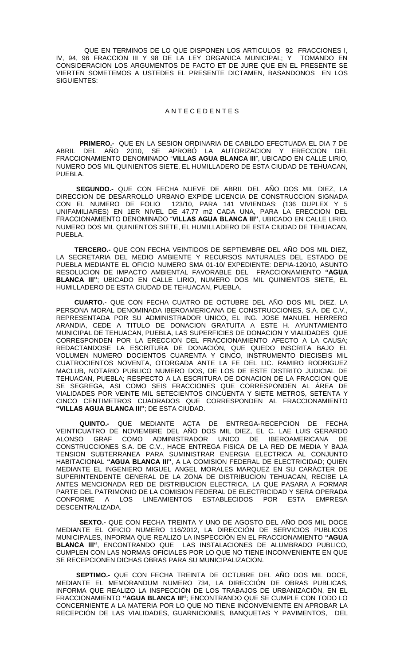QUE EN TERMINOS DE LO QUE DISPONEN LOS ARTICULOS 92 FRACCIONES I,<br>96 FRACCION III Y 98 DE LA LEY ORGANICA MUNICIPAL; Y TOMANDO EN IV, 94, 96 FRACCION III Y 98 DE LA LEY ORGANICA MUNICIPAL; Y CONSIDERACION LOS ARGUMENTOS DE FACTO ET DE JURE QUE EN EL PRESENTE SE VIERTEN SOMETEMOS A USTEDES EL PRESENTE DICTAMEN, BASANDONOS EN LOS SIGUIENTES:

## A N T E C E D E N T E S

**PRIMERO.-** QUE EN LA SESION ORDINARIA DE CABILDO EFECTUADA EL DIA 7 DE ABRIL DEL AÑO 2010, SE APROBÓ LA AUTORIZACION Y ERECCION DEL FRACCIONAMIENTO DENOMINADO "**VILLAS AGUA BLANCA III**", UBICADO EN CALLE LIRIO, NUMERO DOS MIL QUINIENTOS SIETE, EL HUMILLADERO DE ESTA CIUDAD DE TEHUACAN, PUEBLA.

 **SEGUNDO.-** QUE CON FECHA NUEVE DE ABRIL DEL AÑO DOS MIL DIEZ, LA DIRECCION DE DESARROLLO URBANO EXPIDE LICENCIA DE CONSTRUCCION SIGNADA CON EL NUMERO DE FOLIO 123/10, PARA 141 VIVIENDAS; (136 DUPLEX Y 5 UNIFAMILIARES) EN 1ER NIVEL DE 47.77 m2 CADA UNA, PARA LA ERECCION DEL FRACCIONAMIENTO DENOMINADO "**VILLAS AGUA BLANCA III"**, UBICADO EN CALLE LIRIO, NUMERO DOS MIL QUINIENTOS SIETE, EL HUMILLADERO DE ESTA CIUDAD DE TEHUACAN, PUEBLA.

 **TERCERO.-** QUE CON FECHA VEINTIDOS DE SEPTIEMBRE DEL AÑO DOS MIL DIEZ, LA SECRETARIA DEL MEDIO AMBIENTE Y RECURSOS NATURALES DEL ESTADO DE PUEBLA MEDIANTE EL OFICIO NUMERO SMA 01-10/ EXPEDIENTE: DEPIA-120/10, ASUNTO RESOLUCION DE IMPACTO AMBIENTAL FAVORABLE DEL FRACCIONAMIENTO **"AGUA BLANCA III"**; UBICADO EN CALLE LIRIO, NUMERO DOS MIL QUINIENTOS SIETE, EL HUMILLADERO DE ESTA CIUDAD DE TEHUACAN, PUEBLA.

 **CUARTO.-** QUE CON FECHA CUATRO DE OCTUBRE DEL AÑO DOS MIL DIEZ, LA PERSONA MORAL DENOMINADA IBEROAMERICANA DE CONSTRUCCIONES, S.A. DE C.V., REPRESENTADA POR SU ADMINISTRADOR UNICO, EL ING. JOSE MANUEL HERRERO ARANDIA, CEDE A TITULO DE DONACION GRATUITA A ESTE H. AYUNTAMIENTO MUNICIPAL DE TEHUACAN, PUEBLA, LAS SUPERFICIES DE DONACION Y VIALIDADES QUE CORRESPONDEN POR LA ERECCION DEL FRACCIONAMIENTO AFECTO A LA CAUSA; REDACTANDOSE LA ESCRITURA DE DONACIÓN, QUE QUEDO INSCRITA BAJO EL VOLUMEN NUMERO DOCIENTOS CUARENTA Y CINCO, INSTRUMENTO DIECISEIS MIL CUATROCIENTOS NOVENTA, OTORGADA ANTE LA FE DEL LIC. RAMIRO RODRIGUEZ MACLUB, NOTARIO PUBLICO NUMERO DOS, DE LOS DE ESTE DISTRITO JUDICIAL DE TEHUACAN, PUEBLA; RESPECTO A LA ESCRITURA DE DONACION DE LA FRACCION QUE SE SEGREGA, ASI COMO SEIS FRACCIONES QUE CORRESPONDEN AL ÁREA DE VIALIDADES POR VEINTE MIL SETECIENTOS CINCUENTA Y SIETE METROS, SETENTA Y CINCO CENTIMETROS CUADRADOS QUE CORRESPONDEN AL FRACCIONAMIENTO **"VILLAS AGUA BLANCA III"**; DE ESTA CIUDAD.

**QUINTO.-** QUE MEDIANTE ACTA DE ENTREGA-RECEPCION DE FECHA VEINTICUATRO DE NOVIEMBRE DEL AÑO DOS MIL DIEZ, EL C. LAE LUIS GERARDO ALONSO GRAF COMO ADMINISTRADOR UNICO DE IBEROAMERICANA DE ALONSO GRAF COMO ADMINISTRADOR UNICO DE IBEROAMERICANA DE CONSTRUCCIONES S.A. DE C.V., HACE ENTREGA FISICA DE LA RED DE MEDIA Y BAJA TENSION SUBTERRANEA PARA SUMINISTRAR ENERGIA ELECTRICA AL CONJUNTO HABITACIONAL **"AGUA BLANCA III"**, A LA COMISION FEDERAL DE ELECTRICIDAD; QUIEN MEDIANTE EL INGENIERO MIGUEL ANGEL MORALES MARQUEZ EN SU CARÁCTER DE SUPERINTENDENTE GENERAL DE LA ZONA DE DISTRIBUCION TEHUACAN, RECIBE LA ANTES MENCIONADA RED DE DISTRIBUCION ELECTRICA, LA QUE PASARA A FORMAR PARTE DEL PATRIMONIO DE LA COMISION FEDERAL DE ELECTRICIDAD Y SERA OPERADA CONFORME A LOS LINEAMIENTOS ESTABLECIDOS POR ESTA EMPRESA DESCENTRALIZADA.

**SEXTO.-** QUE CON FECHA TREINTA Y UNO DE AGOSTO DEL AÑO DOS MIL DOCE MEDIANTE EL OFICIO NUMERO 116/2012, LA DIRECCIÓN DE SERVICIOS PUBLICOS MUNICIPALES, INFORMA QUE REALIZO LA INSPECCIÓN EN EL FRACCIONAMIENTO **"AGUA BLANCA III"**, ENCONTRANDO QUE LAS INSTALACIONES DE ALUMBRADO PUBLICO, CUMPLEN CON LAS NORMAS OFICIALES POR LO QUE NO TIENE INCONVENIENTE EN QUE SE RECEPCIONEN DICHAS OBRAS PARA SU MUNICIPALIZACION.

 **SEPTIMO.-** QUE CON FECHA TREINTA DE OCTUBRE DEL AÑO DOS MIL DOCE, MEDIANTE EL MEMORANDUM NUMERO 734, LA DIRECCIÓN DE OBRAS PUBLICAS, INFORMA QUE REALIZO LA INSPECCIÓN DE LOS TRABAJOS DE URBANIZACIÓN, EN EL FRACCIONAMIENTO **"AGUA BLANCA III"**; ENCONTRANDO QUE SE CUMPLE CON TODO LO CONCERNIENTE A LA MATERIA POR LO QUE NO TIENE INCONVENIENTE EN APROBAR LA RECEPCIÓN DE LAS VIALIDADES, GUARNICIONES, BANQUETAS Y PAVIMENTOS, DEL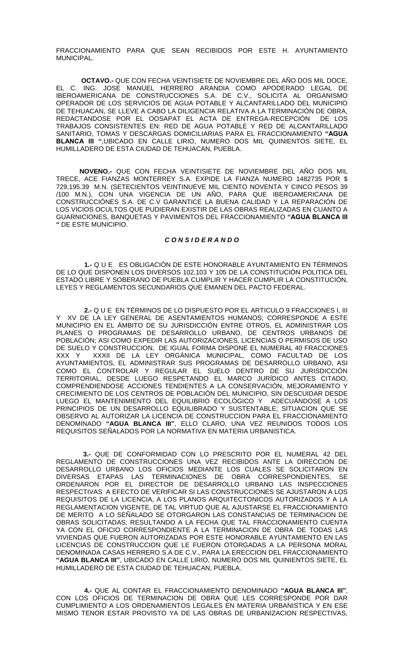FRACCIONAMIENTO PARA QUE SEAN RECIBIDOS POR ESTE H. AYUNTAMIENTO **MUNICIPAL.** 

**OCTAVO.-** QUE CON FECHA VEINTISIETE DE NOVIEMBRE DEL AÑO DOS MIL DOCE, EL C. ING. JOSE MANUEL HERRERO ARANDIA COMO APODERADO LEGAL DE IBEROAMERICANA DE CONSTRUCCIONES S.A. DE C.V., SOLICITA AL ORGANISMO OPERADOR DE LOS SERVICIOS DE AGUA POTABLE Y ALCANTARILLADO DEL MUNICIPIO DE TEHUACAN, SE LLEVE A CABO LA DILIGENCIA RELATIVA A LA TERMINACIÓN DE OBRA, REDACTANDOSE POR EL OOSAPAT EL ACTA DE ENTREGA-RECEPCIÓN DE LOS TRABAJOS CONSISTENTES EN: RED DE AGUA POTABLE Y RED DE ALCANTARILLADO SANITARIO, TOMAS Y DESCARGAS DOMICILIARIAS PARA EL FRACCIONAMIENTO **"AGUA BLANCA III "**,UBICADO EN CALLE LIRIO, NUMERO DOS MIL QUINIENTOS SIETE, EL HUMILLADERO DE ESTA CIUDAD DE TEHUACAN, PUEBLA.

**NOVENO.-** QUE CON FECHA VEINTISIETE DE NOVIEMBRE DEL AÑO DOS MIL TRECE, ACE FIANZAS MONTERREY S.A. EXPIDE LA FIANZA NUMERO 1482735 POR \$ 729,195.39 M.N. (SETECIENTOS VEINTINUEVE MIL CIENTO NOVENTA Y CINCO PESOS 39 /100 M.N.), CON UNA VIGENCIA DE UN AÑO, PARA QUE IBEROAMERICANA DE CONSTRUCCIÓNES S.A. DE C.V GARANTICE LA BUENA CALIDAD Y LA REPARACIÓN DE LOS VICIOS OCULTOS QUE PUDIERAN EXISTIR DE LAS OBRAS REALIZADAS EN CUANTO A GUARNICIONES, BANQUETAS Y PAVIMENTOS DEL FRACCIONAMIENTO **"AGUA BLANCA III "** DE ESTE MUNICIPIO.

## *C O N S I D E R A N D O*

**1.-** Q U E ES OBLIGACIÓN DE ESTE HONORABLE AYUNTAMIENTO EN TÉRMINOS DE LO QUE DISPONEN LOS DIVERSOS 102,103 Y 105 DE LA CONSTITUCIÓN POLITICA DEL ESTADO LIBRE Y SOBERANO DE PUEBLA CUMPLIR Y HACER CUMPLIR LA CONSTITUCIÓN, LEYES Y REGLAMENTOS SECUNDARIOS QUE EMANEN DEL PACTO FEDERAL.

**2.-** Q U E EN TÉRMINOS DE LO DISPUESTO POR EL ARTICULO 9 FRACCIONES I, III Y XV DE LA LEY GENERAL DE ASENTAMIENTOS HUMANOS; CORRESPONDE A ESTE MUNICIPIO EN EL ÁMBITO DE SU JURISDICCIÓN ENTRE OTROS, EL ADMINISTRAR LOS PLANES O PROGRAMAS DE DESARROLLO URBANO, DE CENTROS URBANOS DE POBLACIÓN; ASI COMO EXPEDIR LAS AUTORIZACIONES, LICENCIAS O PERMISOS DE USO DE SUELO Y CONSTRUCCION, DE IGUAL FORMA DISPONE EL NUMERAL 40 FRACCIONES XXX Y XXXII DE LA LEY ORGÁNICA MUNICIPAL, COMO FACULTAD DE LOS AYUNTAMIENTOS, EL ADMINISTRAR SUS PROGRAMAS DE DESARROLLO URBANO, ASI COMO EL CONTROLAR Y REGULAR EL SUELO DENTRO DE SU JURISDICCIÓN TERRITORIAL, DESDE LUEGO RESPETANDO EL MARCO JURÍDICO ANTES CITADO, COMPRENDIENDOSE ACCIONES TENDIENTES A LA CONSERVACIÓN, MEJORAMIENTO Y CRECIMIENTO DE LOS CENTROS DE POBLACIÓN DEL MUNICIPIO, SIN DESCUIDAR DESDE LUEGO EL MANTENIMIENTO DEL EQUILIBRIO ECOLÓGICO Y ADECUÁNDOSE A LOS PRINCIPIOS DE UN DESARROLLO EQUILIBRADO Y SUSTENTABLE; SITUACION QUE SE OBSERVO AL AUTORIZAR LA LICENCIA DE CONSTRUCCION PARA EL FRACCIONAMIENTO DENOMINADO **"AGUA BLANCA III"**, ELLO CLARO, UNA VEZ REUNIDOS TODOS LOS REQUISITOS SEÑALADOS POR LA NORMATIVA EN MATERIA URBANISTICA.

 **3.-** QUE DE CONFORMIDAD CON LO PRESCRITO POR EL NUMERAL 42 DEL REGLAMENTO DE CONSTRUCCIONES UNA VEZ RECIBIDOS ANTE LA DIRECCION DE DESARROLLO URBANO LOS OFICIOS MEDIANTE LOS CUALES SE SOLICITARON EN DIVERSAS ETAPAS LAS TERMINACIONES DE OBRA CORRESPONDIENTES, SE ORDENARON POR EL DIRECTOR DE DESARROLLO URBANO LAS INSPECCIONES RESPECTIVAS A EFECTO DE VERIFICAR SI LAS CONSTRUCCIONES SE AJUSTARON A LOS REQUISITOS DE LA LICENCIA, A LOS PLANOS ARQUITECTONICOS AUTORIZADOS Y A LA REGLAMENTACION VIGENTE, DE TAL VIRTUD QUE AL AJUSTARSE EL FRACCIONAMIENTO DE MERITO A LO SEÑALADO SE OTORGARON LAS CONSTANCIAS DE TERMINACION DE OBRAS SOLICITADAS; RESULTANDO A LA FECHA QUE TAL FRACCIONAMIENTO CUENTA YA CON EL OFICIO CORRESPONDIENTE A LA TERMINACION DE OBRA DE TODAS LAS VIVIENDAS QUE FUERON AUTORIZADAS POR ESTE HONORABLE AYUNTAMIENTO EN LAS LICENCIAS DE CONSTRUCCION QUE LE FUERON OTORGADAS A LA PERSONA MORAL DENOMINADA CASAS HERRERO S.A DE C.V., PARA LA ERECCION DEL FRACCIONAMIENTO **"AGUA BLANCA III"**, UBICADO EN CALLE LIRIO, NUMERO DOS MIL QUINIENTOS SIETE, EL HUMILLADERO DE ESTA CIUDAD DE TEHUACAN, PUEBLA.

**4.-** QUE AL CONTAR EL FRACCIONAMIENTO DENOMINADO **"AGUA BLANCA III"**, CON LOS OFICIOS DE TERMINACION DE OBRA QUE LES CORRESPONDE POR DAR CUMPLIMIENTO A LOS ORDENAMIENTOS LEGALES EN MATERIA URBANISTICA Y EN ESE MISMO TENOR ESTAR PROVISTO YA DE LAS OBRAS DE URBANIZACION RESPECTIVAS,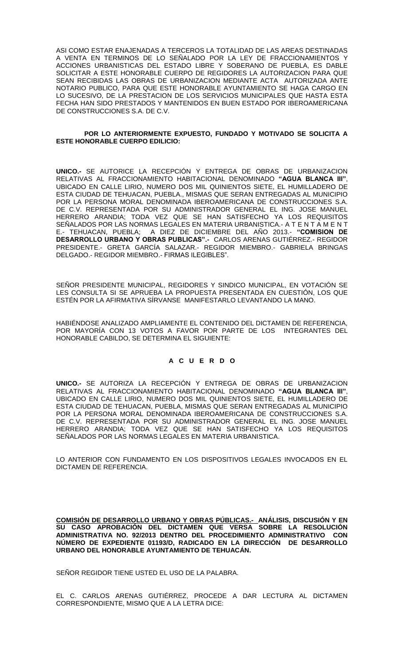ASI COMO ESTAR ENAJENADAS A TERCEROS LA TOTALIDAD DE LAS AREAS DESTINADAS A VENTA EN TERMINOS DE LO SEÑALADO POR LA LEY DE FRACCIONAMIENTOS Y ACCIONES URBANISTICAS DEL ESTADO LIBRE Y SOBERANO DE PUEBLA, ES DABLE SOLICITAR A ESTE HONORABLE CUERPO DE REGIDORES LA AUTORIZACION PARA QUE SEAN RECIBIDAS LAS OBRAS DE URBANIZACION MEDIANTE ACTA AUTORIZADA ANTE NOTARIO PUBLICO, PARA QUE ESTE HONORABLE AYUNTAMIENTO SE HAGA CARGO EN LO SUCESIVO, DE LA PRESTACION DE LOS SERVICIOS MUNICIPALES QUE HASTA ESTA FECHA HAN SIDO PRESTADOS Y MANTENIDOS EN BUEN ESTADO POR IBEROAMERICANA DE CONSTRUCCIONES S.A. DE C.V.

## **POR LO ANTERIORMENTE EXPUESTO, FUNDADO Y MOTIVADO SE SOLICITA A ESTE HONORABLE CUERPO EDILICIO:**

**UNICO.-** SE AUTORICE LA RECEPCIÓN Y ENTREGA DE OBRAS DE URBANIZACION RELATIVAS AL FRACCIONAMIENTO HABITACIONAL DENOMINADO **"AGUA BLANCA III"**, UBICADO EN CALLE LIRIO, NUMERO DOS MIL QUINIENTOS SIETE, EL HUMILLADERO DE ESTA CIUDAD DE TEHUACAN, PUEBLA., MISMAS QUE SERAN ENTREGADAS AL MUNICIPIO POR LA PERSONA MORAL DENOMINADA IBEROAMERICANA DE CONSTRUCCIONES S.A. DE C.V. REPRESENTADA POR SU ADMINISTRADOR GENERAL EL ING. JOSE MANUEL HERRERO ARANDIA; TODA VEZ QUE SE HAN SATISFECHO YA LOS REQUISITOS SEÑALADOS POR LAS NORMAS LEGALES EN MATERIA URBANISTICA.- A T E N T A M E N T E.- TEHUACAN, PUEBLA; A DIEZ DE DICIEMBRE DEL AÑO 2013.- **"COMISION DE DESARROLLO URBANO Y OBRAS PUBLICAS".-** CARLOS ARENAS GUTIÉRREZ.- REGIDOR PRESIDENTE.- GRETA GARCÍA SALAZAR.- REGIDOR MIEMBRO.- GABRIELA BRINGAS DELGADO.- REGIDOR MIEMBRO.- FIRMAS ILEGIBLES".

SEÑOR PRESIDENTE MUNICIPAL, REGIDORES Y SINDICO MUNICIPAL, EN VOTACIÓN SE LES CONSULTA SI SE APRUEBA LA PROPUESTA PRESENTADA EN CUESTIÓN, LOS QUE ESTÉN POR LA AFIRMATIVA SÍRVANSE MANIFESTARLO LEVANTANDO LA MANO.

HABIÉNDOSE ANALIZADO AMPLIAMENTE EL CONTENIDO DEL DICTAMEN DE REFERENCIA, POR MAYORÍA CON 13 VOTOS A FAVOR POR PARTE DE LOS INTEGRANTES DEL HONORABLE CABILDO, SE DETERMINA EL SIGUIENTE:

## **A C U E R D O**

**UNICO.-** SE AUTORIZA LA RECEPCIÓN Y ENTREGA DE OBRAS DE URBANIZACION RELATIVAS AL FRACCIONAMIENTO HABITACIONAL DENOMINADO **"AGUA BLANCA III"**, UBICADO EN CALLE LIRIO, NUMERO DOS MIL QUINIENTOS SIETE, EL HUMILLADERO DE ESTA CIUDAD DE TEHUACAN, PUEBLA, MISMAS QUE SERAN ENTREGADAS AL MUNICIPIO POR LA PERSONA MORAL DENOMINADA IBEROAMERICANA DE CONSTRUCCIONES S.A. DE C.V. REPRESENTADA POR SU ADMINISTRADOR GENERAL EL ING. JOSE MANUEL HERRERO ARANDIA; TODA VEZ QUE SE HAN SATISFECHO YA LOS REQUISITOS SEÑALADOS POR LAS NORMAS LEGALES EN MATERIA URBANISTICA.

LO ANTERIOR CON FUNDAMENTO EN LOS DISPOSITIVOS LEGALES INVOCADOS EN EL DICTAMEN DE REFERENCIA.

**COMISIÓN DE DESARROLLO URBANO Y OBRAS PÚBLICAS.- ANÁLISIS, DISCUSIÓN Y EN SU CASO APROBACIÓN DEL DICTAMEN QUE VERSA SOBRE LA RESOLUCIÓN ADMINISTRATIVA NO. 92/2013 DENTRO DEL PROCEDIMIENTO ADMINISTRATIVO CON NÚMERO DE EXPEDIENTE 01193/D, RADICADO EN LA DIRECCIÓN DE DESARROLLO URBANO DEL HONORABLE AYUNTAMIENTO DE TEHUACÁN.**

SEÑOR REGIDOR TIENE USTED EL USO DE LA PALABRA.

EL C. CARLOS ARENAS GUTIÉRREZ, PROCEDE A DAR LECTURA AL DICTAMEN CORRESPONDIENTE, MISMO QUE A LA LETRA DICE: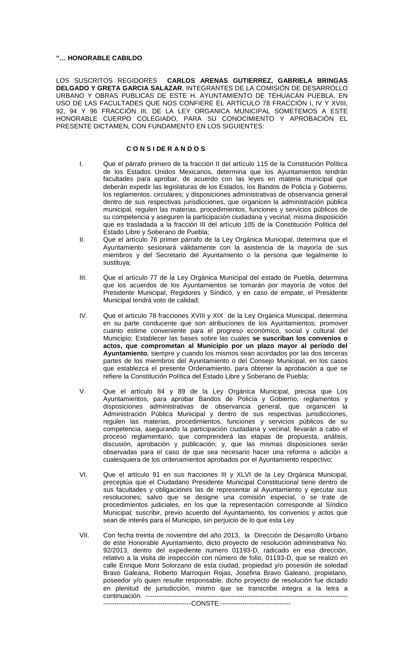## **"… HONORABLE CABILDO**

LOS SUSCRITOS REGIDORES **CARLOS ARENAS GUTIERREZ, GABRIELA BRINGAS DELGADO Y GRETA GARCIA SALAZAR**, INTEGRANTES DE LA COMISIÓN DE DESARROLLO URBANO Y OBRAS PUBLICAS DE ESTE H. AYUNTAMIENTO DE TEHUACÁN PUEBLA, EN USO DE LAS FACULTADES QUE NOS CONFIERE EL ARTÍCULO 78 FRACCIÓN I, IV Y XVIII, 92, 94 Y 96 FRACCIÓN III, DE LA LEY ORGANICA MUNICIPAL SOMETEMOS A ESTE HONORABLE CUERPO COLEGIADO, PARA SU CONOCIMIENTO Y APROBACIÓN EL PRESENTE DICTAMEN, CON FUNDAMENTO EN LOS SIGUIENTES:

# **C O N S I DE R A N D O S**

- I. Que el párrafo primero de la fracción II del artículo 115 de la Constitución Política de los Estados Unidos Mexicanos, determina que los Ayuntamientos tendrán facultades para aprobar, de acuerdo con las leyes en materia municipal que deberán expedir las legislaturas de los Estados, los Bandos de Policía y Gobierno, los reglamentos, circulares; y disposiciones administrativas de observancia general dentro de sus respectivas jurisdicciones, que organicen la administración pública municipal, regulen las materias, procedimientos, funciones y servicios públicos de su competencia y aseguren la participación ciudadana y vecinal; misma disposición que es trasladada a la fracción III del artículo 105 de la Constitución Política del Estado Libre y Soberano de Puebla;
- II. Que el artículo 76 primer párrafo de la Ley Orgánica Municipal, determina que el Ayuntamiento sesionará válidamente con la asistencia de la mayoría de sus miembros y del Secretario del Ayuntamiento o la persona que legalmente lo sustituya;
- III. Que el artículo 77 de la Ley Orgánica Municipal del estado de Puebla, determina que los acuerdos de los Ayuntamientos se tomarán por mayoría de votos del Presidente Municipal, Regidores y Síndico, y en caso de empate, el Presidente Municipal tendrá voto de calidad;
- IV. Que el artículo 78 fracciones XVIII y XIX de la Ley Orgánica Municipal, determina en su parte conducente que son atribuciones de los Ayuntamientos; promover cuanto estime conveniente para el progreso económico, social y cultural del Municipio; Establecer las bases sobre las cuales **se suscriban los convenios o actos, que comprometan al Municipio por un plazo mayor al período del Ayuntamiento**, siempre y cuando los mismos sean acordados por las dos terceras partes de los miembros del Ayuntamiento o del Consejo Municipal, en los casos que establezca el presente Ordenamiento, para obtener la aprobación a que se refiere la Constitución Política del Estado Libre y Soberano de Puebla;
- V. Que el artículo 84 y 89 de la Ley Orgánica Municipal, precisa que Los Ayuntamientos, para aprobar Bandos de Policía y Gobierno, reglamentos y disposiciones administrativas de observancia general, que organicen la Administración Pública Municipal y dentro de sus respectivas jurisdicciones, regulen las materias, procedimientos, funciones y servicios públicos de su competencia, asegurando la participación ciudadana y vecinal; llevarán a cabo el proceso reglamentario, que comprenderá las etapas de propuesta, análisis, discusión, aprobación y publicación; y, que las mismas disposiciones serán observadas para el caso de que sea necesario hacer una reforma o adición a cualesquiera de los ordenamientos aprobados por el Ayuntamiento respectivo;
- VI. Que el artículo 91 en sus fracciones III y XLVI de la Ley Orgánica Municipal, preceptúa que el Ciudadano Presidente Municipal Constitucional tiene dentro de sus facultades y obligaciones las de representar al Ayuntamiento y ejecutar sus resoluciones; salvo que se designe una comisión especial, o se trate de procedimientos judiciales, en los que la representación corresponde al Síndico Municipal; suscribir, previo acuerdo del Ayuntamiento, los convenios y actos que sean de interés para el Municipio, sin perjuicio de lo que esta Ley
- VII. Con fecha treinta de noviembre del año 2013, la Dirección de Desarrollo Urbano de este Honorable Ayuntamiento, dicto proyecto de resolución administrativa No. 92/2013, dentro del expediente numero 01193-D, radicado en esa dirección, relativo a la visita de inspección con número de folio, 01193-D, que se realizó en calle Enrique Mont Solorzano de esta ciudad, propiedad y/o posesión de soledad Bravo Galeana, Roberto Marroquin Rojas, Josefina Bravo Galeano, propietario, poseedor y/o quien resulte responsable, dicho proyecto de resolución fue dictado en plenitud de jurisdicción, mismo que se transcribe integra a la letra a continuación. -------------------------------------------------------------------------------------------- -------------------------CONSTE.---------------------------------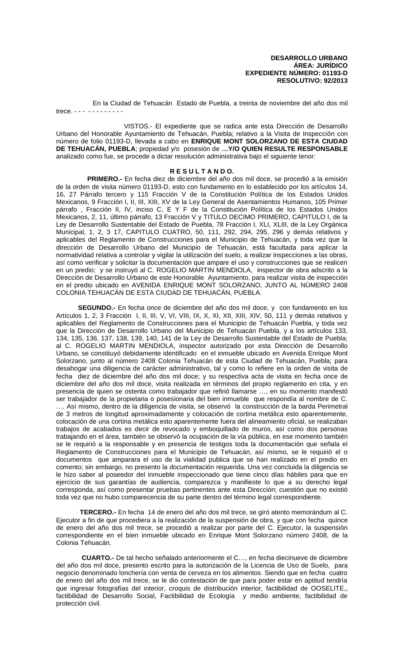En la Ciudad de Tehuacán Estado de Puebla, a treinta de noviembre del año dos mil trece. - - - - - - - - - - - -

 VISTOS.- El expediente que se radica ante esta Dirección de Desarrollo Urbano del Honorable Ayuntamiento de Tehuacán, Puebla; relativo a la Visita de Inspección con número de folio 01193-D, llevada a cabo en **ENRIQUE MONT SOLORZANO DE ESTA CIUDAD DE TEHUACÁN, PUEBLA**; propiedad y/o posesión de **…Y/O QUIEN RESULTE RESPONSABLE** analizado como fue, se procede a dictar resolución administrativa bajo el siguiente tenor:

## **R E S U L T A N D O.**

 **PRIMERO.-** En fecha diez de diciembre del año dos mil doce, se procedió a la emisión de la orden de visita número 01193-D, esto con fundamento en lo establecido por los artículos 14, 16, 27 Párrafo tercero y 115 Fracción V de la Constitución Política de los Estados Unidos Mexicanos, 9 Fracción I, II, III, XIII, XV de la Ley General de Asentamientos Humanos, 105 Primer párrafo , Fracción II, IV, inciso C, E Y F de la Constitución Política de los Estados Unidos Mexicanos, 2, 11, último párrafo, 13 Fracción V y TITULO DECIMO PRIMERO, CAPITULO I, de la Ley de Desarrollo Sustentable del Estado de Puebla, 78 Fracción I, XLI, XLIII, de la Ley Orgánica Municipal, 1, 2, 3 17, CAPITULO CUATRO, 50, 111, 292, 294, 295, 296 y demás relativos y aplicables del Reglamento de Construcciones para el Municipio de Tehuacán, y toda vez que la dirección de Desarrollo Urbano del Municipio de Tehuacán, está facultada para aplicar la normatividad relativa a controlar y vigilar la utilización del suelo, a realizar inspecciones a las obras, así como verificar y solicitar la documentación que ampare el uso y construcciones que se realicen en un predio; y se instruyó al C. ROGELIO MARTIN MENDIOLA, inspector de obra adscrito a la Dirección de Desarrollo Urbano de este Honorable Ayuntamiento, para realizar visita de inspección en el predio ubicado en AVENIDA ENRIQUE MONT SOLORZANO, JUNTO AL NÚMERO 2408 COLONIA TEHUACÁN DE ESTA CIUDAD DE TEHUACÁN, PUEBLA.

 **SEGUNDO.-** En fecha once de diciembre del año dos mil doce, y con fundamento en los Artículos 1, 2, 3 Fracción I, II, III, V, VI, VIII, IX, X, XI, XII, XIII, XIV, 50, 111 y demás relativos y aplicables del Reglamento de Construcciones para el Municipio de Tehuacán Puebla, y toda vez que la Dirección de Desarrollo Urbano del Municipio de Tehuacán Puebla, y a los artículos 133, 134, 135, 136, 137, 138, 139, 140, 141 de la Ley de Desarrollo Sustentable del Estado de Puebla; al C. ROGELIO MARTIN MENDIOLA, inspector autorizado por esta Dirección de Desarrollo Urbano, se constituyó debidamente identificado en el inmueble ubicado en Avenida Enrique Mont Solorzano, junto al número 2408 Colonia Tehuacán de esta Ciudad de Tehuacán, Puebla; para desahogar una diligencia de carácter administrativo, tal y como lo refiere en la orden de visita de fecha diez de diciembre del año dos mil doce; y su respectiva acta de visita en fecha once de diciembre del año dos mil doce, visita realizada en términos del propio reglamento en cita, y en presencia de quien se ostenta como trabajador que refirió llamarse …, en su momento manifestó ser trabajador de la propietaria o posesionaria del bien inmueble que respondía al nombre de C. …. Así mismo, dentro de la diligencia de visita, se observó la construcción de la barda Perimetral de 3 metros de longitud aproximadamente y colocación de cortina metálica esto aparentemente, colocación de una cortina metálica esto aparentemente fuera del alineamiento oficial, se realizaban trabajos de acabados es decir de revocado y emboquillado de muros, así como dos personas trabajando en el área, también se observó la ocupación de la vía pública, en ese momento también se le requirió a la responsable y en presencia de testigos toda la documentación que señala el Reglamento de Construcciones para el Municipio de Tehuacán, así mismo, se le requirió el o documentos que amparara el uso de la vialidad publica que se han realizado en el predio en comento; sin embargo, no presento la documentación requerida. Una vez concluida la diligencia se le hizo saber al poseedor del inmueble inspeccionado que tiene cinco días hábiles para que en ejercicio de sus garantías de audiencia, comparezca y manifieste lo que a su derecho legal corresponda, así como presentar pruebas pertinentes ante esta Dirección; cuestión que no existió toda vez que no hubo comparecencia de su parte dentro del término legal correspondiente.

 **TERCERO.-** En fecha 14 de enero del año dos mil trece, se giró atento memorándum al C. Ejecutor a fin de que procediera a la realización de la suspensión de obra, y que con fecha quince de enero del año dos mil trece, se procedió a realizar por parte del C. Ejecutor, la suspensión correspondiente en el bien inmueble ubicado en Enrique Mont Solorzano número 2408, de la Colonia Tehuacán.

 **CUARTO.-** De tal hecho señalado anteriormente el C…, en fecha diecinueve de diciembre del año dos mil doce, presento escrito para la autorización de la Licencia de Uso de Suelo, para negocio denominado lonchería con venta de cerveza en los alimentos. Siendo que en fecha cuatro de enero del año dos mil trece, se le dio contestación de que para poder estar en aptitud tendría que ingresar fotografías del interior, croquis de distribución interior, factibilidad de OOSELITE,, factibilidad de Desarrollo Social, Factibilidad de Ecología y medio ambiente, factibilidad de protección civil.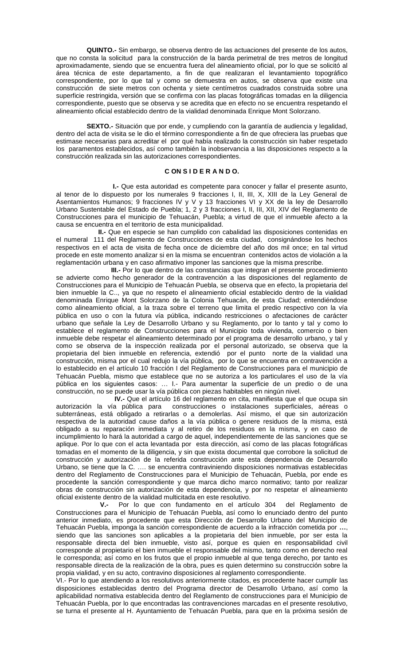**QUINTO.-** Sin embargo, se observa dentro de las actuaciones del presente de los autos, que no consta la solicitud para la construcción de la barda perimetral de tres metros de longitud aproximadamente, siendo que se encuentra fuera del alineamiento oficial, por lo que se solicitó al área técnica de este departamento, a fin de que realizaran el levantamiento topográfico correspondiente, por lo que tal y como se demuestra en autos, se observa que existe una construcción de siete metros con ochenta y siete centímetros cuadrados construida sobre una superficie restringida, versión que se confirma con las placas fotográficas tomadas en la diligencia correspondiente, puesto que se observa y se acredita que en efecto no se encuentra respetando el alineamiento oficial establecido dentro de la vialidad denominada Enrique Mont Solorzano.

 **SEXTO.-** Situación que por ende, y cumpliendo con la garantía de audiencia y legalidad, dentro del acta de visita se le dio el término correspondiente a fin de que ofreciera las pruebas que estimase necesarias para acreditar el por qué había realizado la construcción sin haber respetado los paramentos establecidos, así como también la inobservancia a las disposiciones respecto a la construcción realizada sin las autorizaciones correspondientes.

# **C ON S I D E R A N D O.**

 **I.-** Que esta autoridad es competente para conocer y fallar el presente asunto, al tenor de lo dispuesto por los numerales 9 fracciones I, II, III, X, XIII de la Ley General de Asentamientos Humanos; 9 fracciones IV y V y 13 fracciones VI y XX de la ley de Desarrollo Urbano Sustentable del Estado de Puebla; 1, 2 y 3 fracciones I, II, III, XII, XIV del Reglamento de Construcciones para el municipio de Tehuacán, Puebla; a virtud de que el inmueble afecto a la causa se encuentra en el territorio de esta municipalidad.

 **II.-** Que en especie se han cumplido con cabalidad las disposiciones contenidas en el numeral 111 del Reglamento de Construcciones de esta ciudad, consignándose los hechos respectivos en el acta de visita de fecha once de diciembre del año dos mil once; en tal virtud procede en este momento analizar si en la misma se encuentran contenidos actos de violación a la reglamentación urbana y en caso afirmativo imponer las sanciones que la misma prescribe.

 **III.-** Por lo que dentro de las constancias que integran el presente procedimiento se advierte como hecho generador de la contravención a las disposiciones del reglamento de Construcciones para el Municipio de Tehuacán Puebla, se observa que en efecto, la propietaria del bien inmueble la C.., ya que no respeto el alineamiento oficial establecido dentro de la vialidad denominada Enrique Mont Solorzano de la Colonia Tehuacán, de esta Ciudad; entendiéndose como alineamiento oficial, a la traza sobre el terreno que limita el predio respectivo con la vía pública en uso o con la futura vía pública, indicando restricciones o afectaciones de carácter urbano que señale la Ley de Desarrollo Urbano y su Reglamento, por lo tanto y tal y como lo establece el reglamento de Construcciones para el Municipio toda vivienda, comercio o bien inmueble debe respetar el alineamiento determinado por el programa de desarrollo urbano, y tal y como se observa de la inspección realizada por el personal autorizado, se observa que la propietaria del bien inmueble en referencia, extendió por el punto norte de la vialidad una construcción, misma por el cual redujo la vía pública, por lo que se encuentra en contravención a lo establecido en el artículo 10 fracción I del Reglamento de Construcciones para el municipio de Tehuacán Puebla, mismo que establece que no se autoriza a los particulares el uso de la vía pública en los siguientes casos: … I.- Para aumentar la superficie de un predio o de una construcción, no se puede usar la vía pública con piezas habitables en ningún nivel.

 **IV.-** Que el artículo 16 del reglamento en cita, manifiesta que el que ocupa sin autorización la vía pública para construcciones o instalaciones superficiales, aéreas o subterráneas, está obligado a retirarlas o a demolerlas. Así mismo, el que sin autorización respectiva de la autoridad cause daños a la vía pública o genere residuos de la misma, está obligado a su reparación inmediata y al retiro de los residuos en la misma, y en caso de incumplimiento lo hará la autoridad a cargo de aquel, independientemente de las sanciones que se aplique. Por lo que con el acta levantada por esta dirección, así como de las placas fotográficas tomadas en el momento de la diligencia, y sin que exista documental que corrobore la solicitud de construcción y autorización de la referida construcción ante esta dependencia de Desarrollo Urbano, se tiene que la C. …. se encuentra contraviniendo disposiciones normativas establecidas dentro del Reglamento de Construcciones para el Municipio de Tehuacán, Puebla, por ende es procedente la sanción correspondiente y que marca dicho marco normativo; tanto por realizar obras de construcción sin autorización de esta dependencia, y por no respetar el alineamiento oficial existente dentro de la vialidad multicitada en este resolutivo.

 **V.-** Por lo que con fundamento en el artículo 304 del Reglamento de Construcciones para el Municipio de Tehuacán Puebla, así como lo enunciado dentro del punto anterior inmediato, es procedente que esta Dirección de Desarrollo Urbano del Municipio de Tehuacán Puebla, imponga la sanción correspondiente de acuerdo a la infracción cometida por **…**, siendo que las sanciones son aplicables a la propietaria del bien inmueble, por ser esta la responsable directa del bien inmueble, visto así, porque es quien en responsabilidad civil corresponde al propietario el bien inmueble el responsable del mismo, tanto como en derecho real le corresponda; así como en los frutos que el propio inmueble al que tenga derecho, por tanto es responsable directa de la realización de la obra, pues es quien determino su construcción sobre la propia vialidad, y en su acto, contravino disposiciones al reglamento correspondiente.

VI.- Por lo que atendiendo a los resolutivos anteriormente citados, es procedente hacer cumplir las disposiciones establecidas dentro del Programa director de Desarrollo Urbano, así como la aplicabilidad normativa establecida dentro del Reglamento de construcciones para el Municipio de Tehuacán Puebla, por lo que encontradas las contravenciones marcadas en el presente resolutivo, se turna el presente al H. Ayuntamiento de Tehuacán Puebla, para que en la próxima sesión de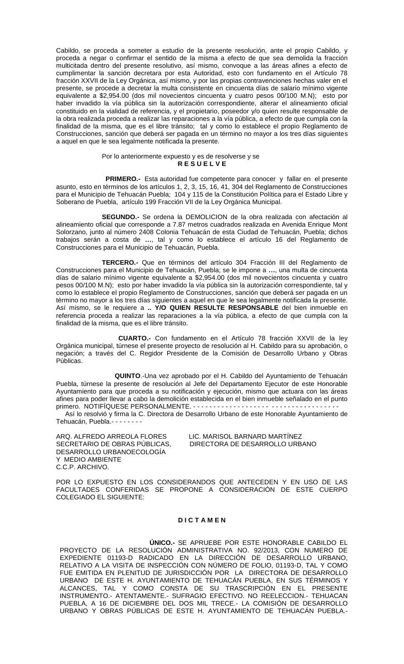Cabildo, se proceda a someter a estudio de la presente resolución, ante el propio Cabildo, y proceda a negar o confirmar el sentido de la misma a efecto de que sea demolida la fracción multicitada dentro del presente resolutivo, así mismo, convoque a las áreas afines a efecto de cumplimentar la sanción decretara por esta Autoridad, esto con fundamento en el Artículo 78 fracción XXVII de la Ley Orgánica, así mismo, y por las propias contravenciones hechas valer en el presente, se procede a decretar la multa consistente en cincuenta días de salario mínimo vigente equivalente a \$2,954.00 (dos mil novecientos cincuenta y cuatro pesos 00/100 M.N); esto por haber invadido la vía pública sin la autorización correspondiente, alterar el alineamiento oficial constituido en la vialidad de referencia, y el propietario, poseedor y/o quien resulte responsable de la obra realizada proceda a realizar las reparaciones a la vía pública, a efecto de que cumpla con la finalidad de la misma, que es el libre tránsito; tal y como lo establece el propio Reglamento de Construcciones, sanción que deberá ser pagada en un término no mayor a los tres días siguientes a aquel en que le sea legalmente notificada la presente.

### Por lo anteriormente expuesto y es de resolverse y se **R E S U E L V E**

**PRIMERO.-** Esta autoridad fue competente para conocer y fallar en el presente asunto, esto en términos de los artículos 1, 2, 3, 15, 16, 41, 304 del Reglamento de Construcciones para el Municipio de Tehuacán Puebla; 104 y 115 de la Constitución Política para el Estado Libre y Soberano de Puebla, artículo 199 Fracción VII de la Ley Orgánica Municipal.

 **SEGUNDO.-** Se ordena la DEMOLICION de la obra realizada con afectación al alineamiento oficial que corresponde a 7.87 metros cuadrados realizada en Avenida Enrique Mont Solorzano, junto al número 2408 Colonia Tehuacán de esta Ciudad de Tehuacán, Puebla; dichos trabajos serán a costa de **…**, tal y como lo establece el artículo 16 del Reglamento de Construcciones para el Municipio de Tehuacán, Puebla.

 **TERCERO.-** Que en términos del artículo 304 Fracción III del Reglamento de Construcciones para el Municipio de Tehuacán, Puebla; se le impone a **…**, una multa de cincuenta días de salario mínimo vigente equivalente a \$2,954.00 (dos mil novecientos cincuenta y cuatro pesos 00/100 M.N); esto por haber invadido la vía pública sin la autorización correspondiente, tal y como lo establece el propio Reglamento de Construcciones, sanción que deberá ser pagada en un término no mayor a los tres días siguientes a aquel en que le sea legalmente notificada la presente. Así mismo, se le requiere a **.. Y/O QUIEN RESULTE RESPONSABLE** del bien inmueble en referencia proceda a realizar las reparaciones a la vía pública, a efecto de que cumpla con la finalidad de la misma, que es el libre tránsito.

 **CUARTO.-** Con fundamento en el Artículo 78 fracción XXVII de la ley Orgánica municipal, túrnese el presente proyecto de resolución al H. Cabildo para su aprobación, o negación; a través del C. Regidor Presidente de la Comisión de Desarrollo Urbano y Obras Públicas.

 **QUINTO**.-Una vez aprobado por el H. Cabildo del Ayuntamiento de Tehuacán Puebla, túrnese la presente de resolución al Jefe del Departamento Ejecutor de este Honorable Ayuntamiento para que proceda a su notificación y ejecución, mismo que actuara con las áreas afines para poder llevar a cabo la demolición establecida en el bien inmueble señalado en el punto primero. NOTIFÍQUESE PERSONALMENTE. - - - - - - - - - - - - - - - - - - - - - - - - - - - - - - - - - - - -

 Así lo resolvió y firma la C. Directora de Desarrollo Urbano de este Honorable Ayuntamiento de Tehuacán, Puebla.- - - - - - - -

DESARROLLO URBANOECOLOGÍA Y MEDIO AMBIENTE C.C.P. ARCHIVO.

ARQ. ALFREDO ARREOLA FLORES LIC. MARISOL BARNARD MARTÍNEZ<br>SECRETARIO DE OBRAS PÚBLICAS, DIRECTORA DE DESARROLLO URB. DIRECTORA DE DESARROLLO URBANO

POR LO EXPUESTO EN LOS CONSIDERANDOS QUE ANTECEDEN Y EN USO DE LAS FACULTADES CONFERIDAS SE PROPONE A CONSIDERACIÓN DE ESTE CUERPO COLEGIADO EL SIGUIENTE:

## **D I C T A M E N**

**ÚNICO.-** SE APRUEBE POR ESTE HONORABLE CABILDO EL PROYECTO DE LA RESOLUCIÓN ADMINISTRATIVA NO. 92/2013, CON NUMERO DE EXPEDIENTE 01193-D RADICADO EN LA DIRECCIÓN DE DESARROLLO URBANO, RELATIVO A LA VISITA DE INSPECCIÓN CON NÚMERO DE FOLIO, 01193-D, TAL Y COMO FUE EMITIDA EN PLENITUD DE JURISDICCIÓN POR LA DIRECTORA DE DESARROLLO URBANO DE ESTE H. AYUNTAMIENTO DE TEHUACÁN PUEBLA, EN SUS TÉRMINOS Y ALCANCES, TAL Y COMO CONSTA DE SU TRASCRIPCIÓN EN EL PRESENTE INSTRUMENTO.- ATENTAMENTE.- SUFRAGIO EFECTIVO. NO REELECCION.- TEHUACAN PUEBLA, A 16 DE DICIEMBRE DEL DOS MIL TRECE.- LA COMISIÓN DE DESARROLLO URBANO Y OBRAS PÚBLICAS DE ESTE H. AYUNTAMIENTO DE TEHUACÁN PUEBLA.-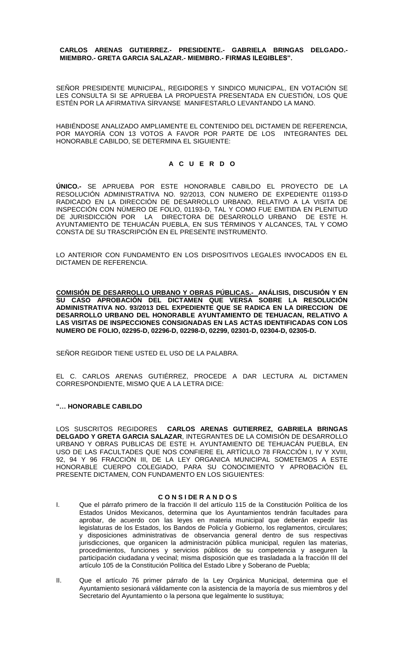## **CARLOS ARENAS GUTIERREZ.- PRESIDENTE.- GABRIELA BRINGAS DELGADO.- MIEMBRO.- GRETA GARCIA SALAZAR.- MIEMBRO.- FIRMAS ILEGIBLES".**

SEÑOR PRESIDENTE MUNICIPAL, REGIDORES Y SINDICO MUNICIPAL, EN VOTACIÓN SE LES CONSULTA SI SE APRUEBA LA PROPUESTA PRESENTADA EN CUESTIÓN, LOS QUE ESTÉN POR LA AFIRMATIVA SÍRVANSE MANIFESTARLO LEVANTANDO LA MANO.

HABIÉNDOSE ANALIZADO AMPLIAMENTE EL CONTENIDO DEL DICTAMEN DE REFERENCIA, POR MAYORÍA CON 13 VOTOS A FAVOR POR PARTE DE LOS INTEGRANTES DEL HONORABLE CABILDO, SE DETERMINA EL SIGUIENTE:

# **A C U E R D O**

**ÚNICO.-** SE APRUEBA POR ESTE HONORABLE CABILDO EL PROYECTO DE LA RESOLUCIÓN ADMINISTRATIVA NO. 92/2013, CON NUMERO DE EXPEDIENTE 01193-D RADICADO EN LA DIRECCIÓN DE DESARROLLO URBANO, RELATIVO A LA VISITA DE INSPECCIÓN CON NÚMERO DE FOLIO, 01193-D, TAL Y COMO FUE EMITIDA EN PLENITUD DE JURISDICCIÓN POR LA DIRECTORA DE DESARROLLO URBANO DE ESTE H. AYUNTAMIENTO DE TEHUACÁN PUEBLA, EN SUS TÉRMINOS Y ALCANCES, TAL Y COMO CONSTA DE SU TRASCRIPCIÓN EN EL PRESENTE INSTRUMENTO.

LO ANTERIOR CON FUNDAMENTO EN LOS DISPOSITIVOS LEGALES INVOCADOS EN EL DICTAMEN DE REFERENCIA.

**COMISIÓN DE DESARROLLO URBANO Y OBRAS PÚBLICAS.- ANÁLISIS, DISCUSIÓN Y EN SU CASO APROBACIÓN DEL DICTAMEN QUE VERSA SOBRE LA RESOLUCIÓN ADMINISTRATIVA NO. 93/2013 DEL EXPEDIENTE QUE SE RADICA EN LA DIRECCION DE DESARROLLO URBANO DEL HONORABLE AYUNTAMIENTO DE TEHUACAN, RELATIVO A LAS VISITAS DE INSPECCIONES CONSIGNADAS EN LAS ACTAS IDENTIFICADAS CON LOS NUMERO DE FOLIO, 02295-D, 02296-D, 02298-D, 02299, 02301-D, 02304-D, 02305-D.**

SEÑOR REGIDOR TIENE USTED EL USO DE LA PALABRA.

EL C. CARLOS ARENAS GUTIÉRREZ, PROCEDE A DAR LECTURA AL DICTAMEN CORRESPONDIENTE, MISMO QUE A LA LETRA DICE:

# **"… HONORABLE CABILDO**

LOS SUSCRITOS REGIDORES **CARLOS ARENAS GUTIERREZ, GABRIELA BRINGAS DELGADO Y GRETA GARCIA SALAZAR**, INTEGRANTES DE LA COMISIÓN DE DESARROLLO URBANO Y OBRAS PUBLICAS DE ESTE H. AYUNTAMIENTO DE TEHUACÁN PUEBLA, EN USO DE LAS FACULTADES QUE NOS CONFIERE EL ARTÍCULO 78 FRACCIÓN I, IV Y XVIII, 92, 94 Y 96 FRACCIÓN III, DE LA LEY ORGANICA MUNICIPAL SOMETEMOS A ESTE HONORABLE CUERPO COLEGIADO, PARA SU CONOCIMIENTO Y APROBACIÓN EL PRESENTE DICTAMEN, CON FUNDAMENTO EN LOS SIGUIENTES:

## **C O N S I DE R A N D O S**

- I. Que el párrafo primero de la fracción II del artículo 115 de la Constitución Política de los Estados Unidos Mexicanos, determina que los Ayuntamientos tendrán facultades para aprobar, de acuerdo con las leyes en materia municipal que deberán expedir las legislaturas de los Estados, los Bandos de Policía y Gobierno, los reglamentos, circulares; y disposiciones administrativas de observancia general dentro de sus respectivas jurisdicciones, que organicen la administración pública municipal, regulen las materias, procedimientos, funciones y servicios públicos de su competencia y aseguren la participación ciudadana y vecinal; misma disposición que es trasladada a la fracción III del artículo 105 de la Constitución Política del Estado Libre y Soberano de Puebla;
- II. Que el artículo 76 primer párrafo de la Ley Orgánica Municipal, determina que el Ayuntamiento sesionará válidamente con la asistencia de la mayoría de sus miembros y del Secretario del Ayuntamiento o la persona que legalmente lo sustituya;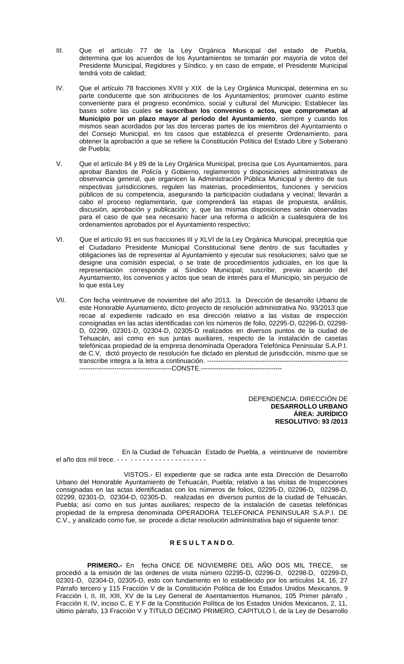- III. Que el artículo 77 de la Ley Orgánica Municipal del estado de Puebla, determina que los acuerdos de los Ayuntamientos se tomarán por mayoría de votos del Presidente Municipal, Regidores y Síndico, y en caso de empate, el Presidente Municipal tendrá voto de calidad;
- IV. Que el artículo 78 fracciones XVIII y XIX de la Ley Orgánica Municipal, determina en su parte conducente que son atribuciones de los Ayuntamientos; promover cuanto estime conveniente para el progreso económico, social y cultural del Municipio; Establecer las bases sobre las cuales **se suscriban los convenios o actos, que comprometan al Municipio por un plazo mayor al período del Ayuntamiento**, siempre y cuando los mismos sean acordados por las dos terceras partes de los miembros del Ayuntamiento o del Consejo Municipal, en los casos que establezca el presente Ordenamiento, para obtener la aprobación a que se refiere la Constitución Política del Estado Libre y Soberano de Puebla;
- V. Que el artículo 84 y 89 de la Ley Orgánica Municipal, precisa que Los Ayuntamientos, para aprobar Bandos de Policía y Gobierno, reglamentos y disposiciones administrativas de observancia general, que organicen la Administración Pública Municipal y dentro de sus respectivas jurisdicciones, regulen las materias, procedimientos, funciones y servicios públicos de su competencia, asegurando la participación ciudadana y vecinal; llevarán a cabo el proceso reglamentario, que comprenderá las etapas de propuesta, análisis, discusión, aprobación y publicación; y, que las mismas disposiciones serán observadas para el caso de que sea necesario hacer una reforma o adición a cualesquiera de los ordenamientos aprobados por el Ayuntamiento respectivo;
- VI. Que el artículo 91 en sus fracciones III y XLVI de la Ley Orgánica Municipal, preceptúa que el Ciudadano Presidente Municipal Constitucional tiene dentro de sus facultades y obligaciones las de representar al Ayuntamiento y ejecutar sus resoluciones; salvo que se designe una comisión especial, o se trate de procedimientos judiciales, en los que la representación corresponde al Síndico Municipal; suscribir, previo acuerdo del Ayuntamiento, los convenios y actos que sean de interés para el Municipio, sin perjuicio de lo que esta Ley
- VII. Con fecha veintinueve de noviembre del año 2013, la Dirección de desarrollo Urbano de este Honorable Ayuntamiento, dicto proyecto de resolución administrativa No. 93/2013 que recae al expediente radicado en esa dirección relativo a las visitas de inspección consignadas en las actas identificadas con los números de folio, 02295-D, 02296-D, 02298- D, 02299, 02301-D, 02304-D, 02305-D realizados en diversos puntos de la ciudad de Tehuacán, así como en sus juntas auxiliares, respecto de la instalación de casetas telefónicas propiedad de la empresa denominada Operadora Telefónica Peninsular S.A.P.I. de C.V, dictó proyecto de resolución fue dictado en plenitud de jurisdicción, mismo que se transcribe integra a la letra a continuación. ---------------------------------------------------------------- ------------------------------------------CONSTE.-------------------------------------

DEPENDENCIA: DIRECCIÓN DE **DESARROLLO URBANO ÁREA: JURÍDICO RESOLUTIVO: 93 /2013**

 En la Ciudad de Tehuacán Estado de Puebla, a veintinueve de noviembre el año dos mil trece. - - - - - - - - - - - - - - - - - - - - - -

 VISTOS.- El expediente que se radica ante esta Dirección de Desarrollo Urbano del Honorable Ayuntamiento de Tehuacán, Puebla; relativo a las visitas de Inspecciones consignadas en las actas identificadas con los números de folios, 02295-D, 02296-D, 02298-D, 02299, 02301-D, 02304-D, 02305-D, realizadas en diversos puntos de la ciudad de Tehuacán, Puebla; así como en sus juntas auxiliares; respecto de la instalación de casetas telefónicas propiedad de la empresa denominada OPERADORA TELEFONICA PENINSULAR S.A.P.I. DE C.V., y analizado como fue, se procede a dictar resolución administrativa bajo el siguiente tenor:

# **R E S U L T A N D O.**

**PRIMERO.-** En fecha ONCE DE NOVIEMBRE DEL ANO DOS MIL TRECE, se procedió a la emisión de las ordenes de visita número 02295-D, 02296-D, 02298-D, 02299-D, 02301-D, 02304-D, 02305-D, esto con fundamento en lo establecido por los artículos 14, 16, 27 Párrafo tercero y 115 Fracción V de la Constitución Política de los Estados Unidos Mexicanos, 9 Fracción I, II, III, XIII, XV de la Ley General de Asentamientos Humanos, 105 Primer párrafo, Fracción II, IV, inciso C, E Y F de la Constitución Política de los Estados Unidos Mexicanos, 2, 11, último párrafo, 13 Fracción V y TITULO DECIMO PRIMERO, CAPITULO I, de la Ley de Desarrollo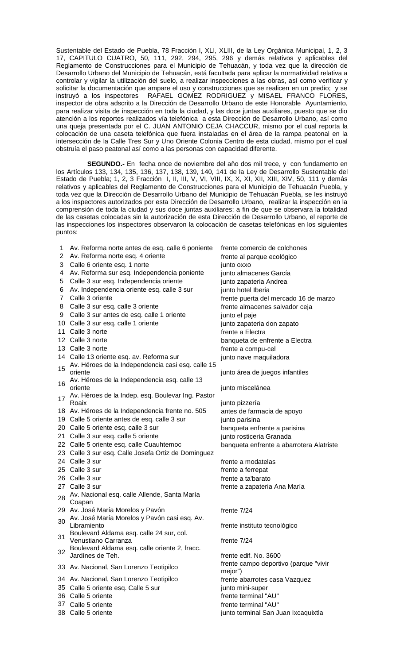Sustentable del Estado de Puebla, 78 Fracción I, XLI, XLIII, de la Ley Orgánica Municipal, 1, 2, 3 17, CAPITULO CUATRO, 50, 111, 292, 294, 295, 296 y demás relativos y aplicables del Reglamento de Construcciones para el Municipio de Tehuacán, y toda vez que la dirección de Desarrollo Urbano del Municipio de Tehuacán, está facultada para aplicar la normatividad relativa a controlar y vigilar la utilización del suelo, a realizar inspecciones a las obras, así como verificar y solicitar la documentación que ampare el uso y construcciones que se realicen en un predio; y se instruyó a los inspectores RAFAEL GOMEZ RODRIGUEZ y MISAEL FRANCO FLORES, inspector de obra adscrito a la Dirección de Desarrollo Urbano de este Honorable Ayuntamiento, para realizar visita de inspección en toda la ciudad, y las doce juntas auxiliares, puesto que se dio atención a los reportes realizados vía telefónica a esta Dirección de Desarrollo Urbano, así como una queja presentada por el C. JUAN ANTONIO CEJA CHACCUR, mismo por el cual reporta la colocación de una caseta telefónica que fuera instaladas en el área de la rampa peatonal en la intersección de la Calle Tres Sur y Uno Oriente Colonia Centro de esta ciudad, mismo por el cual obstruía el paso peatonal así como a las personas con capacidad diferente.

 **SEGUNDO.-** En fecha once de noviembre del año dos mil trece, y con fundamento en los Artículos 133, 134, 135, 136, 137, 138, 139, 140, 141 de la Ley de Desarrollo Sustentable del Estado de Puebla; 1, 2, 3 Fracción I, II, III, V, VI, VIII, IX, X, XI, XII, XIII, XIV, 50, 111 y demás relativos y aplicables del Reglamento de Construcciones para el Municipio de Tehuacán Puebla, y toda vez que la Dirección de Desarrollo Urbano del Municipio de Tehuacán Puebla, se les instruyó a los inspectores autorizados por esta Dirección de Desarrollo Urbano, realizar la inspección en la comprensión de toda la ciudad y sus doce juntas auxiliares; a fin de que se observara la totalidad de las casetas colocadas sin la autorización de esta Dirección de Desarrollo Urbano, el reporte de las inspecciones los inspectores observaron la colocación de casetas telefónicas en los siguientes puntos:

| 1              | Av. Reforma norte antes de esq. calle 6 poniente            | frente comercio de colchones                     |
|----------------|-------------------------------------------------------------|--------------------------------------------------|
| 2              | Av. Reforma norte esq. 4 oriente                            | frente al parque ecológico                       |
| 3              | Calle 6 oriente esq. 1 norte                                | junto oxxo                                       |
| 4              | Av. Reforma sur esq. Independencia poniente                 | junto almacenes García                           |
| 5              | Calle 3 sur esq. Independencia oriente                      | junto zapateria Andrea                           |
| 6              | Av. Independencia oriente esq. calle 3 sur                  | junto hotel Iberia                               |
| $\overline{7}$ | Calle 3 oriente                                             | frente puerta del mercado 16 de marzo            |
| 8              | Calle 3 sur esq. calle 3 oriente                            | frente almacenes salvador ceja                   |
| 9              | Calle 3 sur antes de esq. calle 1 oriente                   | junto el paje                                    |
|                | 10 Calle 3 sur esq. calle 1 oriente                         | junto zapateria don zapato                       |
|                | 11 Calle 3 norte                                            | frente a Electra                                 |
|                | 12 Calle 3 norte                                            | banqueta de enfrente a Electra                   |
|                | 13 Calle 3 norte                                            | frente a compu-cel                               |
|                | 14 Calle 13 oriente esq. av. Reforma sur                    | junto nave maquiladora                           |
| 15             | Av. Héroes de la Independencia casi esq. calle 15           |                                                  |
|                | oriente                                                     | junto área de juegos infantiles                  |
|                | Av. Héroes de la Independencia esq. calle 13                |                                                  |
|                | oriente                                                     | junto miscelánea                                 |
| 17             | Av. Héroes de la Indep. esq. Boulevar Ing. Pastor<br>Roaix  | junto pizzería                                   |
|                | 18 Av. Héroes de la Independencia frente no. 505            | antes de farmacia de apoyo                       |
|                | 19 Calle 5 oriente antes de esq. calle 3 sur                | junto parisina                                   |
|                | 20 Calle 5 oriente esq. calle 3 sur                         | banqueta enfrente a parisina                     |
|                | 21 Calle 3 sur esq. calle 5 oriente                         | junto rosticeria Granada                         |
|                | 22 Calle 5 oriente esq. calle Cuauhtemoc                    | banqueta enfrente a abarrotera Alatriste         |
|                | 23 Calle 3 sur esq. Calle Josefa Ortiz de Dominguez         |                                                  |
|                | 24 Calle 3 sur                                              | frente a modatelas                               |
|                | 25 Calle 3 sur                                              | frente a ferrepat                                |
|                | 26 Calle 3 sur                                              | frente a ta'barato                               |
|                | 27 Calle 3 sur                                              | frente a zapateria Ana María                     |
| 28             | Av. Nacional esq. calle Allende, Santa María                |                                                  |
|                | Coapan                                                      |                                                  |
|                | 29 Av. José María Morelos y Pavón                           | frente 7/24                                      |
| 30             | Av. José María Morelos y Pavón casi esq. Av.<br>Libramiento | frente instituto tecnológico                     |
|                | Boulevard Aldama esq. calle 24 sur, col.                    |                                                  |
| 31             | Venustiano Carranza                                         | frente 7/24                                      |
|                | Boulevard Aldama esq. calle oriente 2, fracc.               |                                                  |
| 32             | Jardínes de Teh.                                            | frente edif. No. 3600                            |
|                | 33 Av. Nacional, San Lorenzo Teotipilco                     | frente campo deportivo (parque "vivir<br>mejor") |
|                | 34 Av. Nacional, San Lorenzo Teotipilco                     | frente abarrotes casa Vazquez                    |
|                | 35 Calle 5 oriente esq. Calle 5 sur                         | junto mini-super                                 |
|                | 36 Calle 5 oriente                                          | frente terminal "AU"                             |

- 
- 
- 

37 Calle 5 oriente frente terminal "AU" 38 Calle 5 oriente in the same state is a set of the set of the interval San Juan Ixcaquixtla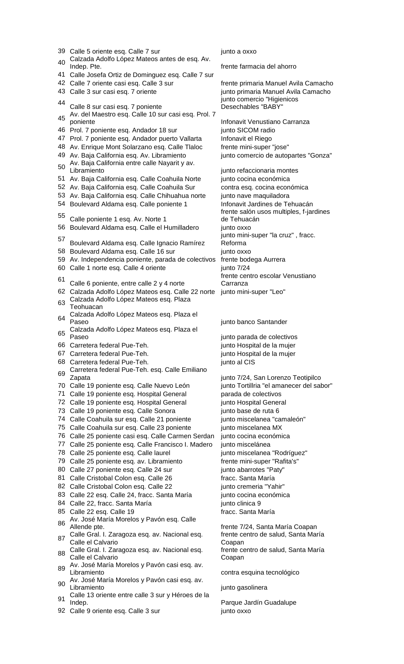|    | 39 Calle 5 oriente esq. Calle 7 sur                                                                                 | junto a oxxo                                                                   |
|----|---------------------------------------------------------------------------------------------------------------------|--------------------------------------------------------------------------------|
| 40 | Calzada Adolfo López Mateos antes de esq. Av.<br>Indep. Pte.                                                        | frente farmacia del ahorro                                                     |
|    | 41 Calle Josefa Ortiz de Dominguez esq. Calle 7 sur                                                                 |                                                                                |
|    | 42 Calle 7 oriente casi esq. Calle 3 sur                                                                            | frente primaria Manuel Avila Camacho                                           |
|    | 43 Calle 3 sur casi esq. 7 oriente                                                                                  | junto primaria Manuel Avila Camacho                                            |
| 44 | Calle 8 sur casi esq. 7 poniente                                                                                    | junto comercio "Higienicos<br>Desechables "BABY"                               |
|    | Av. del Maestro esq. Calle 10 sur casi esq. Prol. 7                                                                 |                                                                                |
| 45 | poniente                                                                                                            | Infonavit Venustiano Carranza                                                  |
|    | 46 Prol. 7 poniente esq. Andador 18 sur                                                                             | junto SICOM radio                                                              |
|    | 47 Prol. 7 poniente esq. Andador puerto Vallarta                                                                    | Infonavit el Riego                                                             |
|    | 48 Av. Enrique Mont Solarzano esq. Calle Tlaloc                                                                     | frente mini-super "jose"                                                       |
|    | 49 Av. Baja California esq. Av. Libramiento                                                                         | junto comercio de autopartes "Gonza"                                           |
| 50 | Av. Baja California entre calle Nayarit y av.                                                                       |                                                                                |
|    | Libramiento                                                                                                         | junto refaccionaria montes                                                     |
|    | 51 Av. Baja California esq. Calle Coahuila Norte                                                                    | junto cocina económica                                                         |
|    | 52 Av. Baja California esq. Calle Coahuila Sur                                                                      | contra esq. cocina económica                                                   |
|    | 53 Av. Baja California esq. Calle Chihuahua norte<br>54 Boulevard Aldama esq. Calle poniente 1                      | junto nave maquiladora<br>Infonavit Jardines de Tehuacán                       |
|    |                                                                                                                     | frente salón usos multiples, f-jardines                                        |
| 55 | Calle poniente 1 esq. Av. Norte 1                                                                                   | de Tehuacán                                                                    |
|    | 56 Boulevard Aldama esq. Calle el Humilladero                                                                       | junto oxxo                                                                     |
|    |                                                                                                                     | junto mini-super "la cruz", fracc.                                             |
| 57 | Boulevard Aldama esq. Calle Ignacio Ramírez                                                                         | Reforma                                                                        |
|    | 58 Boulevard Aldama esq. Calle 16 sur                                                                               | junto oxxo                                                                     |
|    | 59 Av. Independencia poniente, parada de colectivos                                                                 | frente bodega Aurrera                                                          |
|    | 60 Calle 1 norte esq. Calle 4 oriente                                                                               | junto 7/24                                                                     |
| 61 |                                                                                                                     | frente centro escolar Venustiano                                               |
|    | Calle 6 poniente, entre calle 2 y 4 norte                                                                           | Carranza                                                                       |
|    | 62 Calzada Adolfo López Mateos esq. Calle 22 norte junto mini-super "Leo"<br>Calzada Adolfo López Mateos esq. Plaza |                                                                                |
| 63 | Teohuacan                                                                                                           |                                                                                |
| 64 | Calzada Adolfo López Mateos esq. Plaza el                                                                           |                                                                                |
|    | Paseo                                                                                                               | junto banco Santander                                                          |
| 65 | Calzada Adolfo López Mateos esq. Plaza el                                                                           |                                                                                |
|    | Paseo                                                                                                               | junto parada de colectivos                                                     |
|    | 66 Carretera federal Pue-Teh.<br>67 Carretera federal Pue-Teh.                                                      | junto Hospital de la mujer                                                     |
|    | 68 Carretera federal Pue-Teh.                                                                                       | junto Hospital de la mujer                                                     |
|    |                                                                                                                     |                                                                                |
|    |                                                                                                                     | junto al CIS                                                                   |
| 69 | Carretera federal Pue-Teh. esq. Calle Emiliano                                                                      |                                                                                |
|    | Zapata<br>70 Calle 19 poniente esq. Calle Nuevo León                                                                | junto 7/24, San Lorenzo Teotipilco<br>junto Tortillria "el amanecer del sabor" |
|    | 71 Calle 19 poniente esq. Hospital General                                                                          | parada de colectivos                                                           |
|    | 72 Calle 19 poniente esq. Hospital General                                                                          | junto Hospital General                                                         |
|    | 73 Calle 19 poniente esq. Calle Sonora                                                                              | junto base de ruta 6                                                           |
|    | 74 Calle Coahuila sur esq. Calle 21 poniente                                                                        | junto miscelanea "camaleón"                                                    |
|    | 75 Calle Coahuila sur esq. Calle 23 poniente                                                                        | junto miscelanea MX                                                            |
|    | 76 Calle 25 poniente casi esq. Calle Carmen Serdan                                                                  | junto cocina económica                                                         |
|    | 77 Calle 25 poniente esq. Calle Francisco I. Madero                                                                 | junto miscelánea                                                               |
|    | 78 Calle 25 poniente esq. Calle laurel                                                                              | junto miscelanea "Rodríguez"                                                   |
|    | 79 Calle 25 poniente esq. av. Libramiento                                                                           | frente mini-super "Rafita's"                                                   |
|    | 80 Calle 27 poniente esq. Calle 24 sur                                                                              | junto abarrotes "Paty"                                                         |
| 81 | Calle Cristobal Colon esq. Calle 26                                                                                 | fracc. Santa María                                                             |
|    | 82 Calle Cristobal Colon esq. Calle 22                                                                              | junto cremeria "Yahir"                                                         |
|    | 83 Calle 22 esq. Calle 24, fracc. Santa María                                                                       | junto cocina económica                                                         |
|    | 84 Calle 22, fracc. Santa María                                                                                     | junto clinica 9                                                                |
|    | 85 Calle 22 esq. Calle 19                                                                                           | fracc. Santa María                                                             |
| 86 | Av. José María Morelos y Pavón esq. Calle<br>Allende pte.                                                           | frente 7/24, Santa María Coapan                                                |
|    | Calle Gral. I. Zaragoza esq. av. Nacional esq.                                                                      | frente centro de salud, Santa María                                            |
| 87 | Calle el Calvario                                                                                                   | Coapan                                                                         |
| 88 | Calle Gral. I. Zaragoza esq. av. Nacional esq.                                                                      | frente centro de salud, Santa María                                            |
|    | Calle el Calvario                                                                                                   | Coapan                                                                         |
| 89 | Av. José María Morelos y Pavón casi esq. av.                                                                        |                                                                                |
|    | Libramiento<br>Av. José María Morelos y Pavón casi esq. av.                                                         | contra esquina tecnológico                                                     |
| 90 | Libramiento                                                                                                         | junto gasolinera                                                               |
| 91 | Calle 13 oriente entre calle 3 sur y Héroes de la                                                                   |                                                                                |
|    | Indep.<br>92 Calle 9 oriente esq. Calle 3 sur                                                                       | Parque Jardín Guadalupe<br>junto oxxo                                          |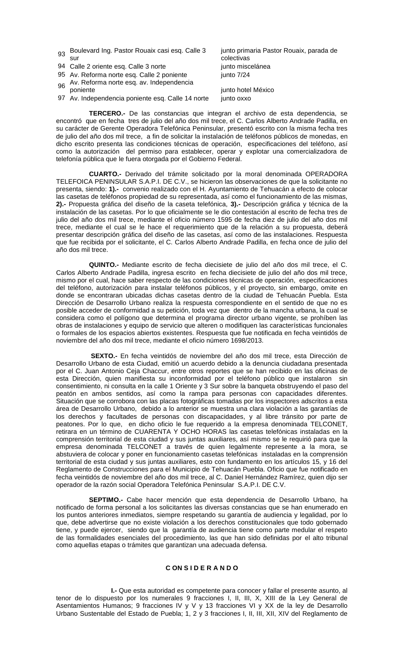- 93 Boulevard Ing. Pastor Rouaix casi esq. Calle 3 sur
- 94 Calle 2 oriente esq. Calle 3 norte in the state in punto miscelánea
- 95 Av. Reforma norte esq. Calle 2 poniente iunto 7/24
- 96 Av. Reforma norte esq. av. Independencia<br>poniente

97 Av. Independencia poniente esq. Calle 14 norte junto oxxo

junto primaria Pastor Rouaix, parada de colectivas

junto hotel México

 **TERCERO.-** De las constancias que integran el archivo de esta dependencia, se encontró que en fecha tres de julio del año dos mil trece, el C. Carlos Alberto Andrade Padilla, en su carácter de Gerente Operadora Telefónica Peninsular, presentó escrito con la misma fecha tres de julio del año dos mil trece, a fin de solicitar la instalación de teléfonos públicos de monedas, en dicho escrito presenta las condiciones técnicas de operación, especificaciones del teléfono, así como la autorización del permiso para establecer, operar y explotar una comercializadora de telefonía pública que le fuera otorgada por el Gobierno Federal.

 **CUARTO.-** Derivado del trámite solicitado por la moral denominada OPERADORA TELEFOICA PENINSULAR S.A.P.I. DE C.V., se hicieron las observaciones de que la solicitante no presenta, siendo: **1).-** convenio realizado con el H. Ayuntamiento de Tehuacán a efecto de colocar las casetas de teléfonos propiedad de su representada, así como el funcionamiento de las mismas, **2).-** Propuesta gráfica del diseño de la caseta telefónica, **3).-** Descripción gráfica y técnica de la instalación de las casetas. Por lo que oficialmente se le dio contestación al escrito de fecha tres de julio del año dos mil trece, mediante el oficio número 1595 de fecha diez de julio del año dos mil trece, mediante el cual se le hace el requerimiento que de la relación a su propuesta, deberá presentar descripción gráfica del diseño de las casetas, así como de las instalaciones. Respuesta que fue recibida por el solicitante, el C. Carlos Alberto Andrade Padilla, en fecha once de julio del año dos mil trece.

 **QUINTO.-** Mediante escrito de fecha diecisiete de julio del año dos mil trece, el C. Carlos Alberto Andrade Padilla, ingresa escrito en fecha diecisiete de julio del año dos mil trece, mismo por el cual, hace saber respecto de las condiciones técnicas de operación, especificaciones del teléfono, autorización para instalar teléfonos públicos, y el proyecto, sin embargo, omite en donde se encontraran ubicadas dichas casetas dentro de la ciudad de Tehuacán Puebla. Esta Dirección de Desarrollo Urbano realiza la respuesta correspondiente en el sentido de que no es posible acceder de conformidad a su petición, toda vez que dentro de la mancha urbana, la cual se considera como el polígono que determina el programa director urbano vigente, se prohíben las obras de instalaciones y equipo de servicio que alteren o modifiquen las características funcionales o formales de los espacios abiertos existentes. Respuesta que fue notificada en fecha veintidós de noviembre del año dos mil trece, mediante el oficio número 1698/2013.

 **SEXTO.-** En fecha veintidós de noviembre del año dos mil trece, esta Dirección de Desarrollo Urbano de esta Ciudad, emitió un acuerdo debido a la denuncia ciudadana presentada por el C. Juan Antonio Ceja Chaccur, entre otros reportes que se han recibido en las oficinas de esta Dirección, quien manifiesta su inconformidad por el teléfono público que instalaron sin consentimiento, ni consulta en la calle 1 Oriente y 3 Sur sobre la banqueta obstruyendo el paso del peatón en ambos sentidos, así como la rampa para personas con capacidades diferentes. Situación que se corrobora con las placas fotográficas tomadas por los inspectores adscritos a esta área de Desarrollo Urbano, debido a lo anterior se muestra una clara violación a las garantías de los derechos y facultades de personas con discapacidades, y al libre tránsito por parte de peatones. Por lo que, en dicho oficio le fue requerido a la empresa denominada TELCONET, retirara en un término de CUARENTA Y OCHO HORAS las casetas telefónicas instaladas en la comprensión territorial de esta ciudad y sus juntas auxiliares, así mismo se le requirió para que la empresa denominada TELCONET a través de quien legalmente represente a la mora, se abstuviera de colocar y poner en funcionamiento casetas telefónicas instaladas en la comprensión territorial de esta ciudad y sus juntas auxiliares, esto con fundamento en los artículos 15, y 16 del Reglamento de Construcciones para el Municipio de Tehuacán Puebla. Oficio que fue notificado en fecha veintidós de noviembre del año dos mil trece, al C. Daniel Hernández Ramírez, quien dijo ser operador de la razón social Operadora Telefónica Peninsular S.A.P.I. DE C.V.

 **SEPTIMO.-** Cabe hacer mención que esta dependencia de Desarrollo Urbano, ha notificado de forma personal a los solicitantes las diversas constancias que se han enumerado en los puntos anteriores inmediatos, siempre respetando su garantía de audiencia y legalidad, por lo que, debe advertirse que no existe violación a los derechos constitucionales que todo gobernado tiene, y puede ejercer, siendo que la garantía de audiencia tiene como parte medular el respeto de las formalidades esenciales del procedimiento, las que han sido definidas por el alto tribunal como aquellas etapas o trámites que garantizan una adecuada defensa.

# **C ON S I D E R A N D O**

 **I.-** Que esta autoridad es competente para conocer y fallar el presente asunto, al tenor de lo dispuesto por los numerales 9 fracciones I, II, III, X, XIII de la Ley General de Asentamientos Humanos; 9 fracciones IV y V y 13 fracciones VI y XX de la ley de Desarrollo Urbano Sustentable del Estado de Puebla; 1, 2 y 3 fracciones I, II, III, XII, XIV del Reglamento de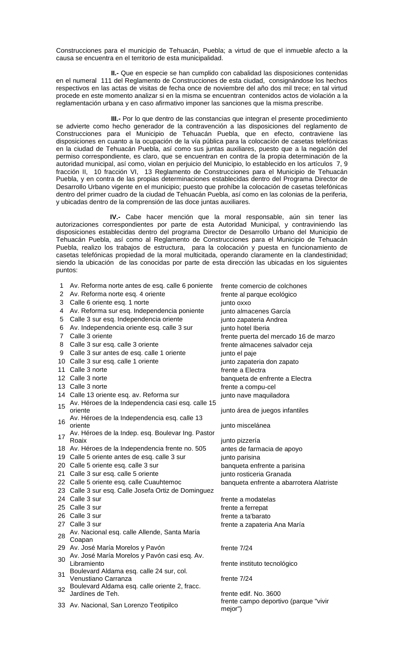Construcciones para el municipio de Tehuacán, Puebla; a virtud de que el inmueble afecto a la causa se encuentra en el territorio de esta municipalidad.

 **II.-** Que en especie se han cumplido con cabalidad las disposiciones contenidas en el numeral 111 del Reglamento de Construcciones de esta ciudad, consignándose los hechos respectivos en las actas de visitas de fecha once de noviembre del año dos mil trece; en tal virtud procede en este momento analizar si en la misma se encuentran contenidos actos de violación a la reglamentación urbana y en caso afirmativo imponer las sanciones que la misma prescribe.

 **III.-** Por lo que dentro de las constancias que integran el presente procedimiento se advierte como hecho generador de la contravención a las disposiciones del reglamento de Construcciones para el Municipio de Tehuacán Puebla, que en efecto, contraviene las disposiciones en cuanto a la ocupación de la vía pública para la colocación de casetas telefónicas en la ciudad de Tehuacán Puebla, así como sus juntas auxiliares, puesto que a la negación del permiso correspondiente, es claro, que se encuentran en contra de la propia determinación de la autoridad municipal, así como, violan en perjuicio del Municipio, lo establecido en los artículos 7, 9 fracción II, 10 fracción VI, 13 Reglamento de Construcciones para el Municipio de Tehuacán Puebla, y en contra de las propias determinaciones establecidas dentro del Programa Director de Desarrollo Urbano vigente en el municipio; puesto que prohíbe la colocación de casetas telefónicas dentro del primer cuadro de la ciudad de Tehuacán Puebla, así como en las colonias de la periferia, y ubicadas dentro de la comprensión de las doce juntas auxiliares.

 **IV.-** Cabe hacer mención que la moral responsable, aún sin tener las autorizaciones correspondientes por parte de esta Autoridad Municipal, y contraviniendo las disposiciones establecidas dentro del programa Director de Desarrollo Urbano del Municipio de Tehuacán Puebla, así como al Reglamento de Construcciones para el Municipio de Tehuacán Puebla, realizo los trabajos de estructura, para la colocación y puesta en funcionamiento de casetas telefónicas propiedad de la moral multicitada, operando claramente en la clandestinidad; siendo la ubicación de las conocidas por parte de esta dirección las ubicadas en los siguientes puntos:

| 1  | Av. Reforma norte antes de esq. calle 6 poniente                                                 | frente comercio de colchones             |
|----|--------------------------------------------------------------------------------------------------|------------------------------------------|
| 2  | Av. Reforma norte esq. 4 oriente                                                                 | frente al parque ecológico               |
| 3  | Calle 6 oriente esq. 1 norte                                                                     | junto oxxo                               |
| 4  | Av. Reforma sur esq. Independencia poniente                                                      | junto almacenes García                   |
| 5  | Calle 3 sur esq. Independencia oriente                                                           | junto zapateria Andrea                   |
| 6  | Av. Independencia oriente esq. calle 3 sur                                                       | junto hotel Iberia                       |
| 7  | Calle 3 oriente                                                                                  | frente puerta del mercado 16 de marzo    |
| 8  | Calle 3 sur esq. calle 3 oriente                                                                 | frente almacenes salvador ceja           |
| 9  | Calle 3 sur antes de esq. calle 1 oriente                                                        | junto el paje                            |
|    | 10 Calle 3 sur esq. calle 1 oriente                                                              | junto zapateria don zapato               |
|    | 11 Calle 3 norte                                                                                 | frente a Electra                         |
|    | 12 Calle 3 norte                                                                                 | banqueta de enfrente a Electra           |
|    | 13 Calle 3 norte                                                                                 | frente a compu-cel                       |
|    | 14 Calle 13 oriente esq. av. Reforma sur                                                         | junto nave maquiladora                   |
| 15 | Av. Héroes de la Independencia casi esq. calle 15                                                |                                          |
|    | oriente                                                                                          | junto área de juegos infantiles          |
| 16 | Av. Héroes de la Independencia esq. calle 13                                                     |                                          |
|    | oriente                                                                                          | junto miscelánea                         |
|    | 17 Av. Héroes de la Indep. esq. Boulevar Ing. Pastor                                             |                                          |
|    | Roaix                                                                                            | junto pizzería                           |
|    | 18 Av. Héroes de la Independencia frente no. 505<br>19 Calle 5 oriente antes de esq. calle 3 sur | antes de farmacia de apoyo               |
|    | 20 Calle 5 oriente esq. calle 3 sur                                                              | junto parisina                           |
|    | 21 Calle 3 sur esq. calle 5 oriente                                                              | banqueta enfrente a parisina             |
|    |                                                                                                  | junto rosticeria Granada                 |
|    | 22 Calle 5 oriente esq. calle Cuauhtemoc                                                         | banqueta enfrente a abarrotera Alatriste |
|    | 23 Calle 3 sur esq. Calle Josefa Ortiz de Dominguez<br>24 Calle 3 sur                            |                                          |
|    | 25 Calle 3 sur                                                                                   | frente a modatelas                       |
|    |                                                                                                  | frente a ferrepat                        |
|    | 26 Calle 3 sur                                                                                   | frente a ta'barato                       |
|    | 27 Calle 3 sur<br>Av. Nacional esq. calle Allende, Santa María                                   | frente a zapateria Ana María             |
| 28 | Coapan                                                                                           |                                          |
|    | 29 Av. José María Morelos y Pavón                                                                | frente 7/24                              |
|    | Av. José María Morelos y Pavón casi esq. Av.                                                     |                                          |
| 30 | Libramiento                                                                                      | frente instituto tecnológico             |
|    | Boulevard Aldama esq. calle 24 sur, col.                                                         |                                          |
| 31 | Venustiano Carranza                                                                              | frente $7/24$                            |
| 32 | Boulevard Aldama esq. calle oriente 2, fracc.                                                    |                                          |
|    | Jardínes de Teh.                                                                                 | frente edif. No. 3600                    |
|    | 33 Av. Nacional, San Lorenzo Teotipilco                                                          | frente campo deportivo (parque "vivir    |
|    |                                                                                                  | mejor")                                  |
|    |                                                                                                  |                                          |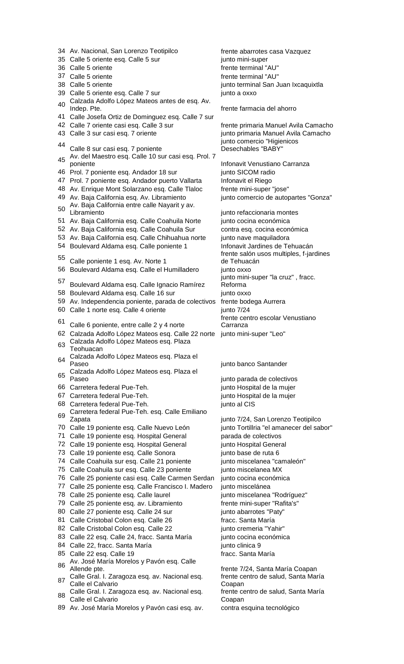34 Av. Nacional, San Lorenzo Teotipilco frente abarrotes casa Vazquez 35 Calle 5 oriente esq. Calle 5 sur junto mini-super 36 Calle 5 oriente frente terminal "AU" 37 Calle 5 oriente frente terminal "AU"<br>38 Calle 5 oriente frente frente terminal San J 39 Calle 5 oriente esq. Calle 7 sur junto a oxxo 40 Calzada Adolfo López Mateos antes de esq. Av.<br>Indep. Pte. http://www.frente.farmacia del ahorro 41 Calle Josefa Ortiz de Dominguez esq. Calle 7 sur 42 Calle 7 oriente casi esq. Calle 3 sur frente primaria Manuel Avila Camacho 43 Calle 3 sur casi esq. 7 oriente junto primaria Manuel Avila Camacho <sup>44</sup> Calle 8 sur casi esq. 7 poniente <sup>45</sup> Av. del Maestro esq. Calle 10 sur casi esq. Prol. 7 46 Prol. 7 poniente esq. Andador 18 sur junto SICOM radio 47 Prol. 7 poniente esq. Andador puerto Vallarta Infonavit el Riego 48 Av. Enrique Mont Solarzano esq. Calle Tlaloc frente mini-super "jose" 49 Av. Baja California esq. Av. Libramiento junto comercio de autopartes "Gonza" <sup>50</sup> Av. Baja California entre calle Nayarit y av. 51 Av. Baja California esq. Calle Coahuila Norte junto cocina económica 52 Av. Baja California esq. Calle Coahuila Sur contra esq. cocina económica 53 Av. Baja California esq. Calle Chihuahua norte junto nave maquiladora 54 Boulevard Aldama esq. Calle poniente 1 Infonavit Jardines de Tehuacán <sup>55</sup> Calle poniente 1 esq. Av. Norte 1 56 Boulevard Aldama esq. Calle el Humilladero junto oxxo <sup>57</sup> Boulevard Aldama esq. Calle Ignacio Ramírez 58 Boulevard Aldama esq. Calle 16 sur junto oxxo 59 Av. Independencia poniente, parada de colectivos frente bodega Aurrera 60 Calle 1 norte esq. Calle 4 oriente junto 7/24 <sup>61</sup> Calle 6 poniente, entre calle 2 y 4 norte 62 Calzada Adolfo López Mateos esq. Calle 22 norte junto mini-super "Leo" <sup>63</sup> Calzada Adolfo López Mateos esq. Plaza Teohuacan <sup>64</sup> Calzada Adolfo López Mateos esq. Plaza el <sup>65</sup> Calzada Adolfo López Mateos esq. Plaza el 66 Carretera federal Pue-Teh. junto Hospital de la mujer 67 Carretera federal Pue-Teh. junto Hospital de la mujer 68 Carretera federal Pue-Teh. junto al CIS <sup>69</sup> Carretera federal Pue-Teh. esq. Calle Emiliano Zapata junto 7/24, San Lorenzo Teotipilco 70 Calle 19 poniente esq. Calle Nuevo León junto Tortillria "el amanecer del sabor" 71 Calle 19 poniente esq. Hospital General parada de colectivos 72 Calle 19 poniente esq. Hospital General junto Hospital General 73 Calle 19 poniente esq. Calle Sonora in italianto base de ruta 6<br>74 Calle Coahuila sur esq. Calle 21 poniente in italianto miscelanea "camaleón" 74 Calle Coahuila sur esq. Calle 21 poniente 75 Calle Coahuila sur esq. Calle 23 poniente junto miscelanea MX 76 Calle 25 poniente casi esq. Calle Carmen Serdan junto cocina económica 77 Calle 25 poniente esq. Calle Francisco I. Madero junto miscelánea 78 Calle 25 poniente esq. Calle laurel international junto miscelanea "Rodríguez" 79 Calle 25 poniente esq. av. Libramiento frente mini-super "Rafita's" 80 Calle 27 poniente esq. Calle 24 sur junto abarrotes "Paty" 81 Calle Cristobal Colon esq. Calle 26 fracc. Santa María 82 Calle Cristobal Colon esq. Calle 22 junto cremeria "Yahir" 83 Calle 22 esq. Calle 24, fracc. Santa María junto cocina económica 84 Calle 22, fracc. Santa María internacional de igunto clinica 9 85 Calle 22 esq. Calle 19 fracc. Santa María 86 Av. José María Morelos y Pavón esq. Calle<br>Allende pte. 87 Calle Gral. I. Zaragoza esq. av. Nacional esq. Calle el Calvario 88 Calle Gral. I. Zaragoza esq. av. Nacional esq. Calle el Calvario 89 Av. José María Morelos y Pavón casi esq. av. contra esquina tecnológico

junto terminal San Juan Ixcaquixtla

junto comercio "Higienicos Desechables "BABY"

Infonavit Venustiano Carranza

junto refaccionaria montes frente salón usos multiples, f-jardines de Tehuacán junto mini-super "la cruz" , fracc. Reforma frente centro escolar Venustiano Carranza

junto banco Santander

junto parada de colectivos

frente 7/24, Santa María Coapan frente centro de salud, Santa María Coapan frente centro de salud, Santa María Coapan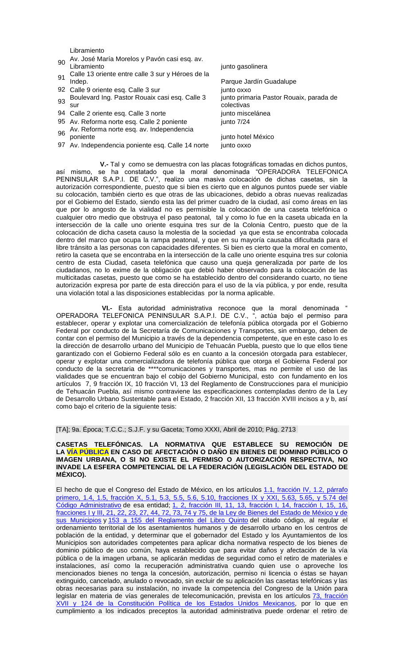Libramiento

<sup>90</sup> Av. José María Morelos y Pavón casi esq. av.

- 91 Calle 13 oriente entre calle 3 sur y Héroes de la<br>Indep.
- 92 Calle 9 oriente esq. Calle 3 sur junto oxxo
- <sup>93</sup> Boulevard Ing. Pastor Rouaix casi esq. Calle 3 sur
- 94 Calle 2 oriente esq. Calle 3 norte junto miscelánea
- 95 Av. Reforma norte esq. Calle 2 poniente iunto 7/24
- 96 Av. Reforma norte esq. av. Independencia<br>poniente
- 97 Av. Independencia poniente esq. Calle 14 norte junto oxxo

junto gasolinera Parque Jardín Guadalupe junto primaria Pastor Rouaix, parada de colectivas junto hotel México

 **V.-** Tal y como se demuestra con las placas fotográficas tomadas en dichos puntos, así mismo, se ha constatado que la moral denominada "OPERADORA TELEFONICA PENINSULAR S.A.P.I. DE C.V.", realizo una masiva colocación de dichas casetas, sin la autorización correspondiente, puesto que si bien es cierto que en algunos puntos puede ser viable su colocación, también cierto es que otras de las ubicaciones, debido a obras nuevas realizadas por el Gobierno del Estado, siendo esta las del primer cuadro de la ciudad, así como áreas en las que por lo angosto de la vialidad no es permisible la colocación de una caseta telefónica o cualquier otro medio que obstruya el paso peatonal, tal y como lo fue en la caseta ubicada en la intersección de la calle uno oriente esquina tres sur de la Colonia Centro, puesto que de la colocación de dicha caseta causo la molestia de la sociedad ya que esta se encontraba colocada dentro del marco que ocupa la rampa peatonal, y que en su mayoría causaba dificultada para el libre tránsito a las personas con capacidades diferentes. Si bien es cierto que la moral en comento, retiro la caseta que se encontraba en la intersección de la calle uno oriente esquina tres sur colonia centro de esta Ciudad, caseta telefónica que causo una queja generalizada por parte de los ciudadanos, no lo exime de la obligación que debió haber observado para la colocación de las multicitadas casetas, puesto que como se ha establecido dentro del considerando cuarto, no tiene autorización expresa por parte de esta dirección para el uso de la vía pública, y por ende, resulta una violación total a las disposiciones establecidas por la norma aplicable.

 **VI.-** Esta autoridad administrativa reconoce que la moral denominada " OPERADORA TELEFONICA PENINSULAR S.A.P.I. DE C.V., ", actúa bajo el permiso para establecer, operar y explotar una comercialización de telefonía pública otorgada por el Gobierno Federal por conducto de la Secretaría de Comunicaciones y Transportes, sin embargo, deben de contar con el permiso del Municipio a través de la dependencia competente, que en este caso lo es la dirección de desarrollo urbano del Municipio de Tehuacán Puebla, puesto que lo que ellos tiene garantizado con el Gobierno Federal sólo es en cuanto a la concesión otorgada para establecer, operar y explotar una comercializadora de telefonía pública que otorga el Gobierna Federal por conducto de la secretaria de \*\*\*\*comunicaciones y transportes, mas no permite el uso de las vialidades que se encuentran bajo el cobijo del Gobierno Municipal, esto con fundamento en los artículos 7, 9 fracción IX, 10 fracción VI, 13 del Reglamento de Construcciones para el municipio de Tehuacán Puebla, así mismo contraviene las especificaciones contempladas dentro de la Ley de Desarrollo Urbano Sustentable para el Estado, 2 fracción XII, 13 fracción XVIII incisos a y b, así como bajo el criterio de la siguiente tesis:

## [TA]; 9a. Época; T.C.C.; S.J.F. y su Gaceta; Tomo XXXI, Abril de 2010; Pág. 2713

## **CASETAS TELEFÓNICAS. LA NORMATIVA QUE ESTABLECE SU REMOCIÓN DE LA VÍA PÚBLICA EN CASO DE AFECTACIÓN O DAÑO EN BIENES DE DOMINIO PÚBLICO O IMAGEN URBANA, O SI NO EXISTE EL PERMISO O AUTORIZACIÓN RESPECTIVA, NO INVADE LA ESFERA COMPETENCIAL DE LA FEDERACIÓN (LEGISLACIÓN DEL ESTADO DE MÉXICO).**

El hecho de que el Congreso del Estado de México, en los artículos [1.1, fracción IV, 1.2, párrafo](javascript:AbrirModal(1))  [primero, 1.4, 1.5, fracción X, 5.1, 5.3, 5.5, 5.6, 5.10, fracciones IX y XXI, 5.63, 5.65, y 5.74 del](javascript:AbrirModal(1))  [Código Administrativo](javascript:AbrirModal(1)) de esa entidad; 1, 2, fracción III, 11, 13, fracción I, 14, fracción I, 15, 16, fracciones [I y III, 21, 22, 23, 27, 44, 72, 73, 74 y 75, de la Ley de Bienes del Estado de México y de](javascript:AbrirModal(2))  [sus Municipios](javascript:AbrirModal(2)) y [153 a 155 del Reglamento del Libro Quinto](javascript:AbrirModal(3)) del citado código, al regular el ordenamiento territorial de los asentamientos humanos y de desarrollo urbano en los centros de población de la entidad, y determinar que el gobernador del Estado y los Ayuntamientos de los Municipios son autoridades competentes para aplicar dicha normativa respecto de los bienes de dominio público de uso común, haya establecido que para evitar daños y afectación de la vía pública o de la imagen urbana, se aplicarán medidas de seguridad como el retiro de materiales e instalaciones, así como la recuperación administrativa cuando quien use o aproveche los mencionados bienes no tenga la concesión, autorización, permiso ni licencia o éstas se hayan extinguido, cancelado, anulado o revocado, sin excluir de su aplicación las casetas telefónicas y las obras necesarias para su instalación, no invade la competencia del Congreso de la Unión para legislar en materia de vías generales de telecomunicación, prevista en los artículos 73, fracción [XVII y 124 de la Constitución Política de los Estados Unidos Mexicanos,](javascript:AbrirModal(4)) por lo que en cumplimiento a los indicados preceptos la autoridad administrativa puede ordenar el retiro de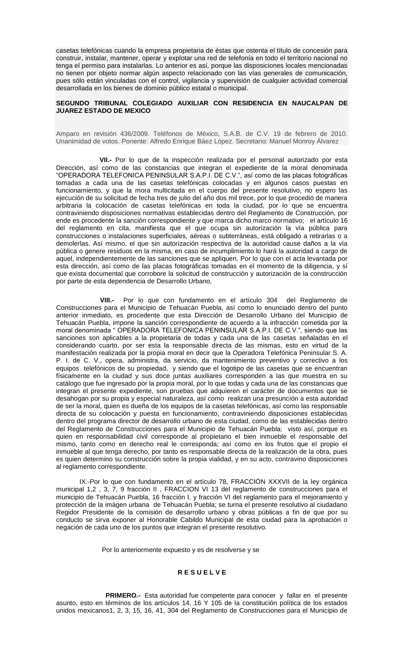casetas telefónicas cuando la empresa propietaria de éstas que ostenta el título de concesión para construir, instalar, mantener, operar y explotar una red de telefonía en todo el territorio nacional no tenga el permiso para instalarlas. Lo anterior es así, porque las disposiciones locales mencionadas no tienen por objeto normar algún aspecto relacionado con las vías generales de comunicación, pues sólo están vinculadas con el control, vigilancia y supervisión de cualquier actividad comercial desarrollada en los bienes de dominio público estatal o municipal.

## **SEGUNDO TRIBUNAL COLEGIADO AUXILIAR CON RESIDENCIA EN NAUCALPAN DE JUAREZ ESTADO DE MEXICO**

Amparo en revisión 436/2009. Teléfonos de México, S.A.B. de C.V. 19 de febrero de 2010. Unanimidad de votos. Ponente: Alfredo Enrique Báez López. Secretario: Manuel Monroy Álvarez

 **VII.-** Por lo que de la inspección realizada por el personal autorizado por esta Dirección, así como de las constancias que integran el expediente de la moral denominada "OPERADORA TELEFONICA PENINSULAR S.A.P.I. DE C.V.", así como de las placas fotográficas tomadas a cada una de las casetas telefónicas colocadas y en algunos casos puestas en funcionamiento, y que la mora multicitada en el cuerpo del presente resolutivo, no espero las ejecución de su solicitud de fecha tres de julio del año dos mil trece, por lo que procedió de manera arbitraria la colocación de casetas telefónicas en toda la ciudad, por lo que se encuentra contraviniendo disposiciones normativas establecidas dentro del Reglamento de Construcción, por ende es procedente la sanción correspondiente y que marca dicho marco normativo; el artículo 16 del reglamento en cita, manifiesta que el que ocupa sin autorización la vía pública para construcciones o instalaciones superficiales, aéreas o subterráneas, está obligado a retirarlas o a demolerlas. Así mismo, el que sin autorización respectiva de la autoridad cause daños a la vía pública o genere residuos en la misma, en caso de incumplimiento lo hará la autoridad a cargo de aquel, independientemente de las sanciones que se apliquen. Por lo que con el acta levantada por esta dirección, así como de las placas fotográficas tomadas en el momento de la diligencia, y sí que exista documental que corrobore la solicitud de construcción y autorización de la construcción por parte de esta dependencia de Desarrollo Urbano,

 **VIII.-** Por lo que con fundamento en el artículo 304 del Reglamento de Construcciones para el Municipio de Tehuacán Puebla, así como lo enunciado dentro del punto anterior inmediato, es procedente que esta Dirección de Desarrollo Urbano del Municipio de Tehuacán Puebla, impone la sanción correspondiente de acuerdo a la infracción cometida por la moral denominada " OPERADORA TELEFONICA PENINSULAR S.A.P.I. DE C.V.", siendo que las sanciones son aplicables a la propietaria de todas y cada una de las casetas señaladas en el considerando cuarto, por ser esta la responsable directa de las mismas, esto en virtud de la manifestación realizada por la propia moral en decir que la Operadora Telefónica Peninsular S. A. P. I. de C. V., opera, administra, da servicio, da mantenimiento preventivo y correctivo a los equipos telefónicos de su propiedad, y siendo que el logotipo de las casetas que se encuentran físicamente en la ciudad y sus doce juntas auxiliares corresponden a las que muestra en su catálogo que fue ingresado por la propia moral, por lo que todas y cada una de las constancias que integran el presente expediente, son pruebas que adquieren el carácter de documentos que se desahogan por su propia y especial naturaleza, así como realizan una presunción a esta autoridad de ser la moral, quien es dueña de los equipos de la casetas telefónicas, así como las responsable directa de su colocación y puesta en funcionamiento, contraviniendo disposiciones establecidas dentro del programa director de desarrollo urbano de esta ciudad, como de las establecidas dentro del Reglamento de Construcciones para el Municipio de Tehuacán Puebla; visto así, porque es quien en responsabilidad civil corresponde al propietario el bien inmueble el responsable del mismo, tanto como en derecho real le corresponda; así como en los frutos que el propio el inmueble al que tenga derecho, por tanto es responsable directa de la realización de la obra, pues es quien determino su construcción sobre la propia vialidad, y en su acto, contravino disposiciones al reglamento correspondiente.

IX.-Por lo que con fundamento en el artículo 78, FRACCIÓN XXXVII de la ley orgánica municipal 1,2 , 3, 7, 9 fracción II , FRACCION VI 13 del reglamento de construcciones para el municipio de Tehuacán Puebla, 16 fracción I, y fracción VI del reglamento para el mejoramiento y protección de la imágen urbana de Tehuacán Puebla; se turna el presente resolutivo al ciudadano Regidor Presidente de la comisión de desarrollo urbano y obras públicas a fin de que por su conducto se sirva exponer al Honorable Cabildo Municipal de esta ciudad para la aprobación o negación de cada uno de los puntos que integran el presente resolutivo.

Por lo anteriormente expuesto y es de resolverse y se

## **R E S U E L V E**

**PRIMERO.-** Esta autoridad fue competente para conocer y fallar en el presente asunto, esto en términos de los artículos 14, 16 Y 105 de la constitución política de los estados unidos mexicanos1, 2, 3, 15, 16, 41, 304 del Reglamento de Construcciones para el Municipio de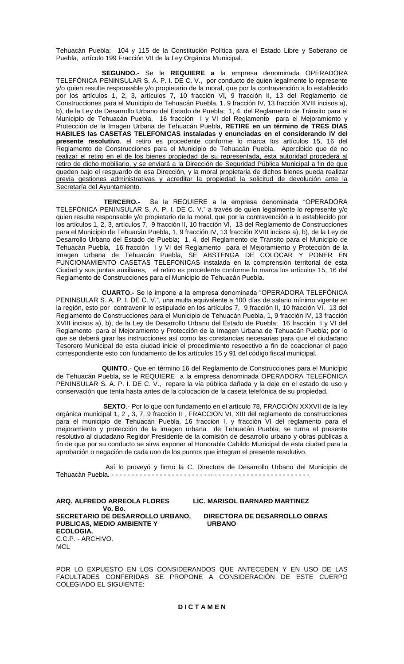Tehuacán Puebla; 104 y 115 de la Constitución Política para el Estado Libre y Soberano de Puebla, artículo 199 Fracción VII de la Ley Orgánica Municipal.

 **SEGUNDO.-** Se le **REQUIERE a** la empresa denominada OPERADORA TELEFÓNICA PENINSULAR S. A. P. I. DE C. V., por conducto de quien legalmente lo represente y/o quien resulte responsable y/o propietario de la moral, que por la contravención a lo establecido por los artículos 1, 2, 3, artículos 7, 10 fracción VI, 9 fracción II, 13 del Reglamento de Construcciones para el Municipio de Tehuacán Puebla, 1, 9 fracción IV, 13 fracción XVIII incisos a), b), de la Ley de Desarrollo Urbano del Estado de Puebla; 1, 4, del Reglamento de Tránsito para el Municipio de Tehuacán Puebla, 16 fracción I y VI del Reglamento para el Mejoramiento y Protección de la Imagen Urbana de Tehuacán Puebla, **RETIRE en un término de TRES DIAS HABILES las CASETAS TELEFONICAS instaladas y enunciadas en el considerando IV del presente resolutivo**, el retiro es procedente conforme lo marca los artículos 15, 16 del Reglamento de Construcciones para el Municipio de Tehuacán Puebla. Apercibido que de no realizar el retiro en el de los bienes propiedad de su representada, esta autoridad procederá al retiro de dicho mobiliario, y se enviará a la Dirección de Seguridad Pública Municipal a fin de que queden bajo el resguardo de esa Dirección, y la moral propietaria de dichos bienes pueda realizar previa gestiones administrativas y acreditar la propiedad la solicitud de devolución ante la Secretaría del Ayuntamiento.

 **TERCERO.-** Se le REQUIERE a la empresa denominada "OPERADORA TELEFÓNICA PENINSULAR S. A. P. I. DE C. V." a través de quien legalmente lo represente y/o quien resulte responsable y/o propietario de la moral, que por la contravención a lo establecido por los artículos 1, 2, 3, artículos 7, 9 fracción II, 10 fracción VI, 13 del Reglamento de Construcciones para el Municipio de Tehuacán Puebla, 1, 9 fracción IV, 13 fracción XVIII incisos a), b), de la Ley de Desarrollo Urbano del Estado de Puebla; 1, 4, del Reglamento de Tránsito para el Municipio de Tehuacán Puebla, 16 fracción I y VI del Reglamento para el Mejoramiento y Protección de la Imagen Urbana de Tehuacán Puebla, SE ABSTENGA DE COLOCAR Y PONER EN FUNCIONAMIENTO CASETAS TELEFONICAS instalada en la comprensión territorial de esta Ciudad y sus juntas auxiliares, el retiro es procedente conforme lo marca los artículos 15, 16 del Reglamento de Construcciones para el Municipio de Tehuacán Puebla.

 **CUARTO.-** Se le impone a la empresa denominada "OPERADORA TELEFÓNICA PENINSULAR S. A. P. I. DE C. V.", una multa equivalente a 100 días de salario mínimo vigente en la región, esto por contravenir lo estipulado en los artículos 7, 9 fracción II, 10 fracción VI, 13 del Reglamento de Construcciones para el Municipio de Tehuacán Puebla, 1, 9 fracción IV, 13 fracción XVIII incisos a), b), de la Ley de Desarrollo Urbano del Estado de Puebla; 16 fracción I y VI del Reglamento para el Mejoramiento y Protección de la Imagen Urbana de Tehuacán Puebla; por lo que se deberá girar las instrucciones así como las constancias necesarias para que el ciudadano Tesorero Municipal de esta ciudad inicie el procedimiento respectivo a fin de coaccionar el pago correspondiente esto con fundamento de los artículos 15 y 91 del código fiscal municipal.

 **QUINTO**.- Que en término 16 del Reglamento de Construcciones para el Municipio de Tehuacán Puebla, se le REQUIERE a la empresa denominada OPERADORA TELEFÓNICA PENINSULAR S. A. P. I. DE C. V., repare la vía pública dañada y la deje en el estado de uso y conservación que tenía hasta antes de la colocación de la caseta telefónica de su propiedad.

 **SEXTO**.- Por lo que con fundamento en el artículo 78, FRACCIÓN XXXVII de la ley orgánica municipal 1, 2 , 3, 7, 9 fracción II , FRACCION VI, XIII del reglamento de construcciones para el municipio de Tehuacán Puebla, 16 fracción I, y fracción VI del reglamento para el mejoramiento y protección de la imagen urbana de Tehuacán Puebla; se turna el presente resolutivo al ciudadano Regidor Presidente de la comisión de desarrollo urbano y obras públicas a fin de que por su conducto se sirva exponer al Honorable Cabildo Municipal de esta ciudad para la aprobación o negación de cada uno de los puntos que integran el presente resolutivo.

 Así lo proveyó y firmo la C. Directora de Desarrollo Urbano del Municipio de Tehuacán Puebla. - - - - - - - -

**Vo. Bo. SECRETARIO DE DESARROLLO URBANO, DIRECTORA DE DESARROLLO OBRAS PUBLICAS, MEDIO AMBIENTE Y ECOLOGIA.** C.C.P. - ARCHIVO. **MCL** 

### **\_\_\_\_\_\_\_\_\_\_\_\_\_\_\_\_\_\_\_\_\_\_\_\_\_\_\_\_\_\_ \_\_\_\_\_\_\_\_\_\_\_\_\_\_\_\_\_\_\_\_\_\_\_\_\_\_\_\_\_\_\_ ARQ. ALFREDO ARREOLA FLORES LIC. MARISOL BARNARD MARTINEZ**

POR LO EXPUESTO EN LOS CONSIDERANDOS QUE ANTECEDEN Y EN USO DE LAS FACULTADES CONFERIDAS SE PROPONE A CONSIDERACIÓN DE ESTE CUERPO COLEGIADO EL SIGUIENTE: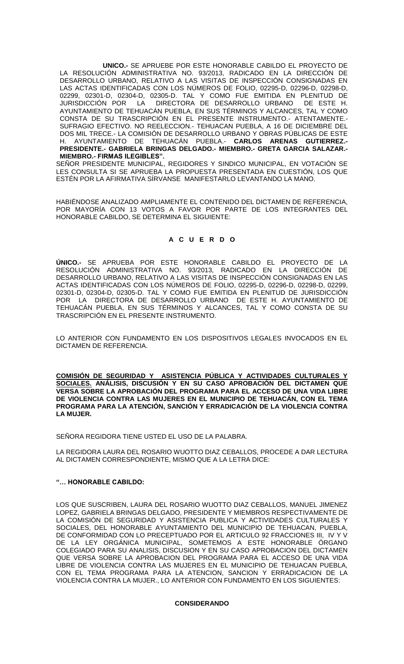**UNICO.-** SE APRUEBE POR ESTE HONORABLE CABILDO EL PROYECTO DE LA RESOLUCIÓN ADMINISTRATIVA NO. 93/2013, RADICADO EN LA DIRECCIÓN DE DESARROLLO URBANO, RELATIVO A LAS VISITAS DE INSPECCIÓN CONSIGNADAS EN LAS ACTAS IDENTIFICADAS CON LOS NÚMEROS DE FOLIO, 02295-D, 02296-D, 02298-D, 02299, 02301-D, 02304-D, 02305-D. TAL Y COMO FUE EMITIDA EN PLENITUD DE JURISDICCIÓN POR LA DIRECTORA DE DESARROLLO URBANO DE ESTE H. AYUNTAMIENTO DE TEHUACÁN PUEBLA, EN SUS TÉRMINOS Y ALCANCES, TAL Y COMO CONSTA DE SU TRASCRIPCIÓN EN EL PRESENTE INSTRUMENTO.- ATENTAMENTE.- SUFRAGIO EFECTIVO. NO REELECCION.- TEHUACAN PUEBLA, A 16 DE DICIEMBRE DEL DOS MIL TRECE.- LA COMISIÓN DE DESARROLLO URBANO Y OBRAS PÚBLICAS DE ESTE H. AYUNTAMIENTO DE TEHUACÁN PUEBLA.- **CARLOS ARENAS GUTIERREZ.- PRESIDENTE.- GABRIELA BRINGAS DELGADO.- MIEMBRO.- GRETA GARCIA SALAZAR.- MIEMBRO.- FIRMAS ILEGIBLES".**

SEÑOR PRESIDENTE MUNICIPAL, REGIDORES Y SINDICO MUNICIPAL, EN VOTACIÓN SE LES CONSULTA SI SE APRUEBA LA PROPUESTA PRESENTADA EN CUESTIÓN, LOS QUE ESTÉN POR LA AFIRMATIVA SÍRVANSE MANIFESTARLO LEVANTANDO LA MANO.

HABIÉNDOSE ANALIZADO AMPLIAMENTE EL CONTENIDO DEL DICTAMEN DE REFERENCIA, POR MAYORÍA CON 13 VOTOS A FAVOR POR PARTE DE LOS INTEGRANTES DEL HONORABLE CABILDO, SE DETERMINA EL SIGUIENTE:

# **A C U E R D O**

**ÚNICO.-** SE APRUEBA POR ESTE HONORABLE CABILDO EL PROYECTO DE LA RESOLUCIÓN ADMINISTRATIVA NO. 93/2013, RADICADO EN LA DIRECCIÓN DE DESARROLLO URBANO, RELATIVO A LAS VISITAS DE INSPECCIÓN CONSIGNADAS EN LAS ACTAS IDENTIFICADAS CON LOS NÚMEROS DE FOLIO, 02295-D, 02296-D, 02298-D, 02299, 02301-D, 02304-D, 02305-D. TAL Y COMO FUE EMITIDA EN PLENITUD DE JURISDICCIÓN POR LA DIRECTORA DE DESARROLLO URBANO DE ESTE H. AYUNTAMIENTO DE TEHUACÁN PUEBLA, EN SUS TÉRMINOS Y ALCANCES, TAL Y COMO CONSTA DE SU TRASCRIPCIÓN EN EL PRESENTE INSTRUMENTO.

LO ANTERIOR CON FUNDAMENTO EN LOS DISPOSITIVOS LEGALES INVOCADOS EN EL DICTAMEN DE REFERENCIA.

**COMISIÓN DE SEGURIDAD Y ASISTENCIA PÚBLICA Y ACTIVIDADES CULTURALES Y SOCIALES. ANÁLISIS, DISCUSIÓN Y EN SU CASO APROBACIÓN DEL DICTAMEN QUE VERSA SOBRE LA APROBACIÓN DEL PROGRAMA PARA EL ACCESO DE UNA VIDA LIBRE DE VIOLENCIA CONTRA LAS MUJERES EN EL MUNICIPIO DE TEHUACÁN, CON EL TEMA PROGRAMA PARA LA ATENCIÓN, SANCIÓN Y ERRADICACIÓN DE LA VIOLENCIA CONTRA LA MUJER.** 

SEÑORA REGIDORA TIENE USTED EL USO DE LA PALABRA.

LA REGIDORA LAURA DEL ROSARIO WUOTTO DIAZ CEBALLOS, PROCEDE A DAR LECTURA AL DICTAMEN CORRESPONDIENTE, MISMO QUE A LA LETRA DICE:

# **"… HONORABLE CABILDO:**

LOS QUE SUSCRIBEN, LAURA DEL ROSARIO WUOTTO DIAZ CEBALLOS, MANUEL JIMENEZ LOPEZ, GABRIELA BRINGAS DELGADO, PRESIDENTE Y MIEMBROS RESPECTIVAMENTE DE LA COMISIÓN DE SEGURIDAD Y ASISTENCIA PUBLICA Y ACTIVIDADES CULTURALES Y SOCIALES, DEL HONORABLE AYUNTAMIENTO DEL MUNICIPIO DE TEHUACAN, PUEBLA, DE CONFORMIDAD CON LO PRECEPTUADO POR EL ARTICULO 92 FRACCIONES III, IV Y V DE LA LEY ORGÁNICA MUNICIPAL, SOMETEMOS A ESTE HONORABLE ÓRGANO COLEGIADO PARA SU ANALISIS, DISCUSION Y EN SU CASO APROBACION DEL DICTAMEN QUE VERSA SOBRE LA APROBACION DEL PROGRAMA PARA EL ACCESO DE UNA VIDA LIBRE DE VIOLENCIA CONTRA LAS MUJERES EN EL MUNICIPIO DE TEHUACAN PUEBLA, CON EL TEMA PROGRAMA PARA LA ATENCION, SANCION Y ERRADICACION DE LA VIOLENCIA CONTRA LA MUJER., LO ANTERIOR CON FUNDAMENTO EN LOS SIGUIENTES:

## **CONSIDERANDO**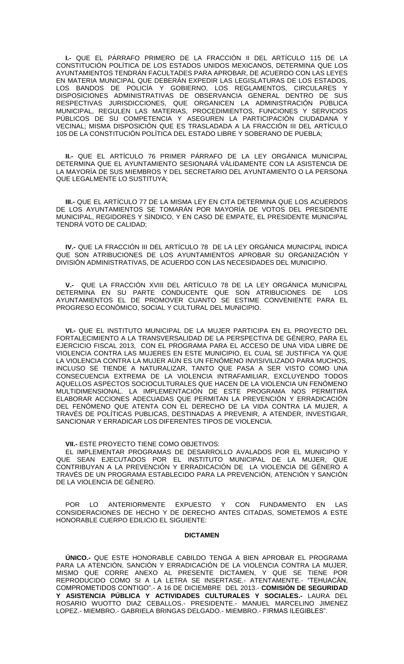**I.-** QUE EL PÁRRAFO PRIMERO DE LA FRACCIÓN II DEL ARTÍCULO 115 DE LA CONSTITUCIÓN POLÍTICA DE LOS ESTADOS UNIDOS MEXICANOS, DETERMINA QUE LOS AYUNTAMIENTOS TENDRÁN FACULTADES PARA APROBAR, DE ACUERDO CON LAS LEYES EN MATERIA MUNICIPAL QUE DEBERÁN EXPEDIR LAS LEGISLATURAS DE LOS ESTADOS, LOS BANDOS DE POLICÍA Y GOBIERNO, LOS REGLAMENTOS, CIRCULARES DISPOSICIONES ADMINISTRATIVAS DE OBSERVANCIA GENERAL DENTRO DE SUS RESPECTIVAS JURISDICCIONES, QUE ORGANICEN LA ADMINISTRACIÓN PÚBLICA MUNICIPAL, REGULEN LAS MATERIAS, PROCEDIMIENTOS, FUNCIONES Y SERVICIOS PÚBLICOS DE SU COMPETENCIA Y ASEGUREN LA PARTICIPACIÓN CIUDADANA Y VECINAL; MISMA DISPOSICIÓN QUE ES TRASLADADA A LA FRACCIÓN III DEL ARTÍCULO 105 DE LA CONSTITUCIÓN POLÍTICA DEL ESTADO LIBRE Y SOBERANO DE PUEBLA;

**II.-** QUE EL ARTÍCULO 76 PRIMER PÁRRAFO DE LA LEY ORGÁNICA MUNICIPAL DETERMINA QUE EL AYUNTAMIENTO SESIONARÁ VÁLIDAMENTE CON LA ASISTENCIA DE LA MAYORÍA DE SUS MIEMBROS Y DEL SECRETARIO DEL AYUNTAMIENTO O LA PERSONA QUE LEGALMENTE LO SUSTITUYA;

**III.-** QUE EL ARTÍCULO 77 DE LA MISMA LEY EN CITA DETERMINA QUE LOS ACUERDOS DE LOS AYUNTAMIENTOS SE TOMARÁN POR MAYORÍA DE VOTOS DEL PRESIDENTE MUNICIPAL, REGIDORES Y SÍNDICO, Y EN CASO DE EMPATE, EL PRESIDENTE MUNICIPAL TENDRÁ VOTO DE CALIDAD;

**IV.-** QUE LA FRACCIÓN III DEL ARTÍCULO 78 DE LA LEY ORGÁNICA MUNICIPAL INDICA QUE SON ATRIBUCIONES DE LOS AYUNTAMIENTOS APROBAR SU ORGANIZACIÓN Y DIVISIÓN ADMINISTRATIVAS, DE ACUERDO CON LAS NECESIDADES DEL MUNICIPIO.

**V.-** QUE LA FRACCIÓN XVIII DEL ARTÍCULO 78 DE LA LEY ORGÁNICA MUNICIPAL DETERMINA EN SU PARTE CONDUCENTE QUE SON ATRIBUCIONES DE LOS AYUNTAMIENTOS EL DE PROMOVER CUANTO SE ESTIME CONVENIENTE PARA EL PROGRESO ECONÓMICO, SOCIAL Y CULTURAL DEL MUNICIPIO.

**VI.-** QUE EL INSTITUTO MUNICIPAL DE LA MUJER PARTICIPA EN EL PROYECTO DEL FORTALECIMIENTO A LA TRANSVERSALIDAD DE LA PERSPECTIVA DE GÉNERO, PARA EL EJERCICIO FISCAL 2013, CON EL PROGRAMA PARA EL ACCESO DE UNA VIDA LIBRE DE VIOLENCIA CONTRA LAS MUJERES EN ESTE MUNICIPIO, EL CUAL SE JUSTIFICA YA QUE LA VIOLENCIA CONTRA LA MUJER AÚN ES UN FENÓMENO INVISIVILIZADO PARA MUCHOS, INCLUSO SE TIENDE A NATURALIZAR, TANTO QUE PASA A SER VISTO COMO UNA CONSECUENCIA EXTREMA DE LA VIOLENCIA INTRAFAMILIAR, EXCLUYENDO TODOS AQUELLOS ASPECTOS SOCIOCULTURALES QUE HACEN DE LA VIOLENCIA UN FENÓMENO MULTIDIMENSIONAL. LA IMPLEMENTACIÓN DE ESTE PROGRAMA NOS PERMITIRÁ ELABORAR ACCIONES ADECUADAS QUE PERMITAN LA PREVENCIÓN Y ERRADICACIÓN DEL FENÓMENO QUE ATENTA CON EL DERECHO DE LA VIDA CONTRA LA MUJER, A TRAVÉS DE POLÍTICAS PUBLICAS, DESTINADAS A PREVENIR, A ATENDER, INVESTIGAR, SANCIONAR Y ERRADICAR LOS DIFERENTES TIPOS DE VIOLENCIA.

**VII.-** ESTE PROYECTO TIENE COMO OBJETIVOS:

EL IMPLEMENTAR PROGRAMAS DE DESARROLLO AVALADOS POR EL MUNICIPIO Y QUE SEAN EJECUTADOS POR EL INSTITUTO MUNICIPAL DE LA MUJER, QUE CONTRIBUYAN A LA PREVENCIÓN Y ERRADICACIÓN DE LA VIOLENCIA DE GÉNERO A TRAVÉS DE UN PROGRAMA ESTABLECIDO PARA LA PREVENCIÓN, ATENCIÓN Y SANCIÓN DE LA VIOLENCIA DE GÉNERO.

POR LO ANTERIORMENTE EXPUESTO Y CON FUNDAMENTO EN LAS CONSIDERACIONES DE HECHO Y DE DERECHO ANTES CITADAS, SOMETEMOS A ESTE HONORABLE CUERPO EDILICIO EL SIGUIENTE:

#### **DICTAMEN**

**ÚNICO.-** QUE ESTE HONORABLE CABILDO TENGA A BIEN APROBAR EL PROGRAMA PARA LA ATENCIÓN, SANCIÓN Y ERRADICACIÓN DE LA VIOLENCIA CONTRA LA MUJER, MISMO QUE CORRE ANEXO AL PRESENTE DICTAMEN, Y QUE SE TIENE POR REPRODUCIDO COMO SI A LA LETRA SE INSERTASE.- ATENTAMENTE.- "TEHUACÁN, COMPROMETIDOS CONTIGO".- A 16 DE DICIEMBRE DEL 2013.- **COMISIÓN DE SEGURIDAD Y ASISTENCIA PÚBLICA Y ACTIVIDADES CULTURALES Y SOCIALES.-** LAURA DEL ROSARIO WUOTTO DIAZ CEBALLOS.- PRESIDENTE.- MANUEL MARCELINO JIMENEZ LOPEZ.- MIEMBRO.- GABRIELA BRINGAS DELGADO.- MIEMBRO.- FIRMAS ILEGIBLES".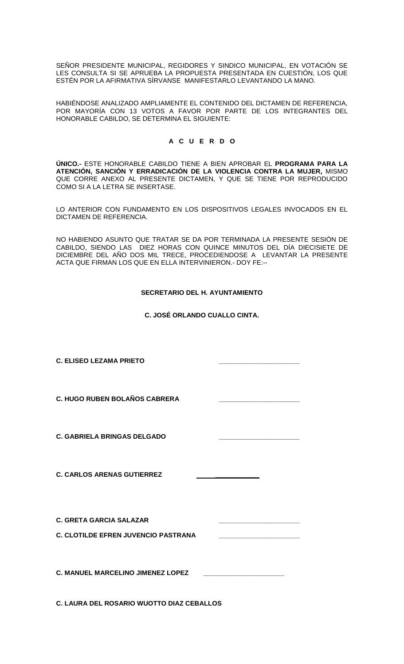SEÑOR PRESIDENTE MUNICIPAL, REGIDORES Y SINDICO MUNICIPAL, EN VOTACIÓN SE LES CONSULTA SI SE APRUEBA LA PROPUESTA PRESENTADA EN CUESTIÓN, LOS QUE ESTÉN POR LA AFIRMATIVA SÍRVANSE MANIFESTARLO LEVANTANDO LA MANO.

HABIÉNDOSE ANALIZADO AMPLIAMENTE EL CONTENIDO DEL DICTAMEN DE REFERENCIA, POR MAYORÍA CON 13 VOTOS A FAVOR POR PARTE DE LOS INTEGRANTES DEL HONORABLE CABILDO, SE DETERMINA EL SIGUIENTE:

# **A C U E R D O**

**ÚNICO.-** ESTE HONORABLE CABILDO TIENE A BIEN APROBAR EL **PROGRAMA PARA LA ATENCIÓN, SANCIÓN Y ERRADICACIÓN DE LA VIOLENCIA CONTRA LA MUJER,** MISMO QUE CORRE ANEXO AL PRESENTE DICTAMEN, Y QUE SE TIENE POR REPRODUCIDO COMO SI A LA LETRA SE INSERTASE.

LO ANTERIOR CON FUNDAMENTO EN LOS DISPOSITIVOS LEGALES INVOCADOS EN EL DICTAMEN DE REFERENCIA.

NO HABIENDO ASUNTO QUE TRATAR SE DA POR TERMINADA LA PRESENTE SESIÓN DE CABILDO, SIENDO LAS DIEZ HORAS CON QUINCE MINUTOS DEL DÍA DIECISIETE DE DICIEMBRE DEL AÑO DOS MIL TRECE, PROCEDIENDOSE A LEVANTAR LA PRESENTE ACTA QUE FIRMAN LOS QUE EN ELLA INTERVINIERON.- DOY FE:--

# **SECRETARIO DEL H. AYUNTAMIENTO**

**C. JOSÉ ORLANDO CUALLO CINTA.**

| <b>C. ELISEO LEZAMA PRIETO</b>                                               |  |
|------------------------------------------------------------------------------|--|
| <b>C. HUGO RUBEN BOLAÑOS CABRERA</b>                                         |  |
| <b>C. GABRIELA BRINGAS DELGADO</b>                                           |  |
| <b>C. CARLOS ARENAS GUTIERREZ</b>                                            |  |
| <b>C. GRETA GARCIA SALAZAR</b><br><b>C. CLOTILDE EFREN JUVENCIO PASTRANA</b> |  |
| C. MANUEL MARCELINO JIMENEZ LOPEZ                                            |  |
| C. LAURA DEL ROSARIO WUOTTO DIAZ CEBALLOS                                    |  |